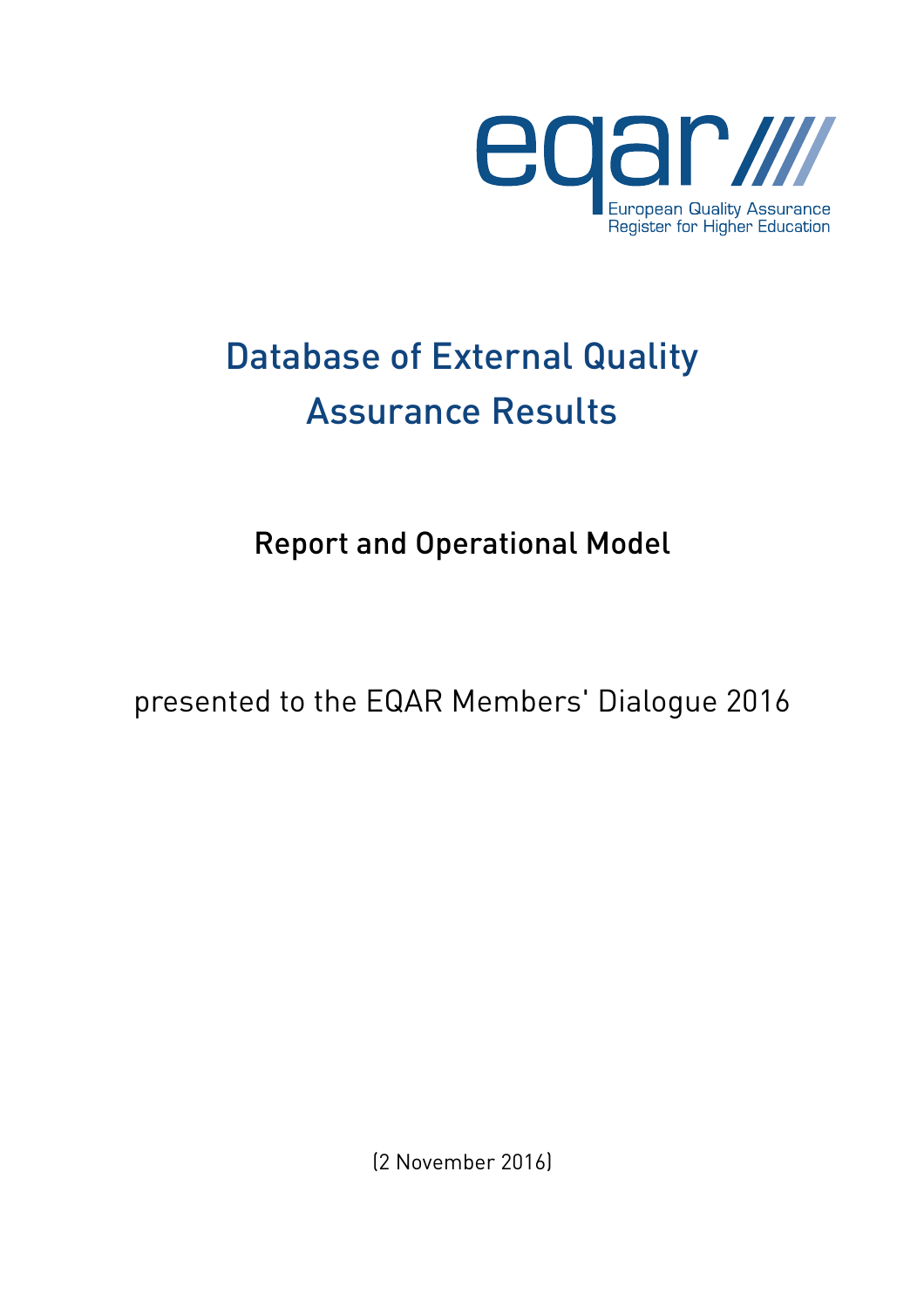

# Database of External Quality Assurance Results

Report and Operational Model

presented to the EQAR Members' Dialogue 2016

(2 November 2016)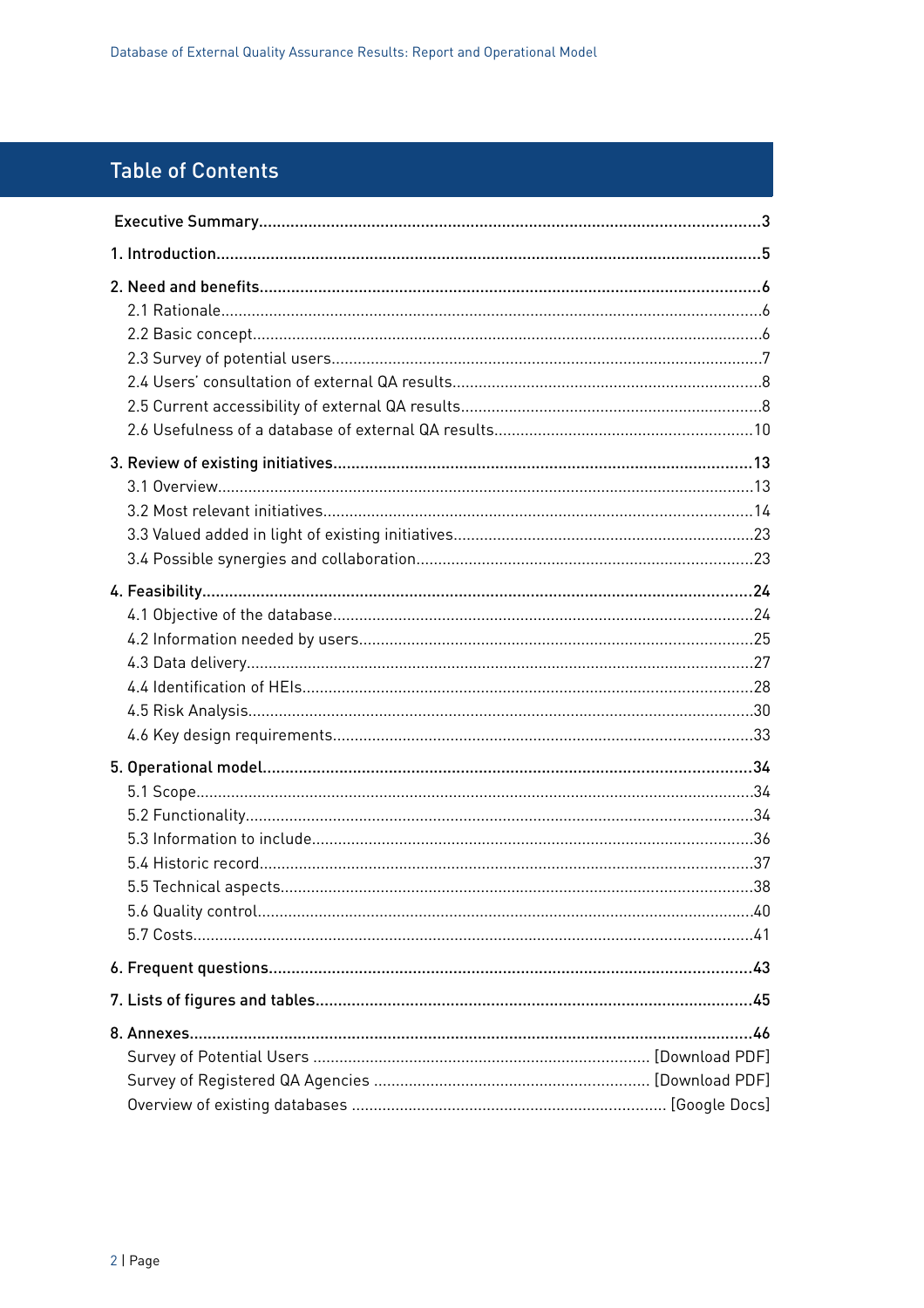## **Table of Contents**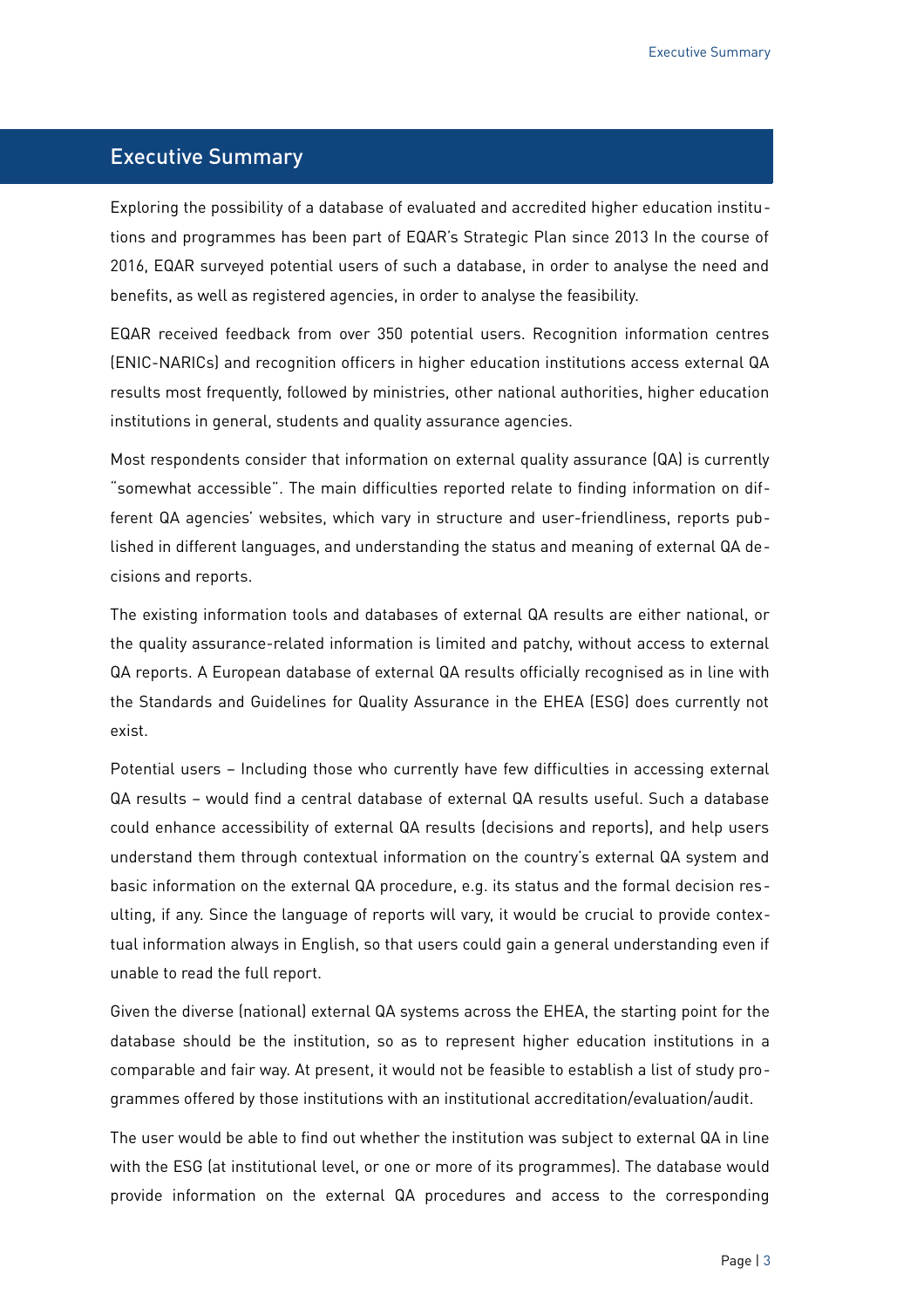#### <span id="page-2-0"></span>Executive Summary

Exploring the possibility of a database of evaluated and accredited higher education institutions and programmes has been part of EQAR's Strategic Plan since 2013 In the course of 2016, EQAR surveyed potential users of such a database, in order to analyse the need and benefits, as well as registered agencies, in order to analyse the feasibility.

EQAR received feedback from over 350 potential users. Recognition information centres (ENIC-NARICs) and recognition officers in higher education institutions access external QA results most frequently, followed by ministries, other national authorities, higher education institutions in general, students and quality assurance agencies.

Most respondents consider that information on external quality assurance (QA) is currently "somewhat accessible". The main difficulties reported relate to finding information on different QA agencies' websites, which vary in structure and user-friendliness, reports published in different languages, and understanding the status and meaning of external QA decisions and reports.

The existing information tools and databases of external QA results are either national, or the quality assurance-related information is limited and patchy, without access to external QA reports. A European database of external QA results officially recognised as in line with the Standards and Guidelines for Quality Assurance in the EHEA (ESG) does currently not exist.

Potential users – Including those who currently have few difficulties in accessing external QA results – would find a central database of external QA results useful. Such a database could enhance accessibility of external QA results (decisions and reports), and help users understand them through contextual information on the country's external QA system and basic information on the external QA procedure, e.g. its status and the formal decision resulting, if any. Since the language of reports will vary, it would be crucial to provide contextual information always in English, so that users could gain a general understanding even if unable to read the full report.

Given the diverse (national) external QA systems across the EHEA, the starting point for the database should be the institution, so as to represent higher education institutions in a comparable and fair way. At present, it would not be feasible to establish a list of study programmes offered by those institutions with an institutional accreditation/evaluation/audit.

The user would be able to find out whether the institution was subject to external QA in line with the ESG (at institutional level, or one or more of its programmes). The database would provide information on the external QA procedures and access to the corresponding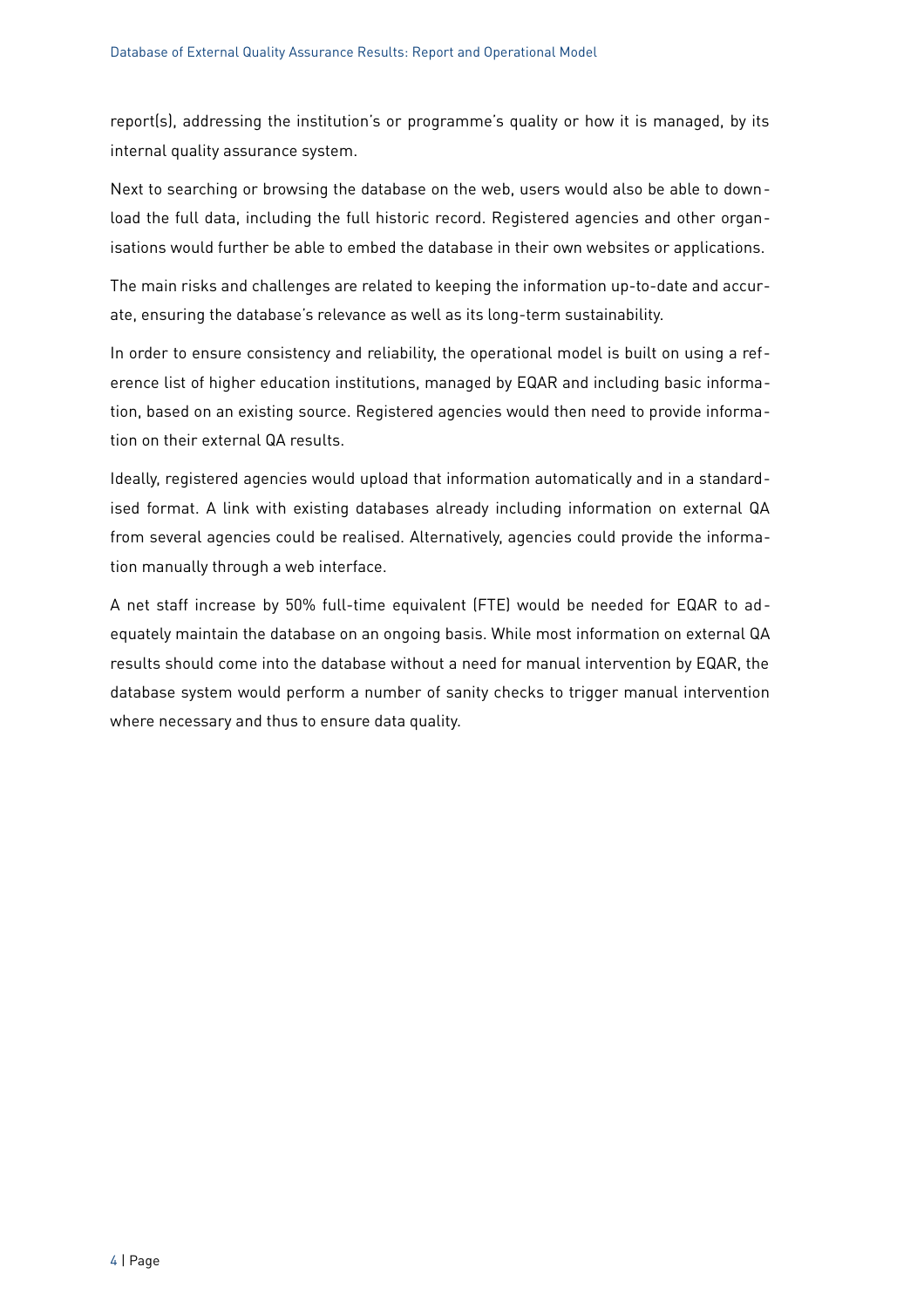report(s), addressing the institution's or programme's quality or how it is managed, by its internal quality assurance system.

Next to searching or browsing the database on the web, users would also be able to download the full data, including the full historic record. Registered agencies and other organisations would further be able to embed the database in their own websites or applications.

The main risks and challenges are related to keeping the information up-to-date and accurate, ensuring the database's relevance as well as its long-term sustainability.

In order to ensure consistency and reliability, the operational model is built on using a reference list of higher education institutions, managed by EQAR and including basic information, based on an existing source. Registered agencies would then need to provide information on their external QA results.

Ideally, registered agencies would upload that information automatically and in a standardised format. A link with existing databases already including information on external QA from several agencies could be realised. Alternatively, agencies could provide the information manually through a web interface.

A net staff increase by 50% full-time equivalent (FTE) would be needed for EQAR to adequately maintain the database on an ongoing basis. While most information on external QA results should come into the database without a need for manual intervention by EQAR, the database system would perform a number of sanity checks to trigger manual intervention where necessary and thus to ensure data quality.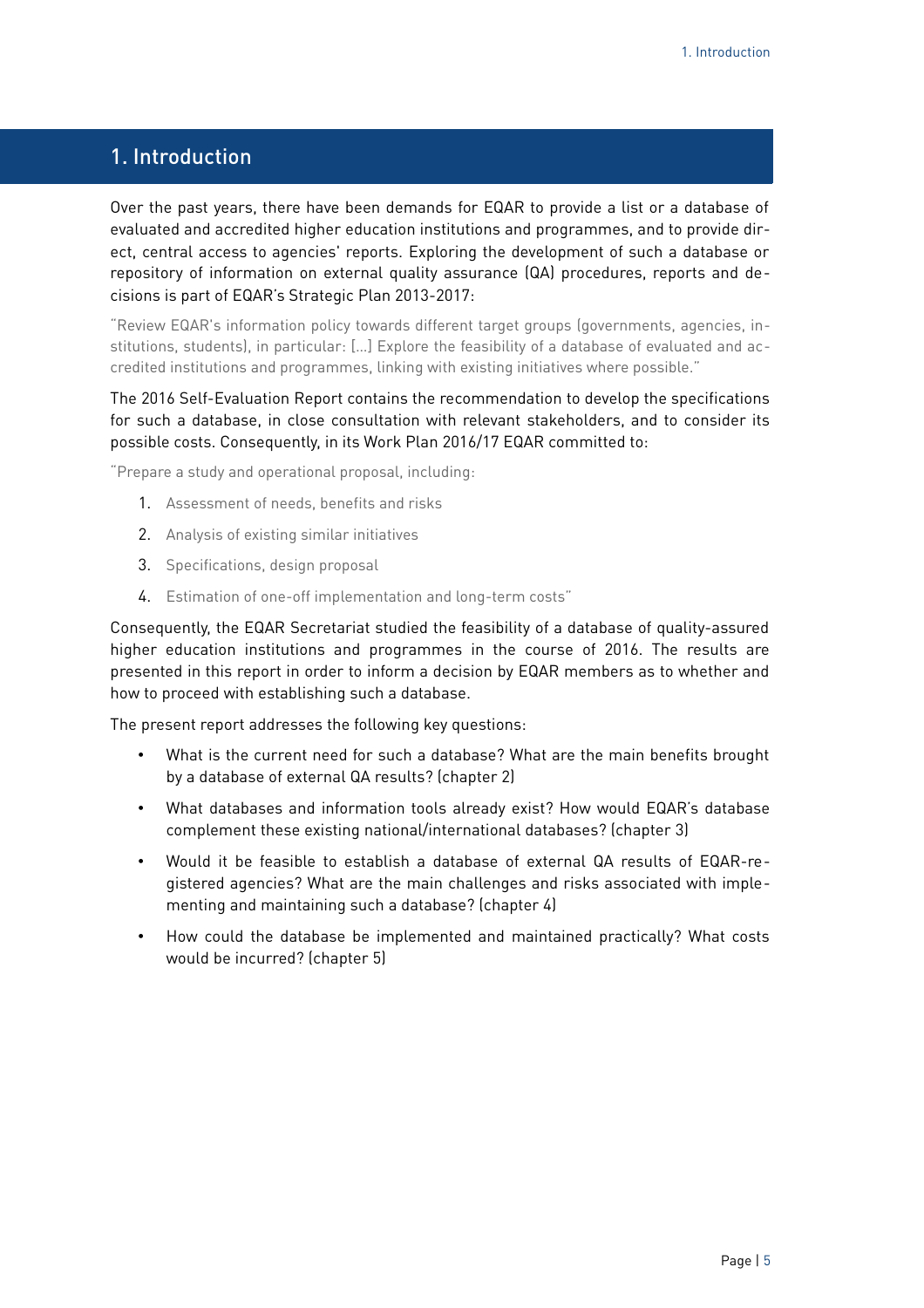## <span id="page-4-0"></span>1. Introduction

Over the past years, there have been demands for EQAR to provide a list or a database of evaluated and accredited higher education institutions and programmes, and to provide direct, central access to agencies' reports. Exploring the development of such a database or repository of information on external quality assurance (QA) procedures, reports and decisions is part of EQAR's Strategic Plan 2013-2017:

"Review EQAR's information policy towards different target groups (governments, agencies, institutions, students), in particular: […] Explore the feasibility of a database of evaluated and accredited institutions and programmes, linking with existing initiatives where possible."

#### The 2016 Self-Evaluation Report contains the recommendation to develop the specifications for such a database, in close consultation with relevant stakeholders, and to consider its possible costs. Consequently, in its Work Plan 2016/17 EQAR committed to:

"Prepare a study and operational proposal, including:

- 1. Assessment of needs, benefits and risks
- 2. Analysis of existing similar initiatives
- 3. Specifications, design proposal
- 4. Estimation of one-off implementation and long-term costs"

Consequently, the EQAR Secretariat studied the feasibility of a database of quality-assured higher education institutions and programmes in the course of 2016. The results are presented in this report in order to inform a decision by EQAR members as to whether and how to proceed with establishing such a database.

The present report addresses the following key questions:

- What is the current need for such a database? What are the main benefits brought by a database of external QA results? (chapter [2\)](#page-5-2)
- What databases and information tools already exist? How would EQAR's database complement these existing national/international databases? (chapter [3\)](#page-12-1)
- Would it be feasible to establish a database of external QA results of EQAR-registered agencies? What are the main challenges and risks associated with implementing and maintaining such a database? (chapter [4\)](#page-23-1)
- How could the database be implemented and maintained practically? What costs would be incurred? (chapter [5\)](#page-33-2)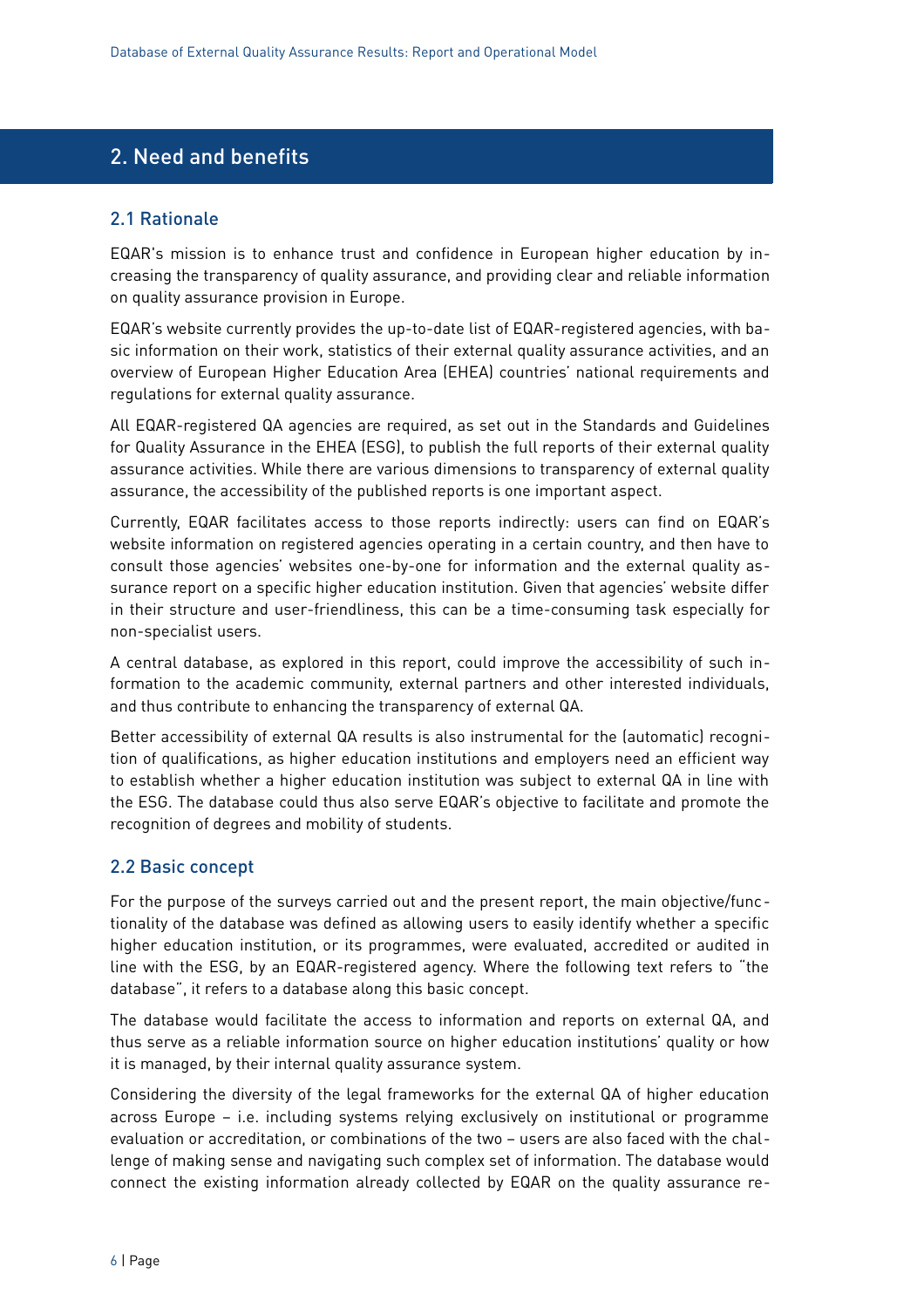## <span id="page-5-2"></span>2. Need and benefits

#### <span id="page-5-1"></span>2.1 Rationale

EQAR's mission is to enhance trust and confidence in European higher education by increasing the transparency of quality assurance, and providing clear and reliable information on quality assurance provision in Europe.

EQAR's website currently provides the up-to-date list of EQAR-registered agencies, with basic information on their work, statistics of their external quality assurance activities, and an overview of European Higher Education Area (EHEA) countries' national requirements and regulations for external quality assurance.

All EQAR-registered QA agencies are required, as set out in the Standards and Guidelines for Quality Assurance in the EHEA (ESG), to publish the full reports of their external quality assurance activities. While there are various dimensions to transparency of external quality assurance, the accessibility of the published reports is one important aspect.

Currently, EQAR facilitates access to those reports indirectly: users can find on EQAR's website information on registered agencies operating in a certain country, and then have to consult those agencies' websites one-by-one for information and the external quality assurance report on a specific higher education institution. Given that agencies' website differ in their structure and user-friendliness, this can be a time-consuming task especially for non-specialist users.

A central database, as explored in this report, could improve the accessibility of such information to the academic community, external partners and other interested individuals, and thus contribute to enhancing the transparency of external QA.

Better accessibility of external QA results is also instrumental for the (automatic) recognition of qualifications, as higher education institutions and employers need an efficient way to establish whether a higher education institution was subject to external QA in line with the ESG. The database could thus also serve EQAR's objective to facilitate and promote the recognition of degrees and mobility of students.

#### <span id="page-5-0"></span>2.2 Basic concept

For the purpose of the surveys carried out and the present report, the main objective/functionality of the database was defined as allowing users to easily identify whether a specific higher education institution, or its programmes, were evaluated, accredited or audited in line with the ESG, by an EQAR-registered agency. Where the following text refers to "the database", it refers to a database along this basic concept.

The database would facilitate the access to information and reports on external QA, and thus serve as a reliable information source on higher education institutions' quality or how it is managed, by their internal quality assurance system.

Considering the diversity of the legal frameworks for the external QA of higher education across Europe – i.e. including systems relying exclusively on institutional or programme evaluation or accreditation, or combinations of the two – users are also faced with the challenge of making sense and navigating such complex set of information. The database would connect the existing information already collected by EQAR on the quality assurance re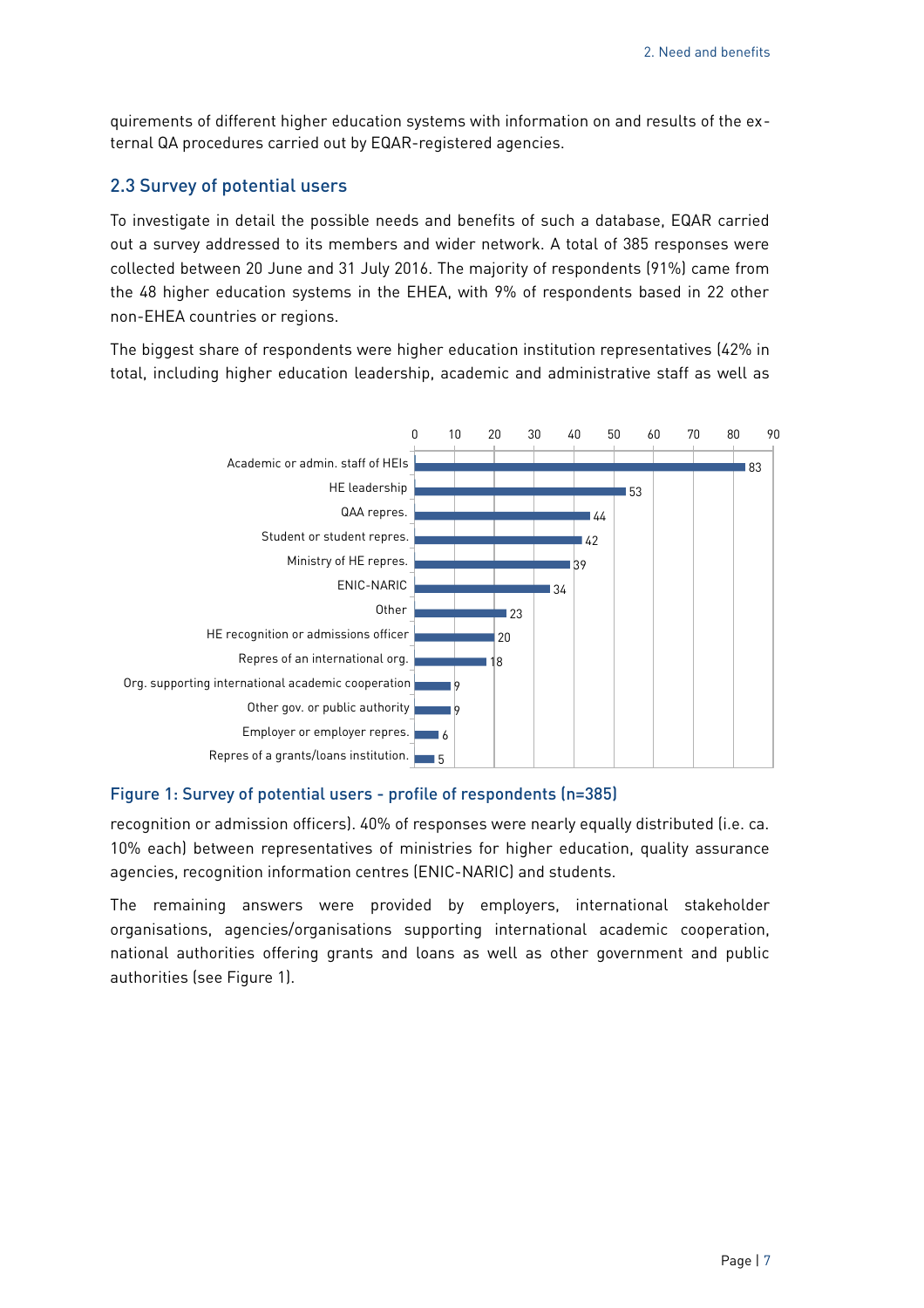quirements of different higher education systems with information on and results of the external QA procedures carried out by EQAR-registered agencies.

#### <span id="page-6-0"></span>2.3 Survey of potential users

To investigate in detail the possible needs and benefits of such a database, EQAR carried out a survey addressed to its members and wider network. A total of 385 responses were collected between 20 June and 31 July 2016. The majority of respondents (91%) came from the 48 higher education systems in the EHEA, with 9% of respondents based in 22 other non-EHEA countries or regions.

The biggest share of respondents were higher education institution representatives (42% in total, including higher education leadership, academic and administrative staff as well as



#### <span id="page-6-1"></span>Figure 1: Survey of potential users - profile of respondents (n=385)

recognition or admission officers). 40% of responses were nearly equally distributed (i.e. ca. 10% each) between representatives of ministries for higher education, quality assurance agencies, recognition information centres (ENIC-NARIC) and students.

The remaining answers were provided by employers, international stakeholder organisations, agencies/organisations supporting international academic cooperation, national authorities offering grants and loans as well as other government and public authorities (see [Figure 1\)](#page-6-1).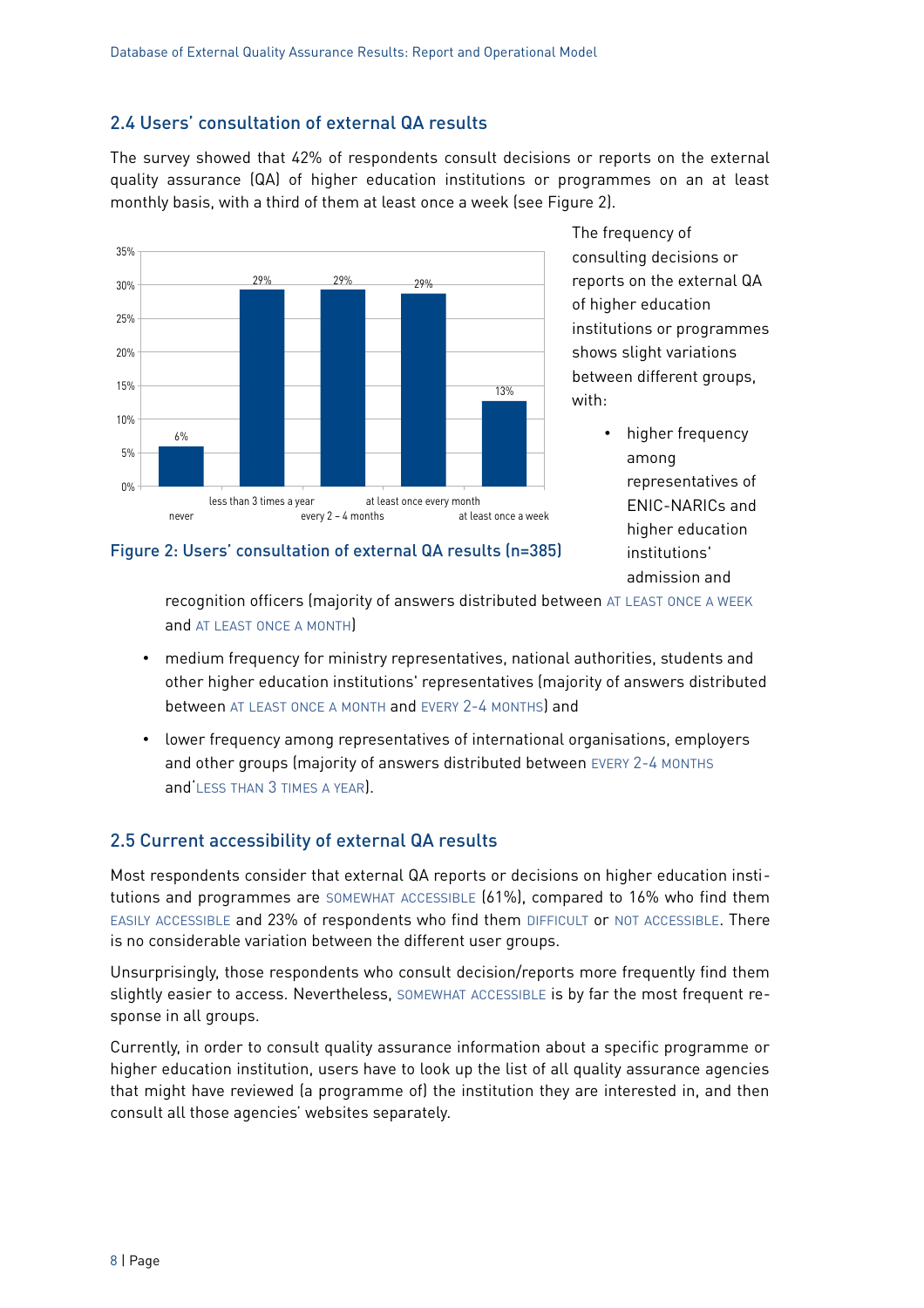### <span id="page-7-1"></span>2.4 Users' consultation of external QA results

The survey showed that 42% of respondents consult decisions or reports on the external quality assurance (QA) of higher education institutions or programmes on an at least monthly basis, with a third of them at least once a week (see [Figure 2\)](#page-7-2).



The frequency of consulting decisions or reports on the external QA of higher education institutions or programmes shows slight variations between different groups, with:

> • higher frequency among representatives of ENIC-NARICs and higher education institutions' admission and

<span id="page-7-2"></span>

recognition officers (majority of answers distributed between AT LEAST ONCE A WEEK and AT LEAST ONCE A MONTH)

- medium frequency for ministry representatives, national authorities, students and other higher education institutions' representatives (majority of answers distributed between AT LEAST ONCE A MONTH and EVERY 2-4 MONTHS) and
- lower frequency among representatives of international organisations, employers and other groups (majority of answers distributed between EVERY 2-4 MONTHS and'LESS THAN 3 TIMES A YEAR).

#### <span id="page-7-0"></span>2.5 Current accessibility of external QA results

Most respondents consider that external QA reports or decisions on higher education institutions and programmes are SOMEWHAT ACCESSIBLE (61%), compared to 16% who find them EASILY ACCESSIBLE and 23% of respondents who find them DIFFICULT or NOT ACCESSIBLE. There is no considerable variation between the different user groups.

Unsurprisingly, those respondents who consult decision/reports more frequently find them slightly easier to access. Nevertheless, SOMEWHAT ACCESSIBLE is by far the most frequent response in all groups.

Currently, in order to consult quality assurance information about a specific programme or higher education institution, users have to look up the list of all quality assurance agencies that might have reviewed (a programme of) the institution they are interested in, and then consult all those agencies' websites separately.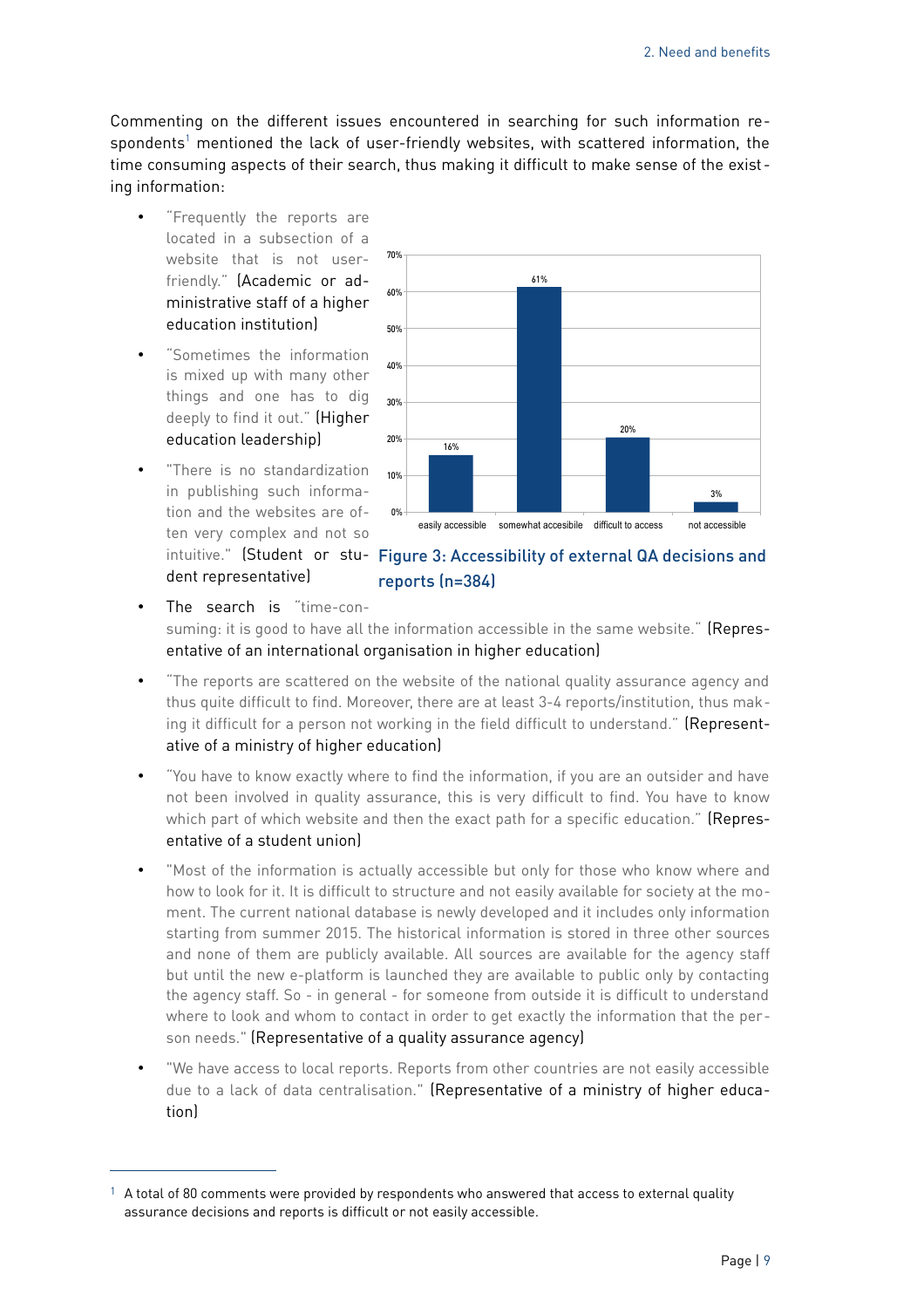Commenting on the different issues encountered in searching for such information respondents $^1$  $^1$  mentioned the lack of user-friendly websites, with scattered information, the time consuming aspects of their search, thus making it difficult to make sense of the exist ing information:

- "Frequently the reports are located in a subsection of a website that is not userfriendly." (Academic or administrative staff of a higher education institution)
- "Sometimes the information is mixed up with many other things and one has to dig deeply to find it out." (Higher education leadership)
- "There is no standardization in publishing such information and the websites are often very complex and not so dent representative)



#### intuitive." (Student or stu- Figure 3: Accessibility of external QA decisions and reports (n=384)

- The search is "time-consuming: it is good to have all the information accessible in the same website." (Representative of an international organisation in higher education)
- "The reports are scattered on the website of the national quality assurance agency and thus quite difficult to find. Moreover, there are at least 3-4 reports/institution, thus making it difficult for a person not working in the field difficult to understand." (Representative of a ministry of higher education)
- "You have to know exactly where to find the information, if you are an outsider and have not been involved in quality assurance, this is very difficult to find. You have to know which part of which website and then the exact path for a specific education." (Representative of a student union)
- "Most of the information is actually accessible but only for those who know where and how to look for it. It is difficult to structure and not easily available for society at the moment. The current national database is newly developed and it includes only information starting from summer 2015. The historical information is stored in three other sources and none of them are publicly available. All sources are available for the agency staff but until the new e-platform is launched they are available to public only by contacting the agency staff. So - in general - for someone from outside it is difficult to understand where to look and whom to contact in order to get exactly the information that the person needs." (Representative of a quality assurance agency)
- "We have access to local reports. Reports from other countries are not easily accessible due to a lack of data centralisation." (Representative of a ministry of higher education)

<span id="page-8-0"></span> $1$  A total of 80 comments were provided by respondents who answered that access to external quality assurance decisions and reports is difficult or not easily accessible.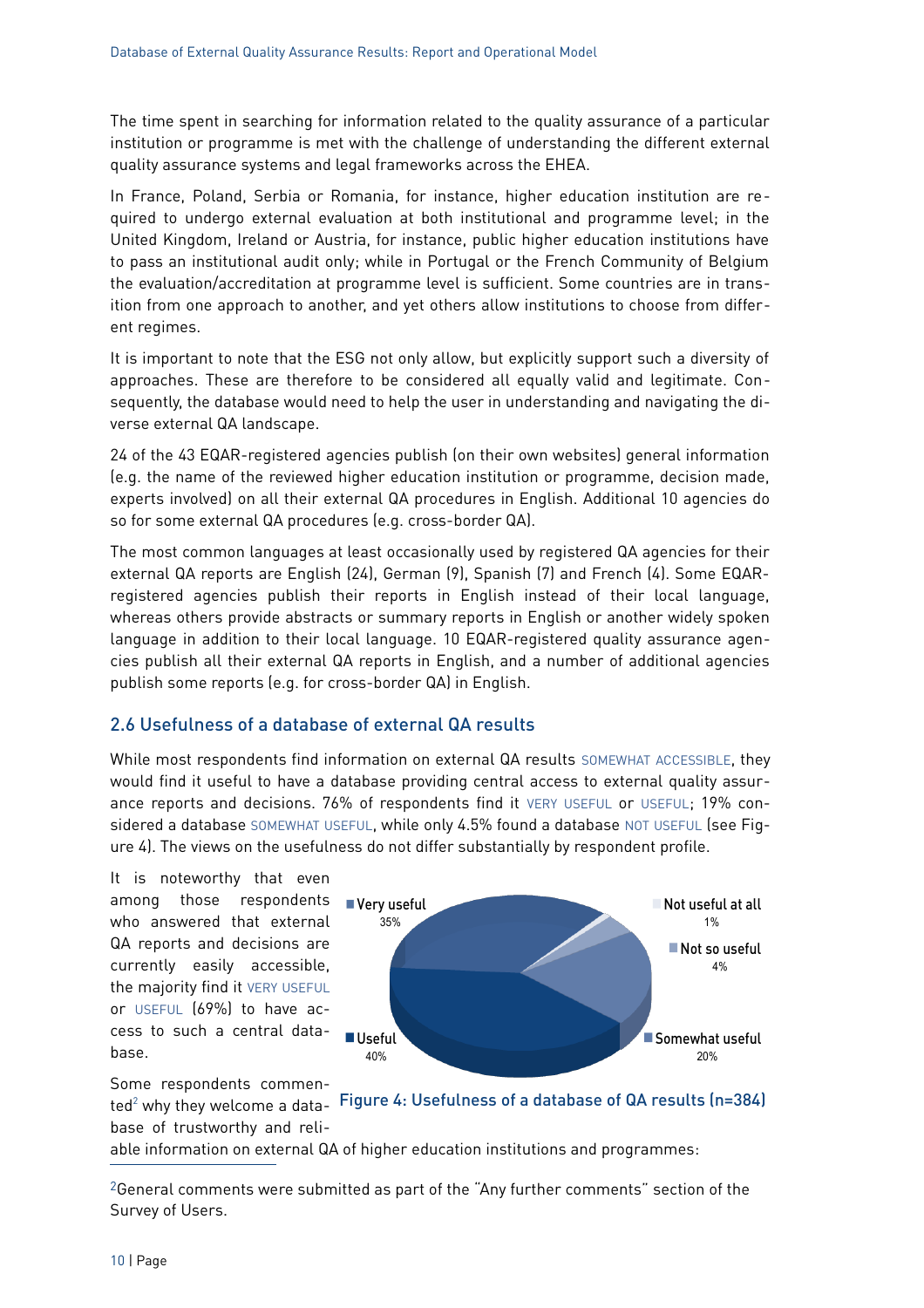The time spent in searching for information related to the quality assurance of a particular institution or programme is met with the challenge of understanding the different external quality assurance systems and legal frameworks across the EHEA.

In France, Poland, Serbia or Romania, for instance, higher education institution are required to undergo external evaluation at both institutional and programme level; in the United Kingdom, Ireland or Austria, for instance, public higher education institutions have to pass an institutional audit only; while in Portugal or the French Community of Belgium the evaluation/accreditation at programme level is sufficient. Some countries are in transition from one approach to another, and yet others allow institutions to choose from different regimes.

It is important to note that the ESG not only allow, but explicitly support such a diversity of approaches. These are therefore to be considered all equally valid and legitimate. Consequently, the database would need to help the user in understanding and navigating the diverse external QA landscape.

24 of the 43 EQAR-registered agencies publish (on their own websites) general information (e.g. the name of the reviewed higher education institution or programme, decision made, experts involved) on all their external QA procedures in English. Additional 10 agencies do so for some external QA procedures (e.g. cross-border QA).

The most common languages at least occasionally used by registered QA agencies for their external QA reports are English (24), German (9), Spanish (7) and French (4). Some EQARregistered agencies publish their reports in English instead of their local language, whereas others provide abstracts or summary reports in English or another widely spoken language in addition to their local language. 10 EQAR-registered quality assurance agencies publish all their external QA reports in English, and a number of additional agencies publish some reports (e.g. for cross-border QA) in English.

#### <span id="page-9-0"></span>2.6 Usefulness of a database of external QA results

While most respondents find information on external QA results SOMEWHAT ACCESSIBLE, they would find it useful to have a database providing central access to external quality assurance reports and decisions. 76% of respondents find it VERY USEFUL or USEFUL; 19% considered a database SOMEWHAT USEFUL, while only 4.5% found a database NOT USEFUL (see [Fig](#page-9-1)[ure 4\)](#page-9-1). The views on the usefulness do not differ substantially by respondent profile.

It is noteworthy that even among those respondents who answered that external QA reports and decisions are currently easily accessible, the majority find it VERY USEFUL or USEFUL (69%) to have access to such a central database.

<span id="page-9-1"></span>

Some respondents commenbase of trustworthy and reli-

ted<sup>[2](#page-9-2)</sup> why they welcome a data- Figure 4: Usefulness of a database of QA results (n=384)

able information on external QA of higher education institutions and programmes:

<span id="page-9-2"></span>2General comments were submitted as part of the "Any further comments" section of the Survey of Users.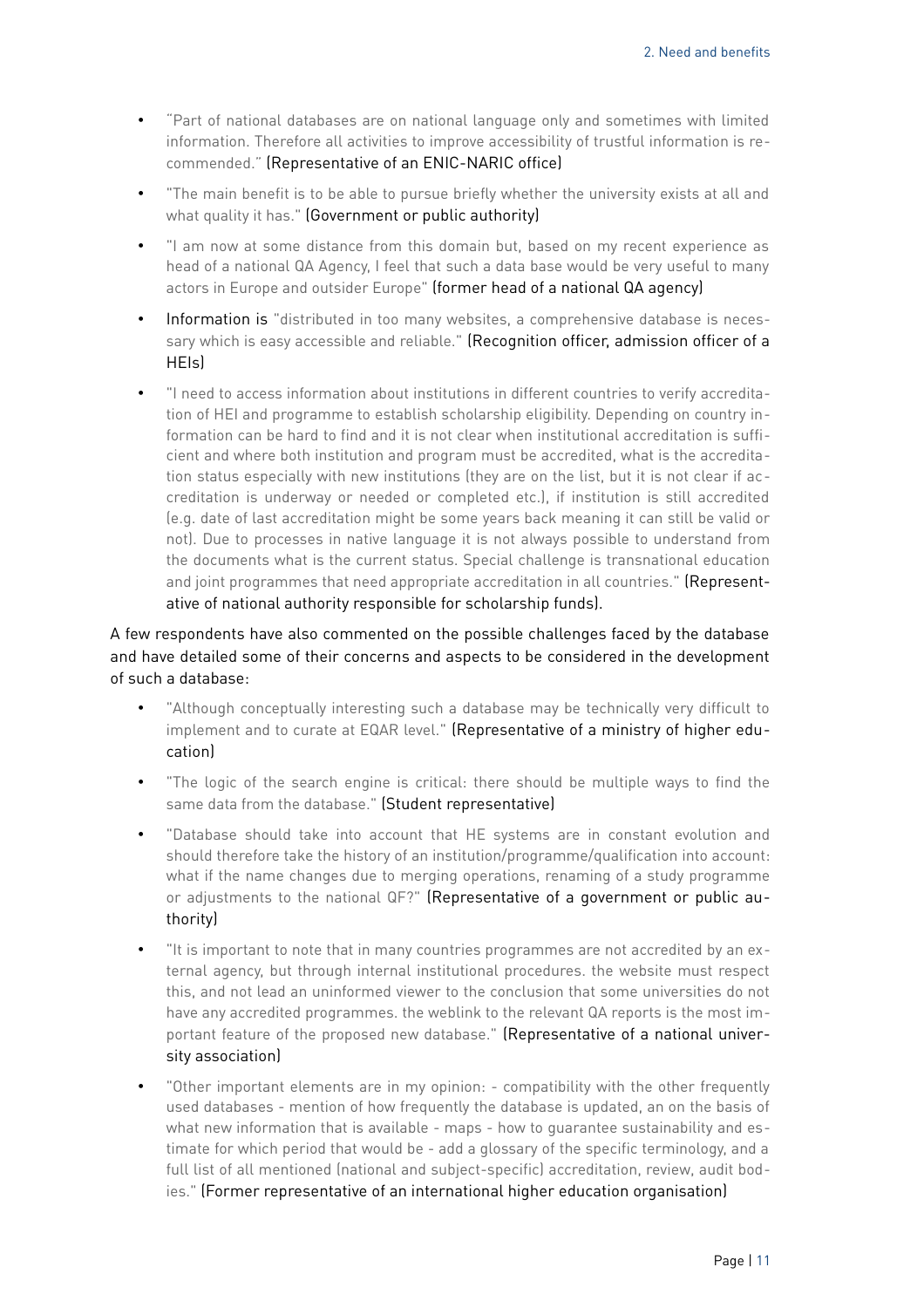- "Part of national databases are on national language only and sometimes with limited information. Therefore all activities to improve accessibility of trustful information is recommended." (Representative of an ENIC-NARIC office)
- "The main benefit is to be able to pursue briefly whether the university exists at all and what quality it has." (Government or public authority)
- "I am now at some distance from this domain but, based on my recent experience as head of a national QA Agency, I feel that such a data base would be very useful to many actors in Europe and outsider Europe" (former head of a national QA agency)
- Information is "distributed in too many websites, a comprehensive database is necessary which is easy accessible and reliable." (Recognition officer, admission officer of a HEIs)
- "I need to access information about institutions in different countries to verify accreditation of HEI and programme to establish scholarship eligibility. Depending on country information can be hard to find and it is not clear when institutional accreditation is sufficient and where both institution and program must be accredited, what is the accreditation status especially with new institutions (they are on the list, but it is not clear if accreditation is underway or needed or completed etc.), if institution is still accredited (e.g. date of last accreditation might be some years back meaning it can still be valid or not). Due to processes in native language it is not always possible to understand from the documents what is the current status. Special challenge is transnational education and joint programmes that need appropriate accreditation in all countries." (Representative of national authority responsible for scholarship funds).

A few respondents have also commented on the possible challenges faced by the database and have detailed some of their concerns and aspects to be considered in the development of such a database:

- "Although conceptually interesting such a database may be technically very difficult to implement and to curate at EQAR level." (Representative of a ministry of higher education)
- "The logic of the search engine is critical: there should be multiple ways to find the same data from the database." (Student representative)
- "Database should take into account that HE systems are in constant evolution and should therefore take the history of an institution/programme/qualification into account: what if the name changes due to merging operations, renaming of a study programme or adjustments to the national QF?" (Representative of a government or public authority)
- "It is important to note that in many countries programmes are not accredited by an external agency, but through internal institutional procedures. the website must respect this, and not lead an uninformed viewer to the conclusion that some universities do not have any accredited programmes. the weblink to the relevant QA reports is the most important feature of the proposed new database." (Representative of a national university association)
- "Other important elements are in my opinion: compatibility with the other frequently used databases - mention of how frequently the database is updated, an on the basis of what new information that is available - maps - how to quarantee sustainability and estimate for which period that would be - add a glossary of the specific terminology, and a full list of all mentioned (national and subject-specific) accreditation, review, audit bodies." (Former representative of an international higher education organisation)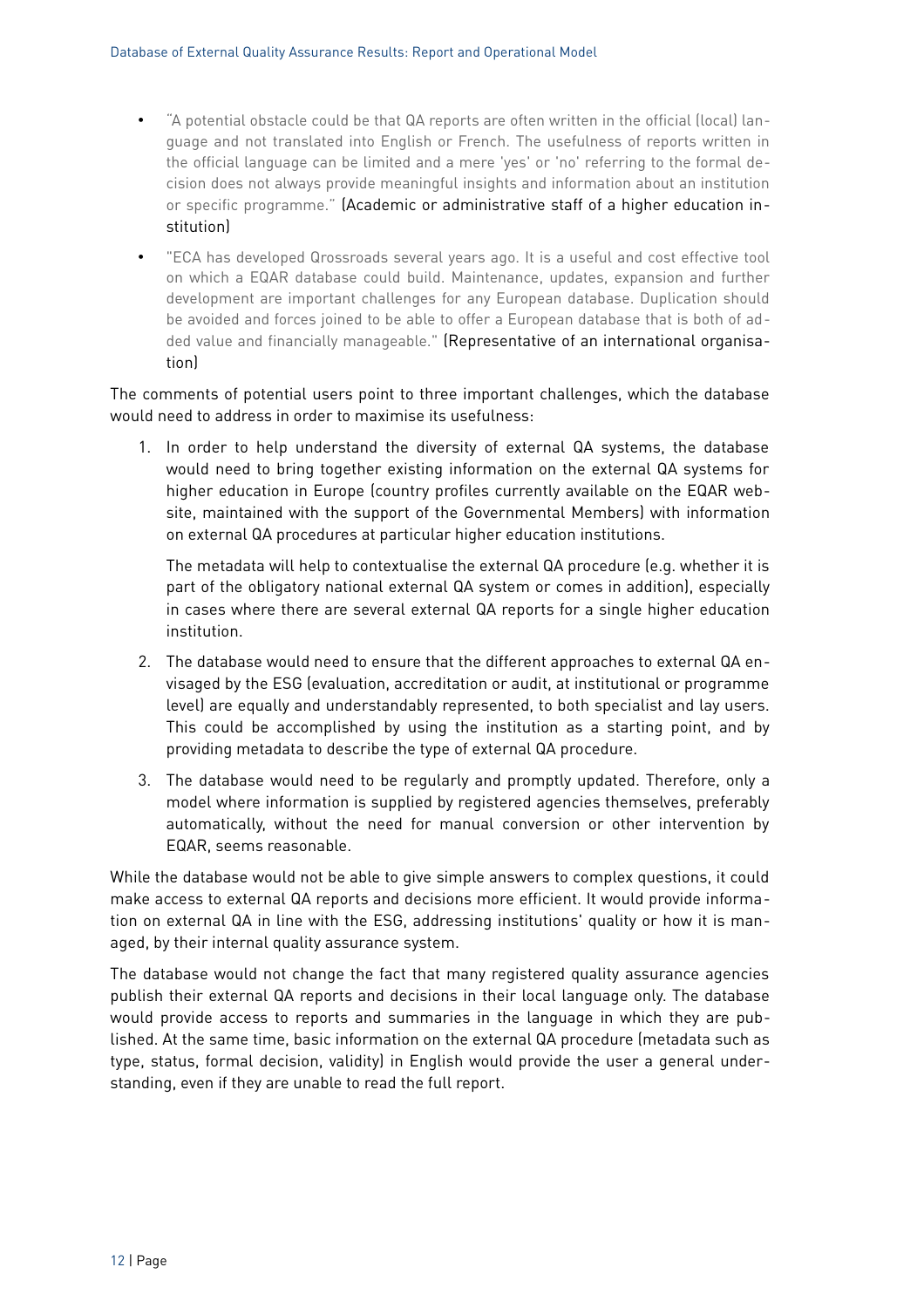- "A potential obstacle could be that QA reports are often written in the official (local) language and not translated into English or French. The usefulness of reports written in the official language can be limited and a mere 'yes' or 'no' referring to the formal decision does not always provide meaningful insights and information about an institution or specific programme." (Academic or administrative staff of a higher education institution)
- "ECA has developed Qrossroads several years ago. It is a useful and cost effective tool on which a EQAR database could build. Maintenance, updates, expansion and further development are important challenges for any European database. Duplication should be avoided and forces joined to be able to offer a European database that is both of added value and financially manageable." (Representative of an international organisation)

The comments of potential users point to three important challenges, which the database would need to address in order to maximise its usefulness:

1. In order to help understand the diversity of external QA systems, the database would need to bring together existing information on the external QA systems for higher education in Europe (country profiles currently available on the EQAR website, maintained with the support of the Governmental Members) with information on external QA procedures at particular higher education institutions.

The metadata will help to contextualise the external QA procedure (e.g. whether it is part of the obligatory national external QA system or comes in addition), especially in cases where there are several external QA reports for a single higher education institution.

- 2. The database would need to ensure that the different approaches to external QA envisaged by the ESG (evaluation, accreditation or audit, at institutional or programme level) are equally and understandably represented, to both specialist and lay users. This could be accomplished by using the institution as a starting point, and by providing metadata to describe the type of external QA procedure.
- 3. The database would need to be regularly and promptly updated. Therefore, only a model where information is supplied by registered agencies themselves, preferably automatically, without the need for manual conversion or other intervention by EQAR, seems reasonable.

While the database would not be able to give simple answers to complex questions, it could make access to external QA reports and decisions more efficient. It would provide information on external QA in line with the ESG, addressing institutions' quality or how it is managed, by their internal quality assurance system.

The database would not change the fact that many registered quality assurance agencies publish their external QA reports and decisions in their local language only. The database would provide access to reports and summaries in the language in which they are published. At the same time, basic information on the external QA procedure (metadata such as type, status, formal decision, validity) in English would provide the user a general understanding, even if they are unable to read the full report.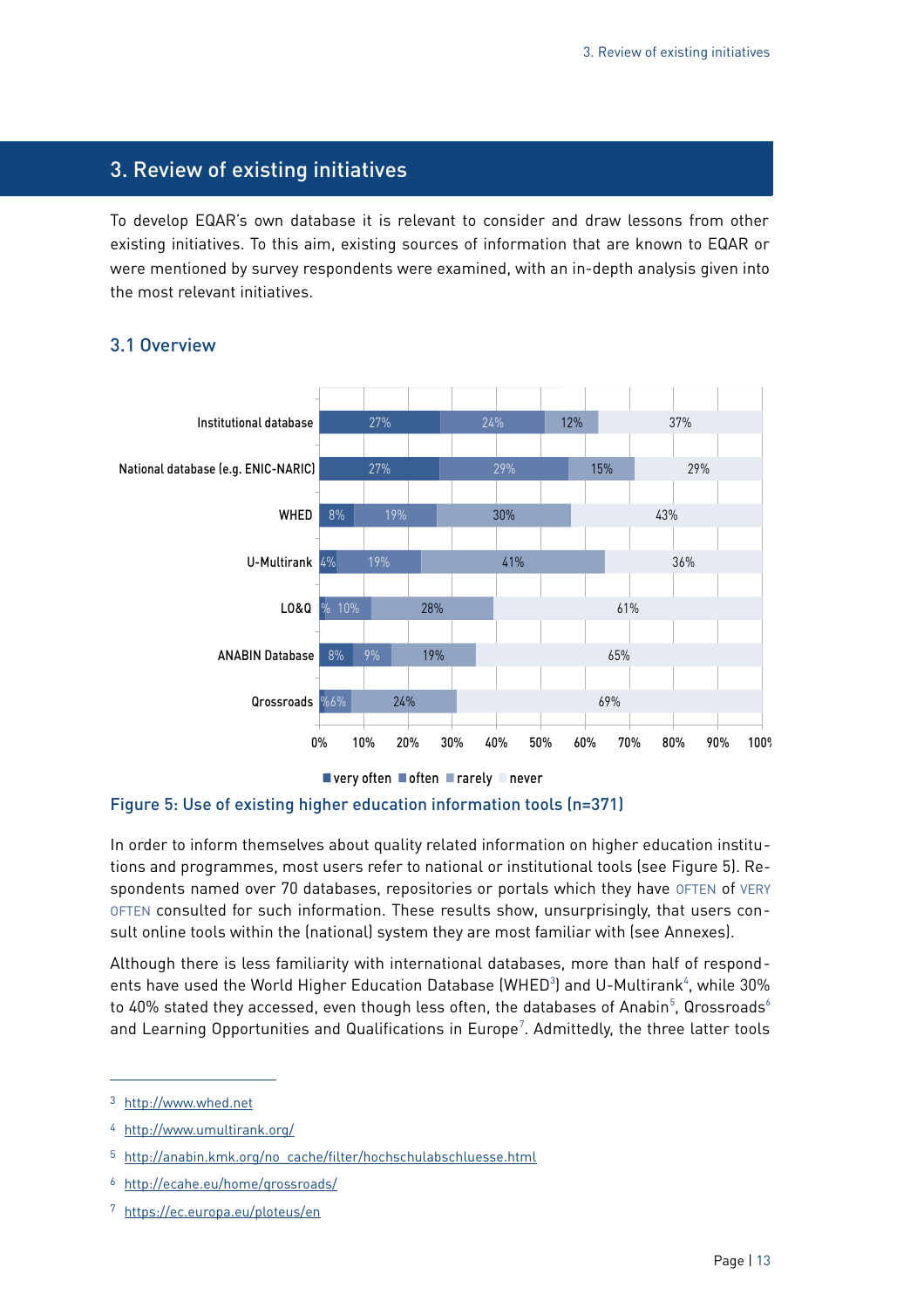## <span id="page-12-1"></span>3. Review of existing initiatives

To develop EQAR's own database it is relevant to consider and draw lessons from other existing initiatives. To this aim, existing sources of information that are known to EQAR or were mentioned by survey respondents were examined, with an in-depth analysis given into the most relevant initiatives.



#### <span id="page-12-0"></span>3.1 Overview

#### <span id="page-12-2"></span>Figure 5: Use of existing higher education information tools (n=371)

In order to inform themselves about quality related information on higher education institutions and programmes, most users refer to national or institutional tools (see [Figure 5\)](#page-12-2). Respondents named over 70 databases, repositories or portals which they have OFTEN of VERY OFTEN consulted for such information. These results show, unsurprisingly, that users consult online tools within the (national) system they are most familiar with (see [Annexes\)](#page-45-0).

Although there is less familiarity with international databases, more than half of respondents have used the World Higher Education Database (WHED $^3$  $^3$ ) and U-Multirank $^4$  $^4$ , while 30% to 40% stated they accessed, even though less often, the databases of Anabin $^5$  $^5$ , Qrossroads $^6$  $^6$ and Learning Opportunities and Qualifications in Europe<sup>[7](#page-12-7)</sup>. Admittedly, the three latter tools

<span id="page-12-3"></span><sup>3</sup> [http://www.whed.net](http://www.whed.net/)

<span id="page-12-4"></span><sup>4</sup> <http://www.umultirank.org/>

<span id="page-12-5"></span><sup>5</sup> [http://anabin.kmk.org/no\\_cache/filter/hochschulabschluesse.html](http://anabin.kmk.org/no_cache/filter/hochschulabschluesse.html)

<span id="page-12-6"></span><sup>6</sup> <http://ecahe.eu/home/qrossroads/>

<span id="page-12-7"></span><sup>7</sup> <https://ec.europa.eu/ploteus/en>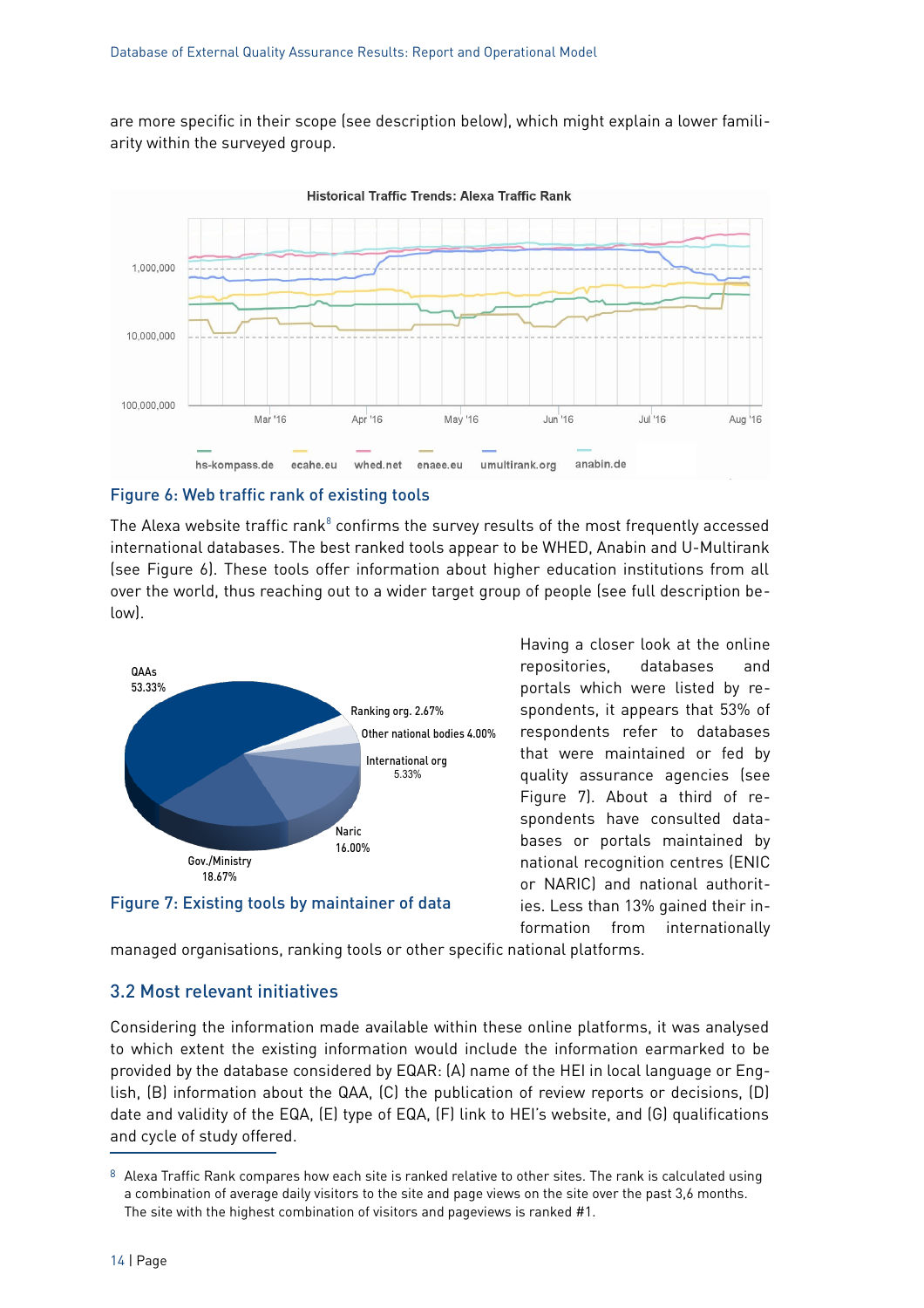are more specific in their scope (see description below), which might explain a lower familiarity within the surveyed group.



## <span id="page-13-2"></span>Figure 6: Web traffic rank of existing tools

The Alexa website traffic rank $^8$  $^8$  confirms the survey results of the most frequently accessed international databases. The best ranked tools appear to be WHED, Anabin and U-Multirank (see [Figure 6\)](#page-13-2). These tools offer information about higher education institutions from all over the world, thus reaching out to a wider target group of people (see full description below).



<span id="page-13-1"></span>Figure 7: Existing tools by maintainer of data

Having a closer look at the online repositories, databases and portals which were listed by respondents, it appears that 53% of respondents refer to databases that were maintained or fed by quality assurance agencies (see [Figure 7\)](#page-13-1). About a third of respondents have consulted databases or portals maintained by national recognition centres (ENIC or NARIC) and national authorities. Less than 13% gained their information from internationally

managed organisations, ranking tools or other specific national platforms.

#### <span id="page-13-0"></span>3.2 Most relevant initiatives

Considering the information made available within these online platforms, it was analysed to which extent the existing information would include the information earmarked to be provided by the database considered by EQAR: (A) name of the HEI in local language or English, (B) information about the QAA, (C) the publication of review reports or decisions, (D) date and validity of the EQA, (E) type of EQA, (F) link to HEI's website, and (G) qualifications and cycle of study offered.

<span id="page-13-3"></span><sup>8</sup> Alexa Traffic Rank compares how each site is ranked relative to other sites. The rank is calculated using a combination of average daily visitors to the site and page views on the site over the past 3,6 months. The site with the highest combination of visitors and pageviews is ranked #1.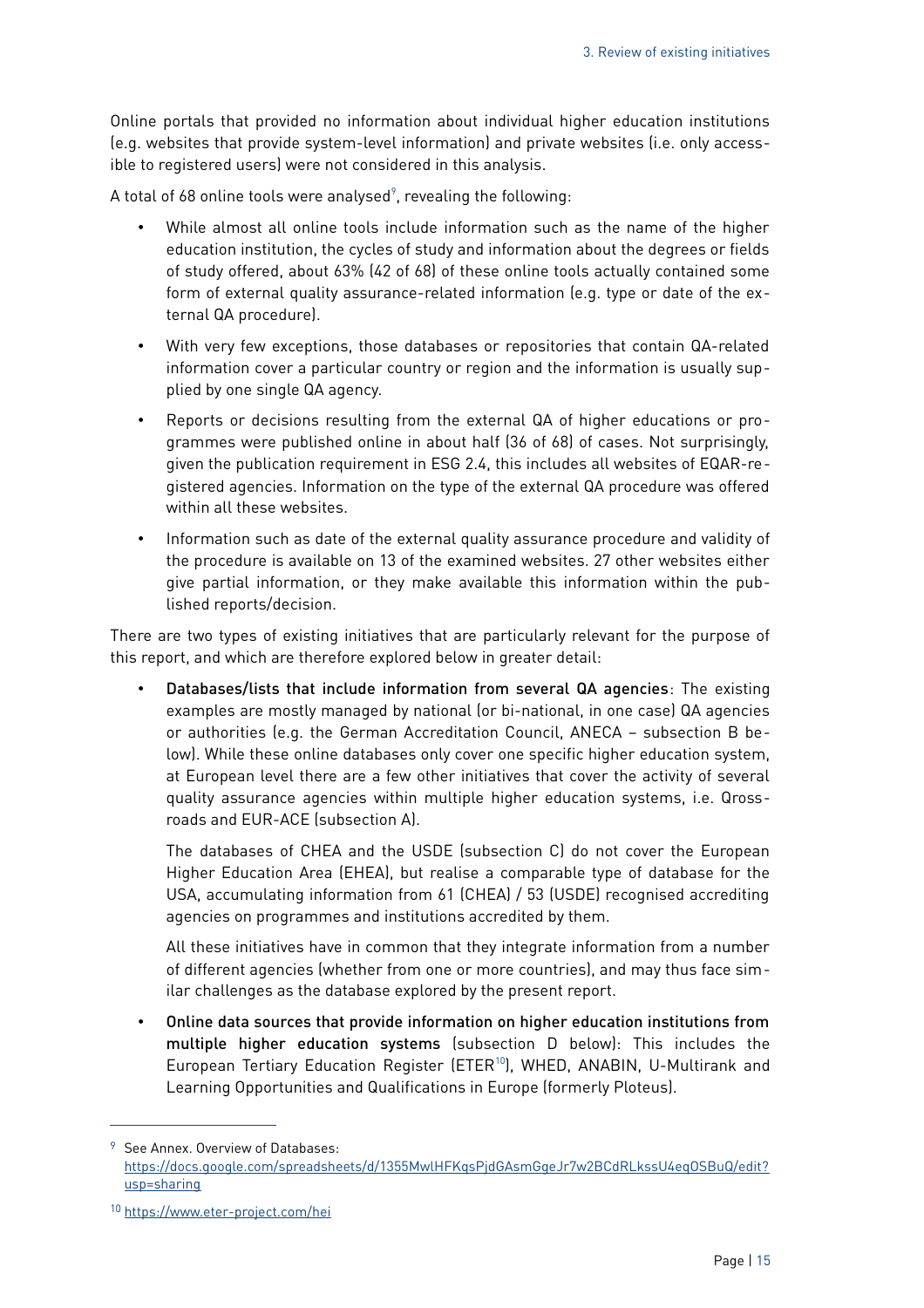Online portals that provided no information about individual higher education institutions (e.g. websites that provide system-level information) and private websites (i.e. only accessible to registered users) were not considered in this analysis.

A total of 68 online tools were analysed $\degree$ , revealing the following:

- While almost all online tools include information such as the name of the higher education institution, the cycles of study and information about the degrees or fields of study offered, about 63% (42 of 68) of these online tools actually contained some form of external quality assurance-related information (e.g. type or date of the external QA procedure).
- With very few exceptions, those databases or repositories that contain QA-related information cover a particular country or region and the information is usually supplied by one single QA agency.
- Reports or decisions resulting from the external QA of higher educations or programmes were published online in about half (36 of 68) of cases. Not surprisingly, given the publication requirement in ESG 2.4, this includes all websites of EQAR-registered agencies. Information on the type of the external QA procedure was offered within all these websites.
- Information such as date of the external quality assurance procedure and validity of the procedure is available on 13 of the examined websites. 27 other websites either give partial information, or they make available this information within the published reports/decision.

There are two types of existing initiatives that are particularly relevant for the purpose of this report, and which are therefore explored below in greater detail:

• Databases/lists that include information from several QA agencies: The existing examples are mostly managed by national (or bi-national, in one case) QA agencies or authorities (e.g. the German Accreditation Council, ANECA – subsection B below). While these online databases only cover one specific higher education system, at European level there are a few other initiatives that cover the activity of several quality assurance agencies within multiple higher education systems, i.e. Qrossroads and EUR-ACE (subsection A).

The databases of CHEA and the USDE (subsection C) do not cover the European Higher Education Area (EHEA), but realise a comparable type of database for the USA, accumulating information from 61 (CHEA) / 53 (USDE) recognised accrediting agencies on programmes and institutions accredited by them.

All these initiatives have in common that they integrate information from a number of different agencies (whether from one or more countries), and may thus face similar challenges as the database explored by the present report.

• Online data sources that provide information on higher education institutions from multiple higher education systems (subsection D below): This includes the European Tertiary Education Register (ETER<sup>[10](#page-14-1)</sup>), WHED, ANABIN, U-Multirank and Learning Opportunities and Qualifications in Europe (formerly Ploteus).

<span id="page-14-0"></span><sup>9</sup> See Annex. Overview of Databases: [https://docs.google.com/spreadsheets/d/1355MwlHFKqsPjdGAsmGgeJr7w2BCdRLkssU4eqOSBuQ/edit?](https://docs.google.com/spreadsheets/d/1355MwlHFKqsPjdGAsmGgeJr7w2BCdRLkssU4eqOSBuQ/edit?usp=sharing) [usp=sharing](https://docs.google.com/spreadsheets/d/1355MwlHFKqsPjdGAsmGgeJr7w2BCdRLkssU4eqOSBuQ/edit?usp=sharing)

<span id="page-14-1"></span><sup>10</sup> <https://www.eter-project.com/hei>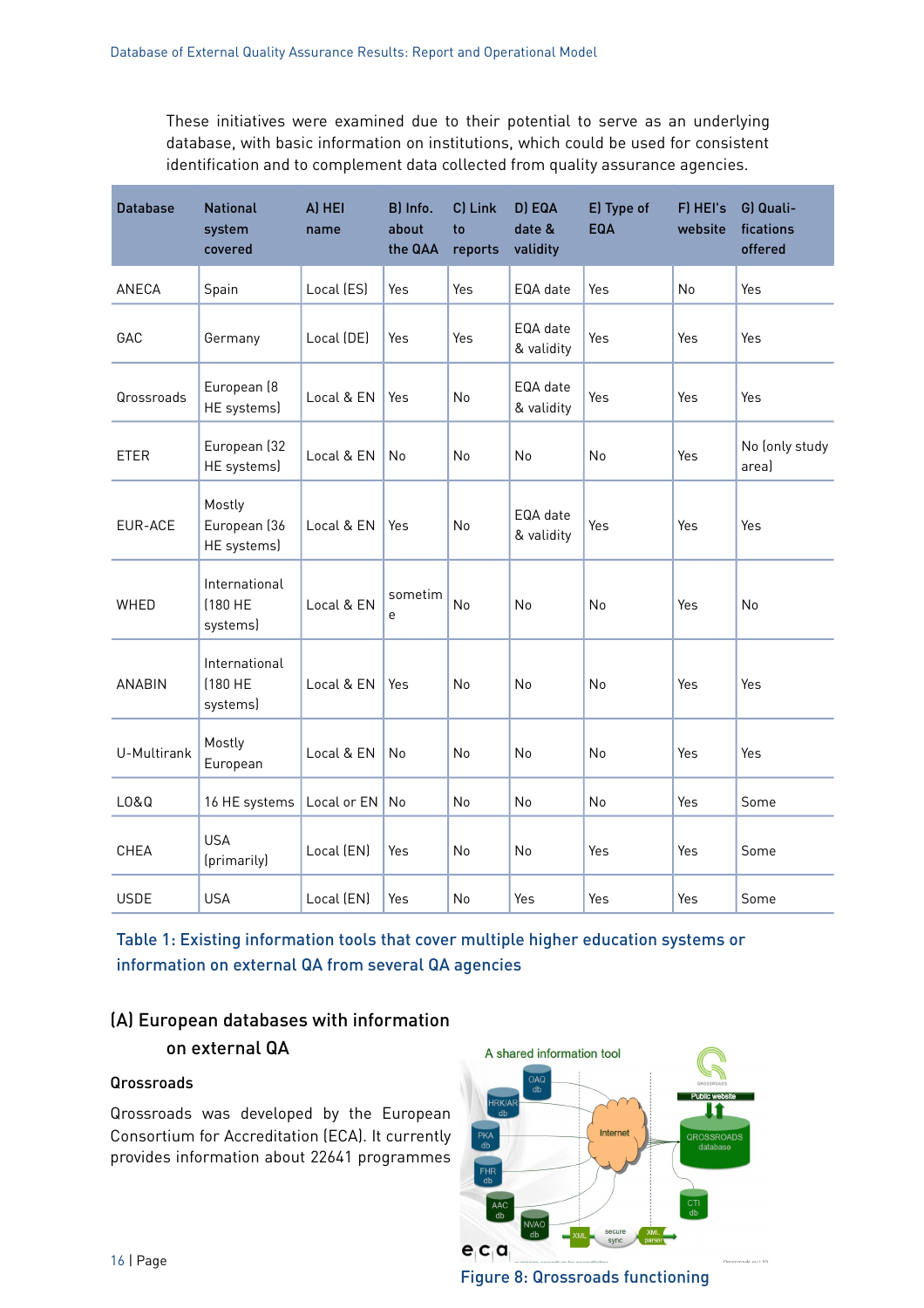These initiatives were examined due to their potential to serve as an underlying database, with basic information on institutions, which could be used for consistent identification and to complement data collected from quality assurance agencies.

| <b>Database</b> | <b>National</b><br>system<br>covered  | A) HEI<br>name | B) Info.<br>about<br>the QAA | C) Link<br>to<br>reports | D) EQA<br>date &<br>validity | E) Type of<br>EQA | F) HEI's<br>website | G) Quali-<br>fications<br>offered |
|-----------------|---------------------------------------|----------------|------------------------------|--------------------------|------------------------------|-------------------|---------------------|-----------------------------------|
| ANECA           | Spain                                 | Local (ES)     | Yes                          | Yes                      | EQA date                     | Yes               | No                  | Yes                               |
| GAC             | Germany                               | Local (DE)     | Yes                          | Yes                      | EQA date<br>& validity       | Yes               | Yes                 | Yes                               |
| Qrossroads      | European (8<br>HE systems)            | Local & EN     | Yes                          | No                       | EQA date<br>& validity       | Yes               | Yes                 | Yes                               |
| <b>ETER</b>     | European (32<br>HE systems)           | Local & EN     | No                           | No                       | No                           | No                | Yes                 | No (only study<br>area)           |
| EUR-ACE         | Mostly<br>European (36<br>HE systems) | Local & EN     | Yes                          | <b>No</b>                | EQA date<br>& validity       | Yes               | Yes                 | Yes                               |
| WHED            | International<br>[180 HE<br>systems)  | Local & EN     | sometim<br>e                 | No                       | No                           | No                | Yes                 | No                                |
| <b>ANABIN</b>   | International<br>[180 HE<br>systems)  | Local & EN     | Yes                          | No                       | No                           | N <sub>o</sub>    | Yes                 | Yes                               |
| U-Multirank     | Mostly<br>European                    | Local & EN     | No                           | No                       | No                           | No                | Yes                 | Yes                               |
| L0&Q            | 16 HE systems                         | Local or EN    | No                           | No                       | No.                          | No                | Yes                 | Some                              |
| CHEA            | <b>USA</b><br>(primarily)             | Local (EN)     | Yes                          | No                       | No                           | Yes               | Yes                 | Some                              |
| <b>USDE</b>     | <b>USA</b>                            | Local (EN)     | Yes                          | No                       | Yes                          | Yes               | Yes                 | Some                              |

Table 1: Existing information tools that cover multiple higher education systems or information on external QA from several QA agencies

## (A) European databases with information on external QA

#### Qrossroads

Qrossroads was developed by the European Consortium for Accreditation (ECA). It currently provides information about 22641 programmes



Figure 8: Qrossroads functioning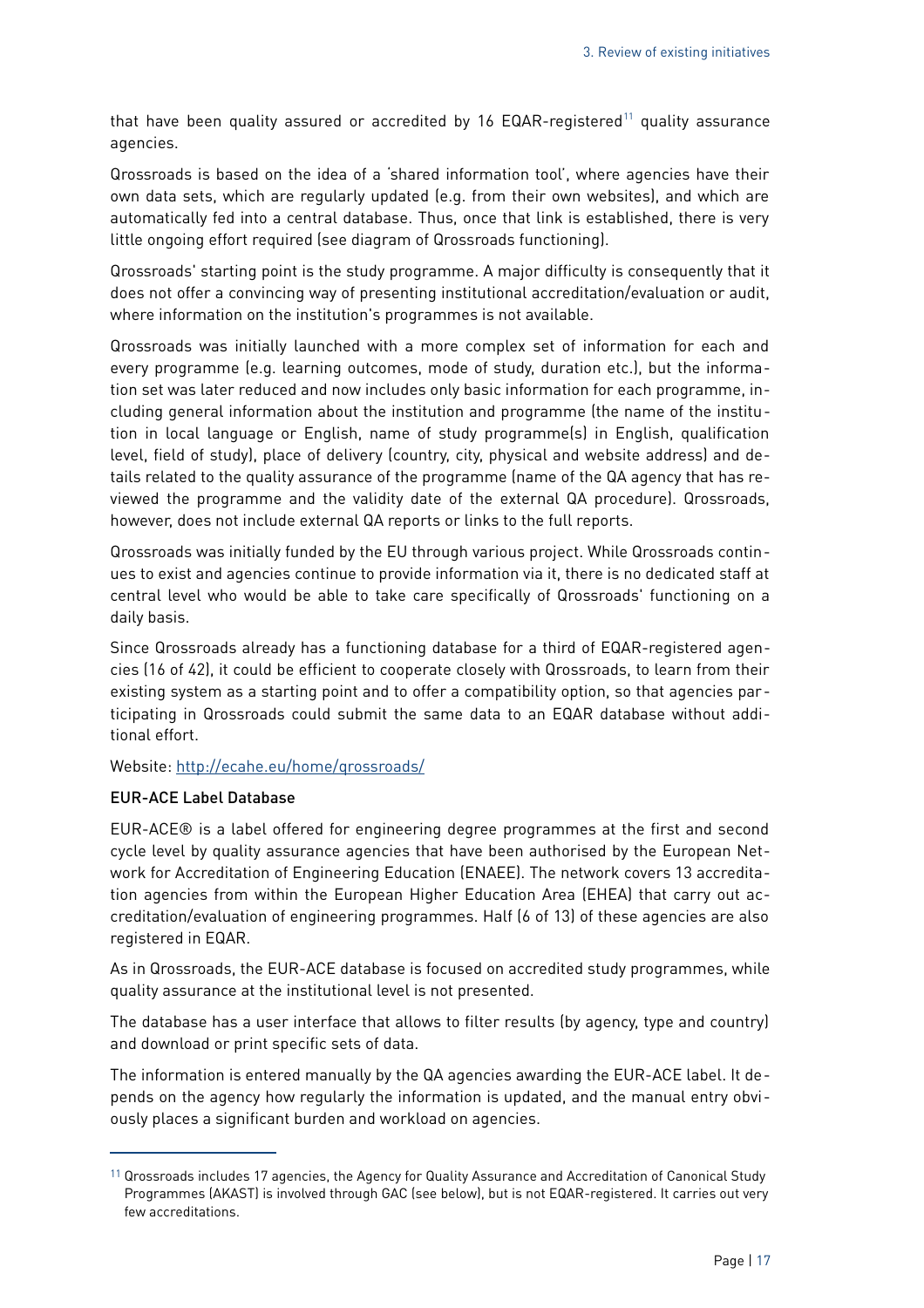that have been quality assured or accredited by 16 EQAR-registered<sup>[11](#page-16-0)</sup> quality assurance agencies.

Qrossroads is based on the idea of a 'shared information tool', where agencies have their own data sets, which are regularly updated (e.g. from their own websites), and which are automatically fed into a central database. Thus, once that link is established, there is very little ongoing effort required (see diagram of Qrossroads functioning).

Qrossroads' starting point is the study programme. A major difficulty is consequently that it does not offer a convincing way of presenting institutional accreditation/evaluation or audit, where information on the institution's programmes is not available.

Qrossroads was initially launched with a more complex set of information for each and every programme (e.g. learning outcomes, mode of study, duration etc.), but the information set was later reduced and now includes only basic information for each programme, including general information about the institution and programme (the name of the institution in local language or English, name of study programme(s) in English, qualification level, field of study), place of delivery (country, city, physical and website address) and details related to the quality assurance of the programme (name of the QA agency that has reviewed the programme and the validity date of the external QA procedure). Qrossroads, however, does not include external QA reports or links to the full reports.

Qrossroads was initially funded by the EU through various project. While Qrossroads continues to exist and agencies continue to provide information via it, there is no dedicated staff at central level who would be able to take care specifically of Qrossroads' functioning on a daily basis.

Since Qrossroads already has a functioning database for a third of EQAR-registered agencies (16 of 42), it could be efficient to cooperate closely with Qrossroads, to learn from their existing system as a starting point and to offer a compatibility option, so that agencies participating in Qrossroads could submit the same data to an EQAR database without additional effort.

Website:<http://ecahe.eu/home/qrossroads/>

#### EUR-ACE Label Database

EUR-ACE® is a label offered for engineering degree programmes at the first and second cycle level by quality assurance agencies that have been authorised by the European Network for Accreditation of Engineering Education (ENAEE). The network covers 13 accreditation agencies from within the European Higher Education Area (EHEA) that carry out accreditation/evaluation of engineering programmes. Half (6 of 13) of these agencies are also registered in EQAR.

As in Qrossroads, the EUR-ACE database is focused on accredited study programmes, while quality assurance at the institutional level is not presented.

The database has a user interface that allows to filter results (by agency, type and country) and download or print specific sets of data.

The information is entered manually by the QA agencies awarding the EUR-ACE label. It depends on the agency how regularly the information is updated, and the manual entry obviously places a significant burden and workload on agencies.

<span id="page-16-0"></span><sup>&</sup>lt;sup>11</sup> Qrossroads includes 17 agencies, the Agency for Quality Assurance and Accreditation of Canonical Study Programmes (AKAST) is involved through GAC (see below), but is not EQAR-registered. It carries out very few accreditations.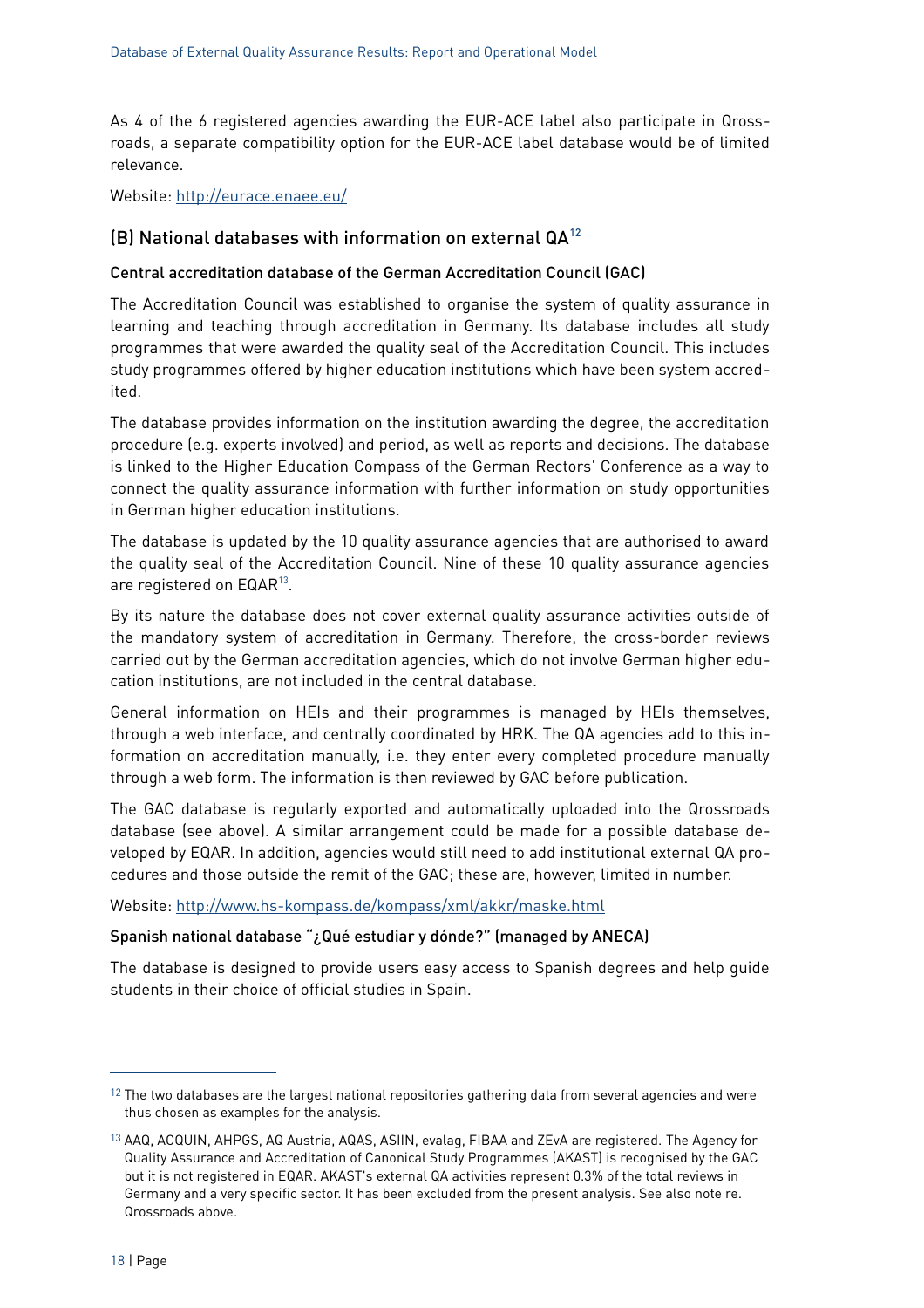As 4 of the 6 registered agencies awarding the EUR-ACE label also participate in Qrossroads, a separate compatibility option for the EUR-ACE label database would be of limited relevance.

Website:<http://eurace.enaee.eu/>

#### (B) National databases with information on external  $QA^{12}$  $QA^{12}$  $QA^{12}$

#### Central accreditation database of the German Accreditation Council (GAC)

The Accreditation Council was established to organise the system of quality assurance in learning and teaching through accreditation in Germany. Its database includes all study programmes that were awarded the quality seal of the Accreditation Council. This includes study programmes offered by higher education institutions which have been system accredited.

The database provides information on the institution awarding the degree, the accreditation procedure (e.g. experts involved) and period, as well as reports and decisions. The database is linked to the Higher Education Compass of the German Rectors' Conference as a way to connect the quality assurance information with further information on study opportunities in German higher education institutions.

The database is updated by the 10 quality assurance agencies that are authorised to award the quality seal of the Accreditation Council. Nine of these 10 quality assurance agencies are registered on  $\mathsf{EQAR}^{13}.$  $\mathsf{EQAR}^{13}.$  $\mathsf{EQAR}^{13}.$ 

By its nature the database does not cover external quality assurance activities outside of the mandatory system of accreditation in Germany. Therefore, the cross-border reviews carried out by the German accreditation agencies, which do not involve German higher education institutions, are not included in the central database.

General information on HEIs and their programmes is managed by HEIs themselves, through a web interface, and centrally coordinated by HRK. The QA agencies add to this information on accreditation manually, i.e. they enter every completed procedure manually through a web form. The information is then reviewed by GAC before publication.

The GAC database is regularly exported and automatically uploaded into the Qrossroads database (see above). A similar arrangement could be made for a possible database developed by EQAR. In addition, agencies would still need to add institutional external QA procedures and those outside the remit of the GAC; these are, however, limited in number.

Website:<http://www.hs-kompass.de/kompass/xml/akkr/maske.html>

#### Spanish national database "¿Qué estudiar y dónde?" (managed by ANECA)

The database is designed to provide users easy access to Spanish degrees and help guide students in their choice of official studies in Spain.

<span id="page-17-0"></span> $12$  The two databases are the largest national repositories gathering data from several agencies and were thus chosen as examples for the analysis.

<span id="page-17-1"></span><sup>13</sup> AAQ, ACQUIN, AHPGS, AQ Austria, AQAS, ASIIN, evalag, FIBAA and ZEvA are registered. The Agency for Quality Assurance and Accreditation of Canonical Study Programmes (AKAST) is recognised by the GAC but it is not registered in EQAR. AKAST's external QA activities represent 0.3% of the total reviews in Germany and a very specific sector. It has been excluded from the present analysis. See also note re. Qrossroads above.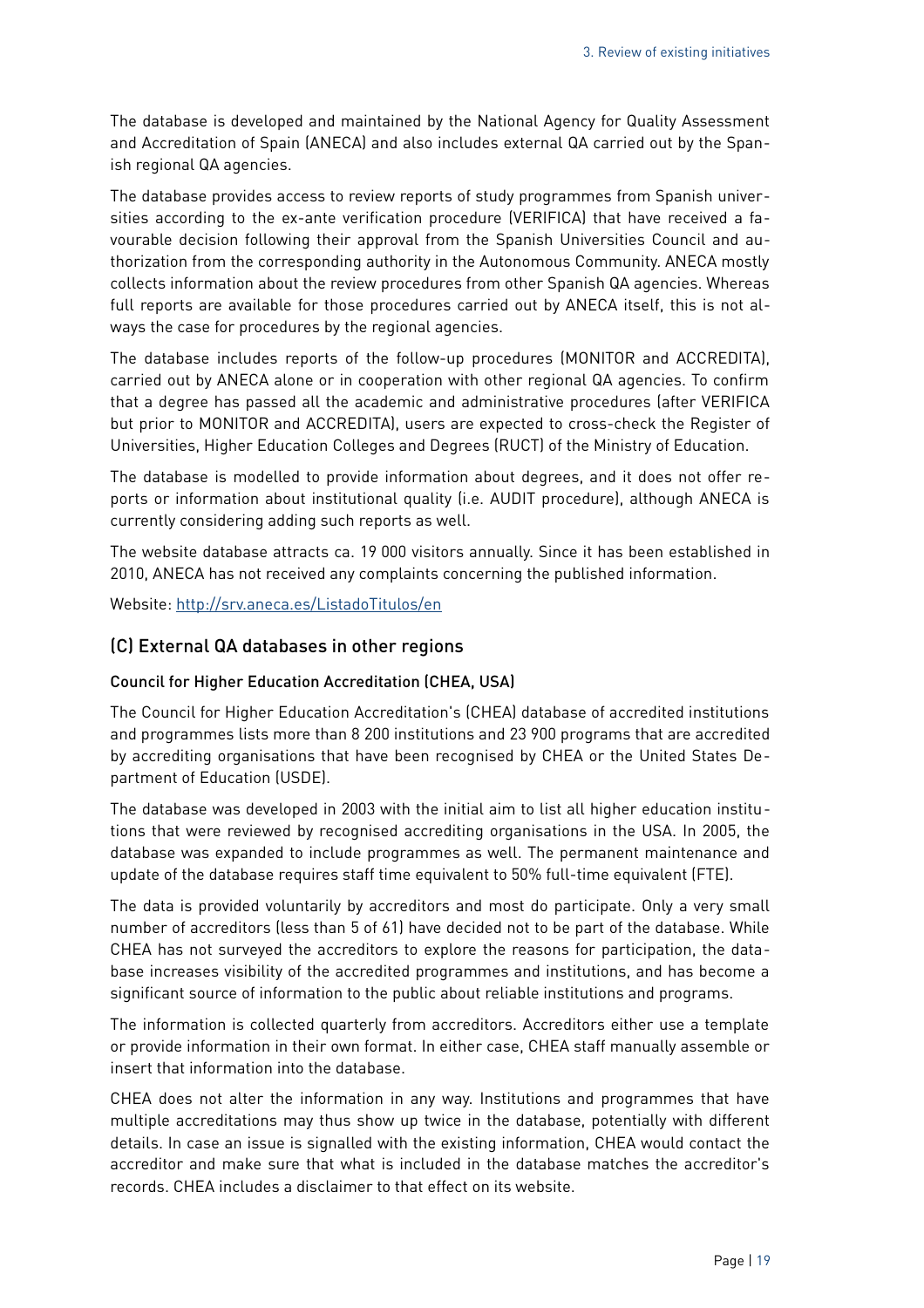The database is developed and maintained by the National Agency for Quality Assessment and Accreditation of Spain (ANECA) and also includes external QA carried out by the Spanish regional QA agencies.

The database provides access to review reports of study programmes from Spanish universities according to the ex-ante verification procedure (VERIFICA) that have received a favourable decision following their approval from the Spanish Universities Council and authorization from the corresponding authority in the Autonomous Community. ANECA mostly collects information about the review procedures from other Spanish QA agencies. Whereas full reports are available for those procedures carried out by ANECA itself, this is not always the case for procedures by the regional agencies.

The database includes reports of the follow-up procedures (MONITOR and ACCREDITA), carried out by ANECA alone or in cooperation with other regional QA agencies. To confirm that a degree has passed all the academic and administrative procedures (after VERIFICA but prior to MONITOR and ACCREDITA), users are expected to cross-check the Register of Universities, Higher Education Colleges and Degrees (RUCT) of the Ministry of Education.

The database is modelled to provide information about degrees, and it does not offer reports or information about institutional quality (i.e. AUDIT procedure), although ANECA is currently considering adding such reports as well.

The website database attracts ca. 19 000 visitors annually. Since it has been established in 2010, ANECA has not received any complaints concerning the published information.

Website:<http://srv.aneca.es/ListadoTitulos/en>

#### (C) External QA databases in other regions

#### Council for Higher Education Accreditation (CHEA, USA)

The Council for Higher Education Accreditation's (CHEA) database of accredited institutions and programmes lists more than 8 200 institutions and 23 900 programs that are accredited by accrediting organisations that have been recognised by CHEA or the United States Department of Education (USDE).

The database was developed in 2003 with the initial aim to list all higher education institutions that were reviewed by recognised accrediting organisations in the USA. In 2005, the database was expanded to include programmes as well. The permanent maintenance and update of the database requires staff time equivalent to 50% full-time equivalent (FTE).

The data is provided voluntarily by accreditors and most do participate. Only a very small number of accreditors (less than 5 of 61) have decided not to be part of the database. While CHEA has not surveyed the accreditors to explore the reasons for participation, the database increases visibility of the accredited programmes and institutions, and has become a significant source of information to the public about reliable institutions and programs.

The information is collected quarterly from accreditors. Accreditors either use a template or provide information in their own format. In either case, CHEA staff manually assemble or insert that information into the database.

CHEA does not alter the information in any way. Institutions and programmes that have multiple accreditations may thus show up twice in the database, potentially with different details. In case an issue is signalled with the existing information, CHEA would contact the accreditor and make sure that what is included in the database matches the accreditor's records. CHEA includes a disclaimer to that effect on its website.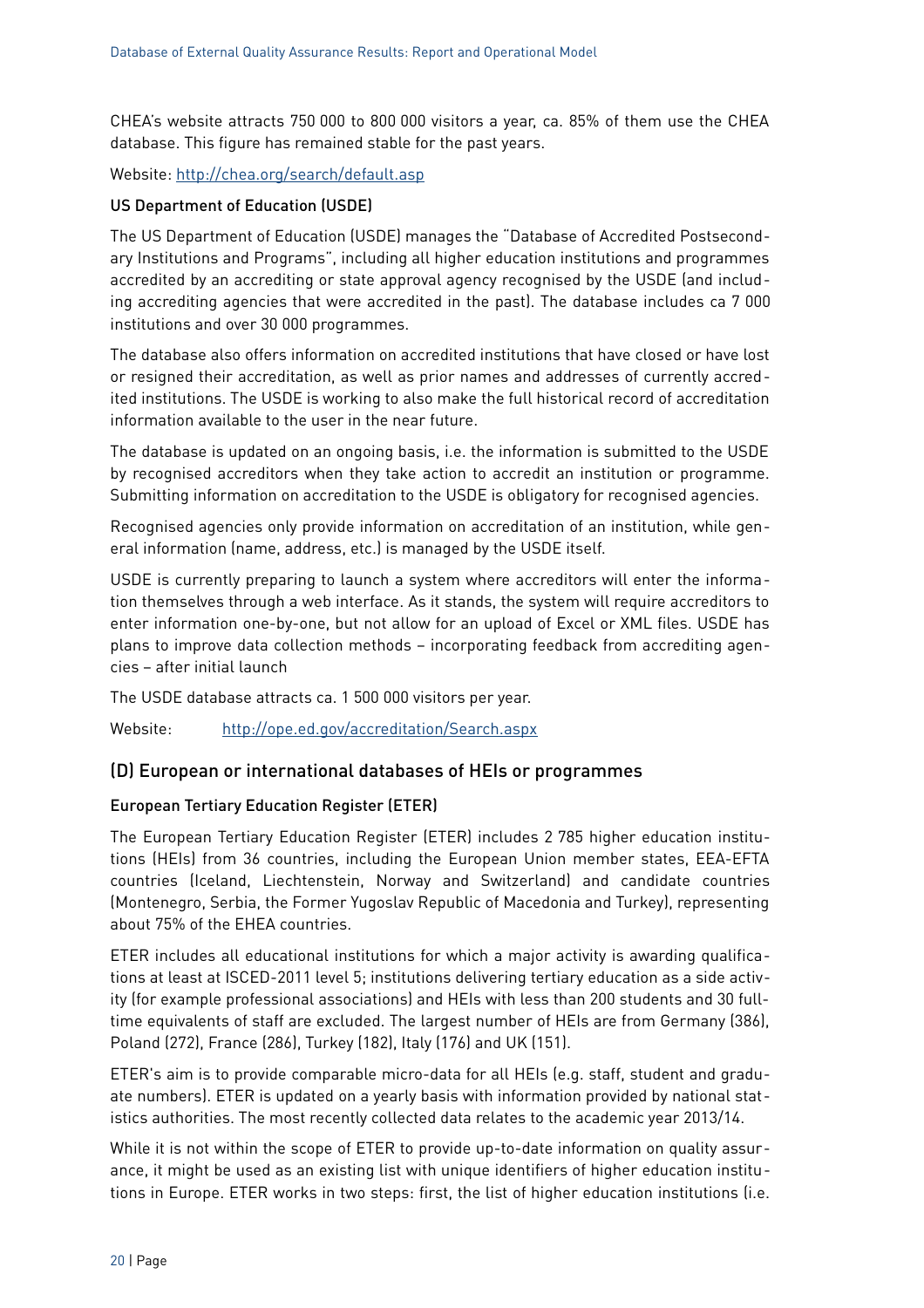CHEA's website attracts 750 000 to 800 000 visitors a year, ca. 85% of them use the CHEA database. This figure has remained stable for the past years.

Website:<http://chea.org/search/default.asp>

#### US Department of Education (USDE)

The US Department of Education (USDE) manages the "Database of Accredited Postsecondary Institutions and Programs", including all higher education institutions and programmes accredited by an accrediting or state approval agency recognised by the USDE (and including accrediting agencies that were accredited in the past). The database includes ca 7 000 institutions and over 30 000 programmes.

The database also offers information on accredited institutions that have closed or have lost or resigned their accreditation, as well as prior names and addresses of currently accredited institutions. The USDE is working to also make the full historical record of accreditation information available to the user in the near future.

The database is updated on an ongoing basis, i.e. the information is submitted to the USDE by recognised accreditors when they take action to accredit an institution or programme. Submitting information on accreditation to the USDE is obligatory for recognised agencies.

Recognised agencies only provide information on accreditation of an institution, while general information (name, address, etc.) is managed by the USDE itself.

USDE is currently preparing to launch a system where accreditors will enter the information themselves through a web interface. As it stands, the system will require accreditors to enter information one-by-one, but not allow for an upload of Excel or XML files. USDE has plans to improve data collection methods – incorporating feedback from accrediting agencies – after initial launch

The USDE database attracts ca. 1 500 000 visitors per year.

Website: <http://ope.ed.gov/accreditation/Search.aspx>

#### (D) European or international databases of HEIs or programmes

#### European Tertiary Education Register (ETER)

The European Tertiary Education Register (ETER) includes 2 785 higher education institutions (HEIs) from 36 countries, including the European Union member states, EEA-EFTA countries (Iceland, Liechtenstein, Norway and Switzerland) and candidate countries (Montenegro, Serbia, the Former Yugoslav Republic of Macedonia and Turkey), representing about 75% of the EHEA countries.

ETER includes all educational institutions for which a major activity is awarding qualifications at least at ISCED-2011 level 5; institutions delivering tertiary education as a side activity (for example professional associations) and HEIs with less than 200 students and 30 fulltime equivalents of staff are excluded. The largest number of HEIs are from Germany (386), Poland (272), France (286), Turkey (182), Italy (176) and UK (151).

ETER's aim is to provide comparable micro-data for all HEIs (e.g. staff, student and graduate numbers). ETER is updated on a yearly basis with information provided by national statistics authorities. The most recently collected data relates to the academic year 2013/14.

While it is not within the scope of ETER to provide up-to-date information on quality assurance, it might be used as an existing list with unique identifiers of higher education institutions in Europe. ETER works in two steps: first, the list of higher education institutions (i.e.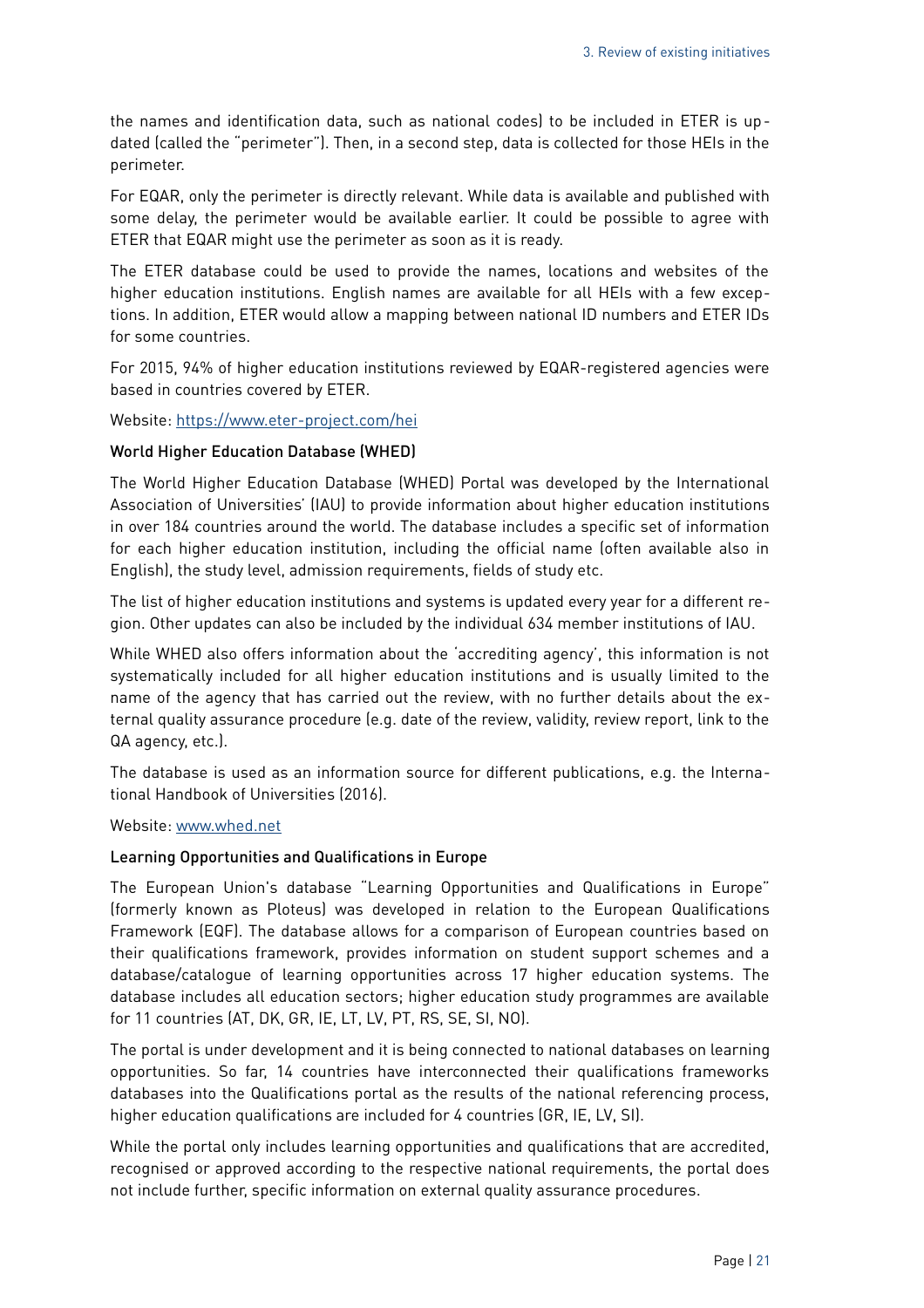the names and identification data, such as national codes) to be included in ETER is updated (called the "perimeter"). Then, in a second step, data is collected for those HEIs in the perimeter.

For EQAR, only the perimeter is directly relevant. While data is available and published with some delay, the perimeter would be available earlier. It could be possible to agree with ETER that EQAR might use the perimeter as soon as it is ready.

The ETER database could be used to provide the names, locations and websites of the higher education institutions. English names are available for all HEIs with a few exceptions. In addition, ETER would allow a mapping between national ID numbers and ETER IDs for some countries.

For 2015, 94% of higher education institutions reviewed by EQAR-registered agencies were based in countries covered by ETER.

Website:<https://www.eter-project.com/hei>

#### World Higher Education Database (WHED)

The World Higher Education Database (WHED) Portal was developed by the International Association of Universities' (IAU) to provide information about higher education institutions in over 184 countries around the world. The database includes a specific set of information for each higher education institution, including the official name (often available also in English), the study level, admission requirements, fields of study etc.

The list of higher education institutions and systems is updated every year for a different region. Other updates can also be included by the individual 634 member institutions of IAU.

While WHED also offers information about the 'accrediting agency', this information is not systematically included for all higher education institutions and is usually limited to the name of the agency that has carried out the review, with no further details about the external quality assurance procedure (e.g. date of the review, validity, review report, link to the QA agency, etc.).

The database is used as an information source for different publications, e.g. the International Handbook of Universities (2016).

Website: [www.whed.net](http://whed.net/home.php)

#### Learning Opportunities and Qualifications in Europe

The European Union's database "Learning Opportunities and Qualifications in Europe" (formerly known as Ploteus) was developed in relation to the European Qualifications Framework (EQF). The database allows for a comparison of European countries based on their qualifications framework, provides information on student support schemes and a database/catalogue of learning opportunities across 17 higher education systems. The database includes all education sectors; higher education study programmes are available for 11 countries (AT, DK, GR, IE, LT, LV, PT, RS, SE, SI, NO).

The portal is under development and it is being connected to national databases on learning opportunities. So far, 14 countries have interconnected their qualifications frameworks databases into the Qualifications portal as the results of the national referencing process, higher education qualifications are included for 4 countries (GR, IE, LV, SI).

While the portal only includes learning opportunities and qualifications that are accredited, recognised or approved according to the respective national requirements, the portal does not include further, specific information on external quality assurance procedures.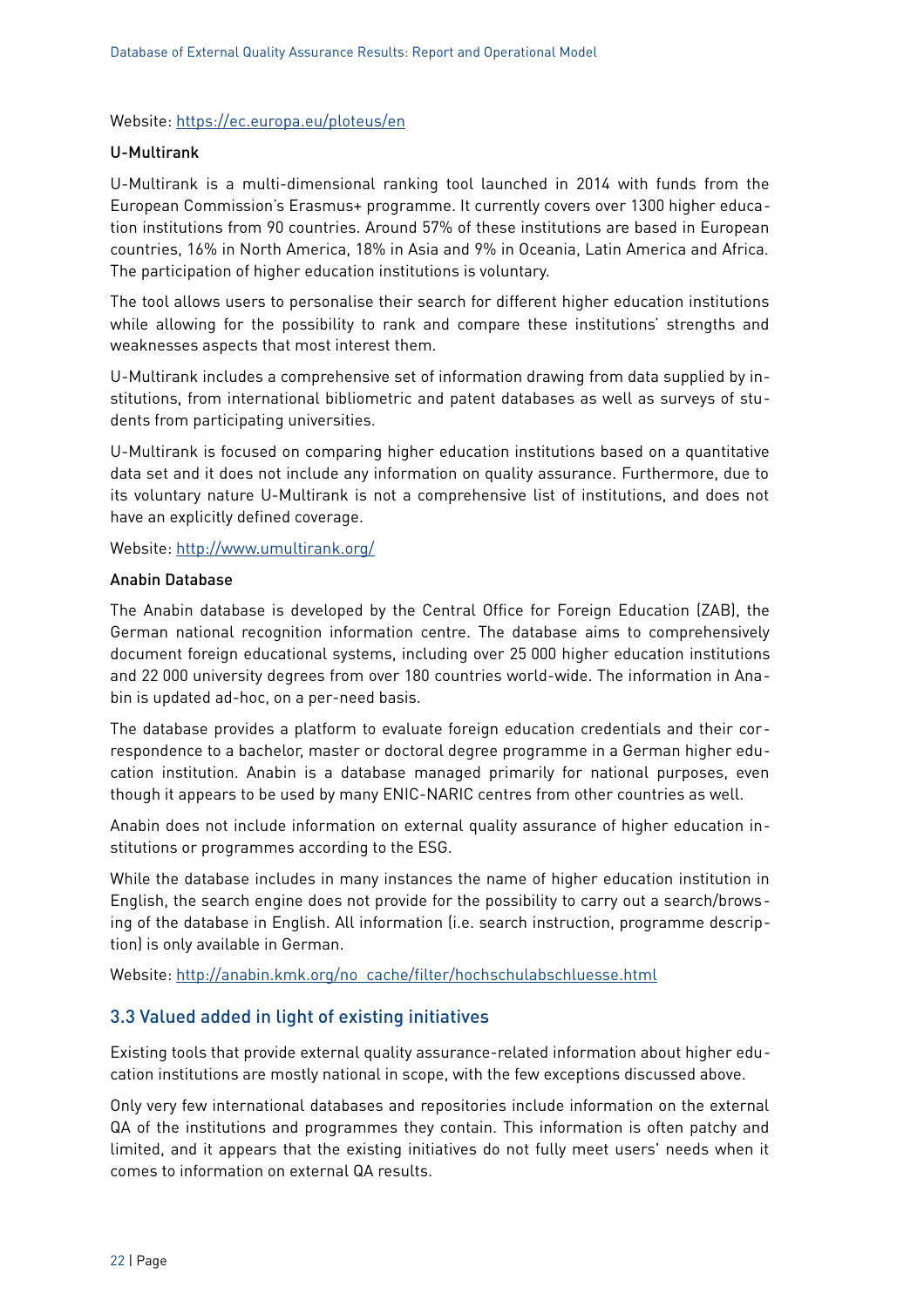#### Website:<https://ec.europa.eu/ploteus/en>

#### U-Multirank

U-Multirank is a multi-dimensional ranking tool launched in 2014 with funds from the European Commission's Erasmus+ programme. It currently covers over 1300 higher education institutions from 90 countries. Around 57% of these institutions are based in European countries, 16% in North America, 18% in Asia and 9% in Oceania, Latin America and Africa. The participation of higher education institutions is voluntary.

The tool allows users to personalise their search for different higher education institutions while allowing for the possibility to rank and compare these institutions' strengths and weaknesses aspects that most interest them.

U-Multirank includes a comprehensive set of information drawing from data supplied by institutions, from international bibliometric and patent databases as well as surveys of students from participating universities.

U-Multirank is focused on comparing higher education institutions based on a quantitative data set and it does not include any information on quality assurance. Furthermore, due to its voluntary nature U-Multirank is not a comprehensive list of institutions, and does not have an explicitly defined coverage.

Website:<http://www.umultirank.org/>

#### Anabin Database

The Anabin database is developed by the Central Office for Foreign Education (ZAB), the German national recognition information centre. The database aims to comprehensively document foreign educational systems, including over 25 000 higher education institutions and 22 000 university degrees from over 180 countries world-wide. The information in Anabin is updated ad-hoc, on a per-need basis.

The database provides a platform to evaluate foreign education credentials and their correspondence to a bachelor, master or doctoral degree programme in a German higher education institution. Anabin is a database managed primarily for national purposes, even though it appears to be used by many ENIC-NARIC centres from other countries as well.

Anabin does not include information on external quality assurance of higher education institutions or programmes according to the ESG.

While the database includes in many instances the name of higher education institution in English, the search engine does not provide for the possibility to carry out a search/browsing of the database in English. All information (i.e. search instruction, programme description) is only available in German.

Website: [http://anabin.kmk.org/no\\_cache/filter/hochschulabschluesse.html](http://anabin.kmk.org/no_cache/filter/hochschulabschluesse.html)

#### <span id="page-21-0"></span>3.3 Valued added in light of existing initiatives

Existing tools that provide external quality assurance-related information about higher education institutions are mostly national in scope, with the few exceptions discussed above.

Only very few international databases and repositories include information on the external QA of the institutions and programmes they contain. This information is often patchy and limited, and it appears that the existing initiatives do not fully meet users' needs when it comes to information on external QA results.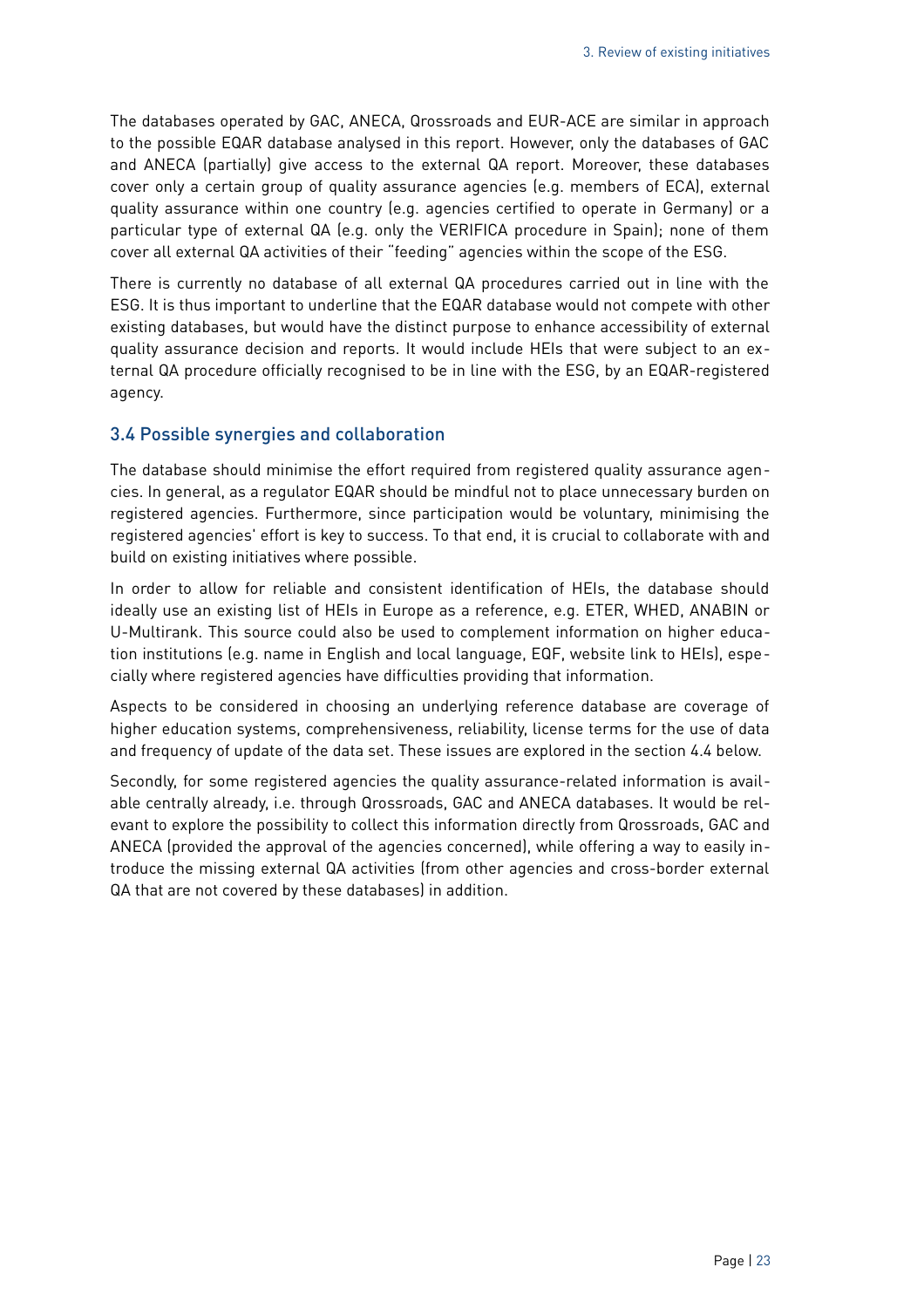The databases operated by GAC, ANECA, Qrossroads and EUR-ACE are similar in approach to the possible EQAR database analysed in this report. However, only the databases of GAC and ANECA (partially) give access to the external QA report. Moreover, these databases cover only a certain group of quality assurance agencies (e.g. members of ECA), external quality assurance within one country (e.g. agencies certified to operate in Germany) or a particular type of external QA (e.g. only the VERIFICA procedure in Spain); none of them cover all external QA activities of their "feeding" agencies within the scope of the ESG.

There is currently no database of all external QA procedures carried out in line with the ESG. It is thus important to underline that the EQAR database would not compete with other existing databases, but would have the distinct purpose to enhance accessibility of external quality assurance decision and reports. It would include HEIs that were subject to an external QA procedure officially recognised to be in line with the ESG, by an EQAR-registered agency.

#### <span id="page-22-0"></span>3.4 Possible synergies and collaboration

The database should minimise the effort required from registered quality assurance agencies. In general, as a regulator EQAR should be mindful not to place unnecessary burden on registered agencies. Furthermore, since participation would be voluntary, minimising the registered agencies' effort is key to success. To that end, it is crucial to collaborate with and build on existing initiatives where possible.

In order to allow for reliable and consistent identification of HEIs, the database should ideally use an existing list of HEIs in Europe as a reference, e.g. ETER, WHED, ANABIN or U-Multirank. This source could also be used to complement information on higher education institutions (e.g. name in English and local language, EQF, website link to HEIs), especially where registered agencies have difficulties providing that information.

Aspects to be considered in choosing an underlying reference database are coverage of higher education systems, comprehensiveness, reliability, license terms for the use of data and frequency of update of the data set. These issues are explored in the section [4.4](#page-27-0) [below.](#page-27-0)

Secondly, for some registered agencies the quality assurance-related information is available centrally already, i.e. through Qrossroads, GAC and ANECA databases. It would be relevant to explore the possibility to collect this information directly from Qrossroads, GAC and ANECA (provided the approval of the agencies concerned), while offering a way to easily introduce the missing external QA activities (from other agencies and cross-border external QA that are not covered by these databases) in addition.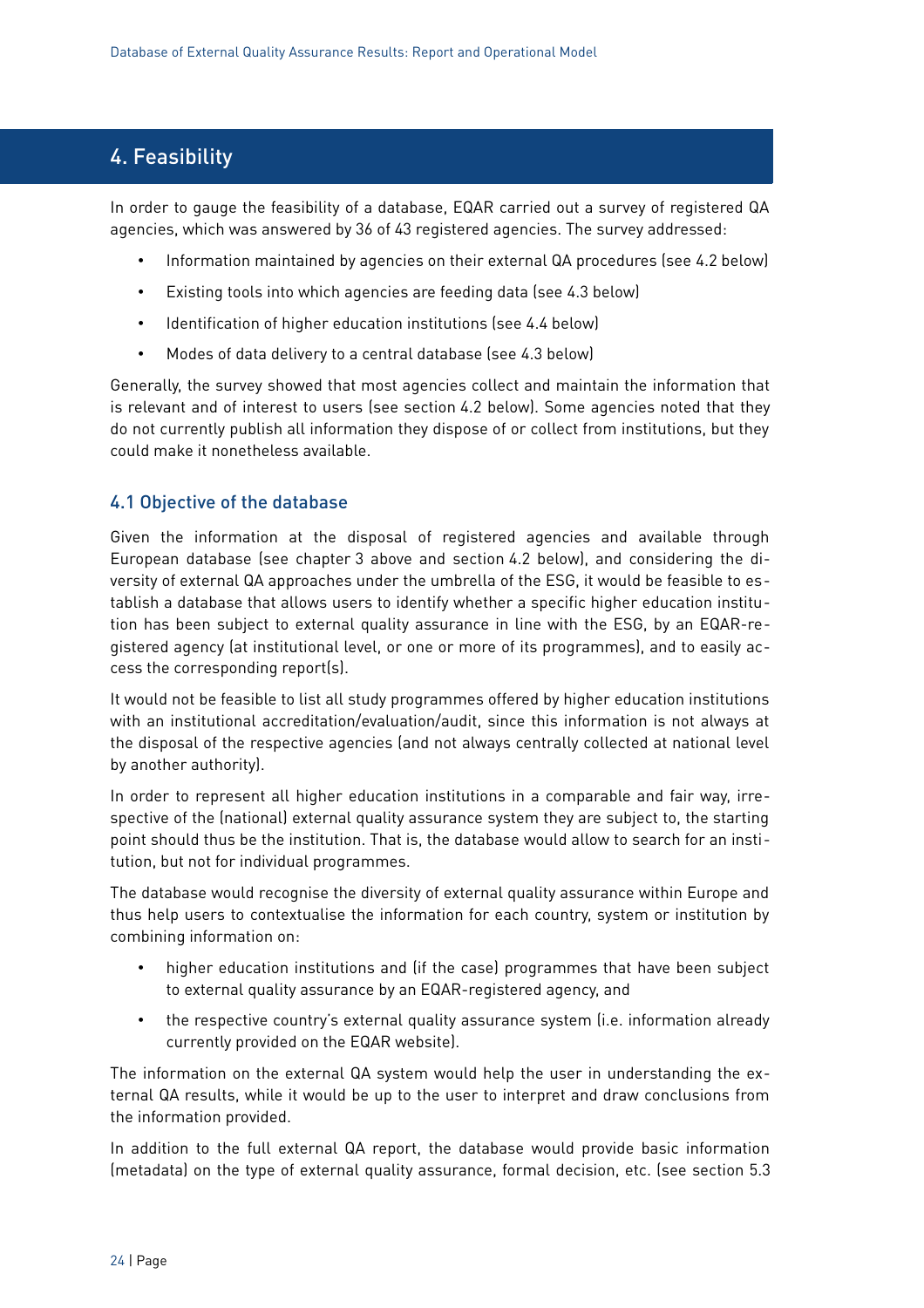## <span id="page-23-1"></span>4. Feasibility

In order to gauge the feasibility of a database, EQAR carried out a survey of registered QA agencies, which was answered by 36 of 43 registered agencies. The survey addressed:

- Information maintained by agencies on their external QA procedures (see [4.2](#page-24-0) [below\)](#page-24-0)
- Existing tools into which agencies are feeding data (see [4.3](#page-26-0) [below\)](#page-26-0)
- Identification of higher education institutions (see [4.4](#page-27-0) [below\)](#page-27-0)
- Modes of data delivery to a central database (see [4.3](#page-26-0) [below\)](#page-26-0)

Generally, the survey showed that most agencies collect and maintain the information that is relevant and of interest to users (see section [4.2](#page-24-0) [below\)](#page-24-0). Some agencies noted that they do not currently publish all information they dispose of or collect from institutions, but they could make it nonetheless available.

#### <span id="page-23-0"></span>4.1 Objective of the database

Given the information at the disposal of registered agencies and available through European database (see chapter [3](#page-12-1) [above](#page-12-1) and section [4.2](#page-24-0) [below\)](#page-24-0), and considering the diversity of external QA approaches under the umbrella of the ESG, it would be feasible to establish a database that allows users to identify whether a specific higher education institution has been subject to external quality assurance in line with the ESG, by an EQAR-registered agency (at institutional level, or one or more of its programmes), and to easily access the corresponding report(s).

It would not be feasible to list all study programmes offered by higher education institutions with an institutional accreditation/evaluation/audit, since this information is not always at the disposal of the respective agencies (and not always centrally collected at national level by another authority).

In order to represent all higher education institutions in a comparable and fair way, irrespective of the (national) external quality assurance system they are subject to, the starting point should thus be the institution. That is, the database would allow to search for an institution, but not for individual programmes.

The database would recognise the diversity of external quality assurance within Europe and thus help users to contextualise the information for each country, system or institution by combining information on:

- higher education institutions and (if the case) programmes that have been subject to external quality assurance by an EQAR-registered agency, and
- the respective country's external quality assurance system (i.e. information already currently provided on the EQAR website).

The information on the external QA system would help the user in understanding the external QA results, while it would be up to the user to interpret and draw conclusions from the information provided.

In addition to the full external QA report, the database would provide basic information (metadata) on the type of external quality assurance, formal decision, etc. (see section [5.3](#page-35-0)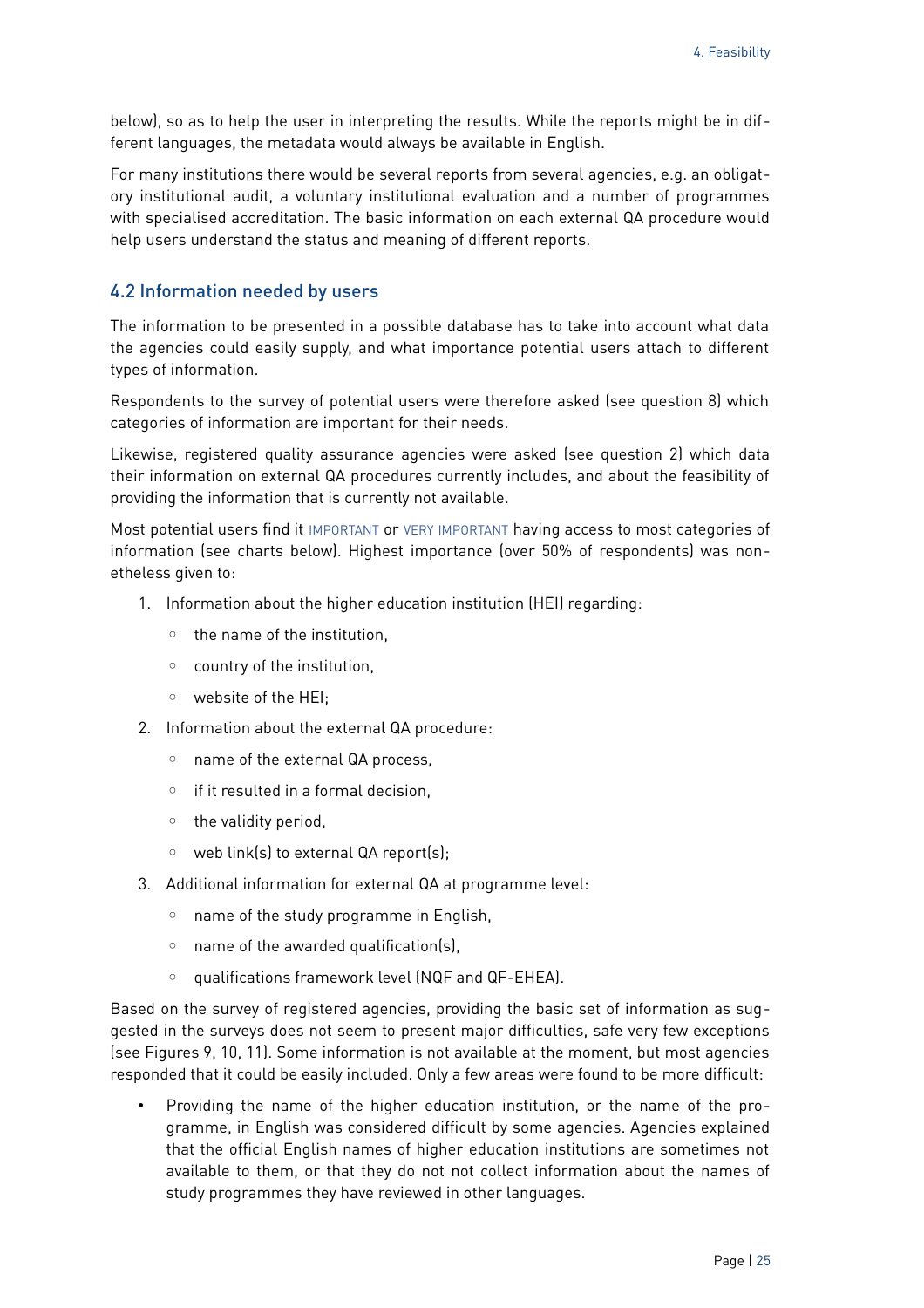[below\)](#page-35-0), so as to help the user in interpreting the results. While the reports might be in different languages, the metadata would always be available in English.

For many institutions there would be several reports from several agencies, e.g. an obligatory institutional audit, a voluntary institutional evaluation and a number of programmes with specialised accreditation. The basic information on each external QA procedure would help users understand the status and meaning of different reports.

#### <span id="page-24-0"></span>4.2 Information needed by users

The information to be presented in a possible database has to take into account what data the agencies could easily supply, and what importance potential users attach to different types of information.

Respondents to the survey of potential users were therefore asked (see question 8) which categories of information are important for their needs.

Likewise, registered quality assurance agencies were asked (see question 2) which data their information on external QA procedures currently includes, and about the feasibility of providing the information that is currently not available.

Most potential users find it IMPORTANT or VERY IMPORTANT having access to most categories of information (see charts below). Highest importance (over 50% of respondents) was nonetheless given to:

- 1. Information about the higher education institution (HEI) regarding:
	- the name of the institution,
	- country of the institution,
	- website of the HEI;
- 2. Information about the external QA procedure:
	- name of the external QA process,
	- if it resulted in a formal decision,
	- the validity period,
	- web link(s) to external QA report(s);
- 3. Additional information for external QA at programme level:
	- name of the study programme in English,
	- name of the awarded qualification(s),
	- qualifications framework level (NQF and QF-EHEA).

Based on the survey of registered agencies, providing the basic set of information as suggested in the surveys does not seem to present major difficulties, safe very few exceptions (see Figures [9,](#page-25-0) [10,](#page-26-2) [11\)](#page-26-1). Some information is not available at the moment, but most agencies responded that it could be easily included. Only a few areas were found to be more difficult:

• Providing the name of the higher education institution, or the name of the programme, in English was considered difficult by some agencies. Agencies explained that the official English names of higher education institutions are sometimes not available to them, or that they do not not collect information about the names of study programmes they have reviewed in other languages.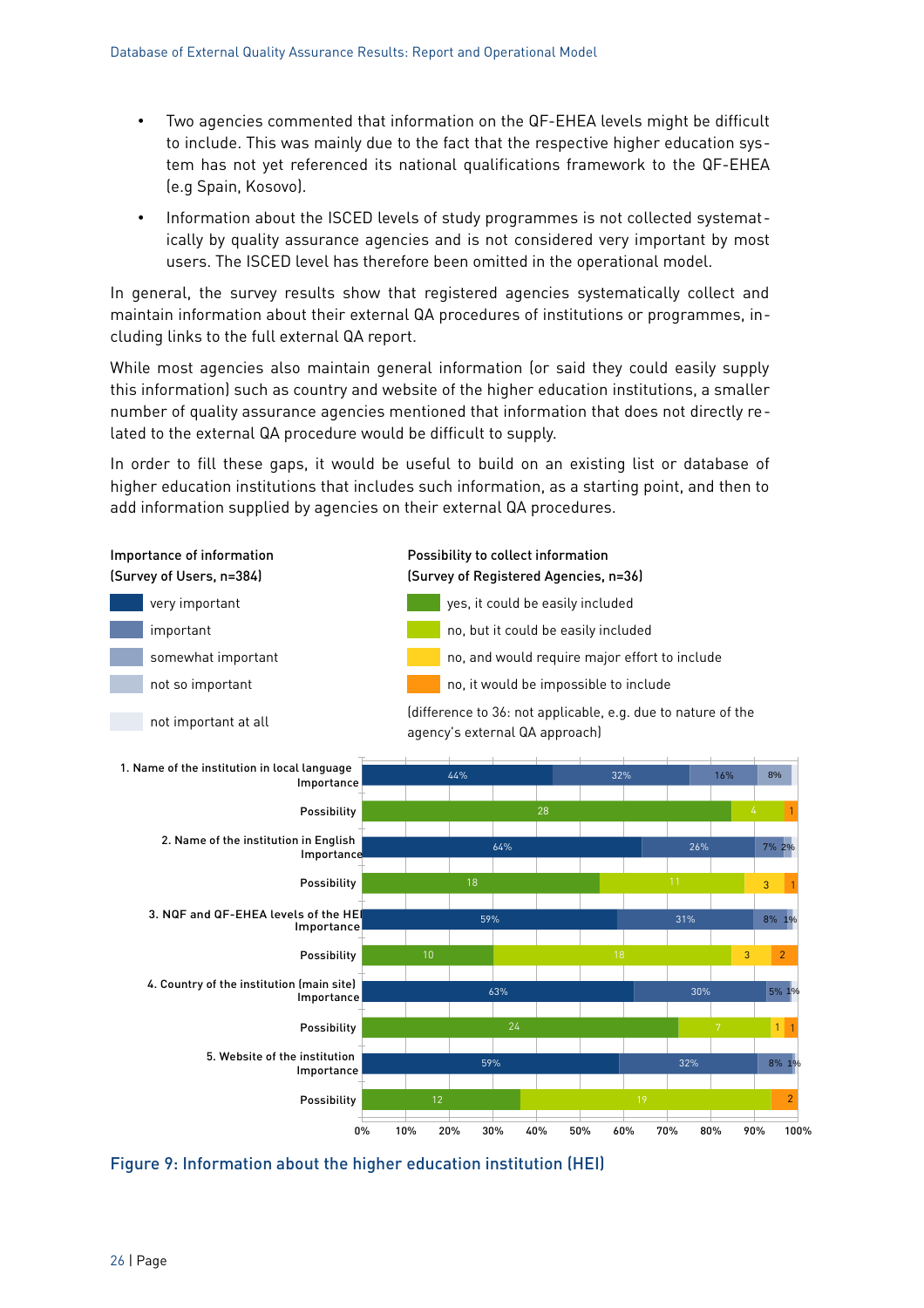- Two agencies commented that information on the QF-EHEA levels might be difficult to include. This was mainly due to the fact that the respective higher education system has not yet referenced its national qualifications framework to the QF-EHEA (e.g Spain, Kosovo).
- Information about the ISCED levels of study programmes is not collected systematically by quality assurance agencies and is not considered very important by most users. The ISCED level has therefore been omitted in the operational model.

In general, the survey results show that registered agencies systematically collect and maintain information about their external QA procedures of institutions or programmes, including links to the full external QA report.

While most agencies also maintain general information (or said they could easily supply this information) such as country and website of the higher education institutions, a smaller number of quality assurance agencies mentioned that information that does not directly related to the external QA procedure would be difficult to supply.

In order to fill these gaps, it would be useful to build on an existing list or database of higher education institutions that includes such information, as a starting point, and then to add information supplied by agencies on their external QA procedures.



<span id="page-25-0"></span>Figure 9: Information about the higher education institution (HEI)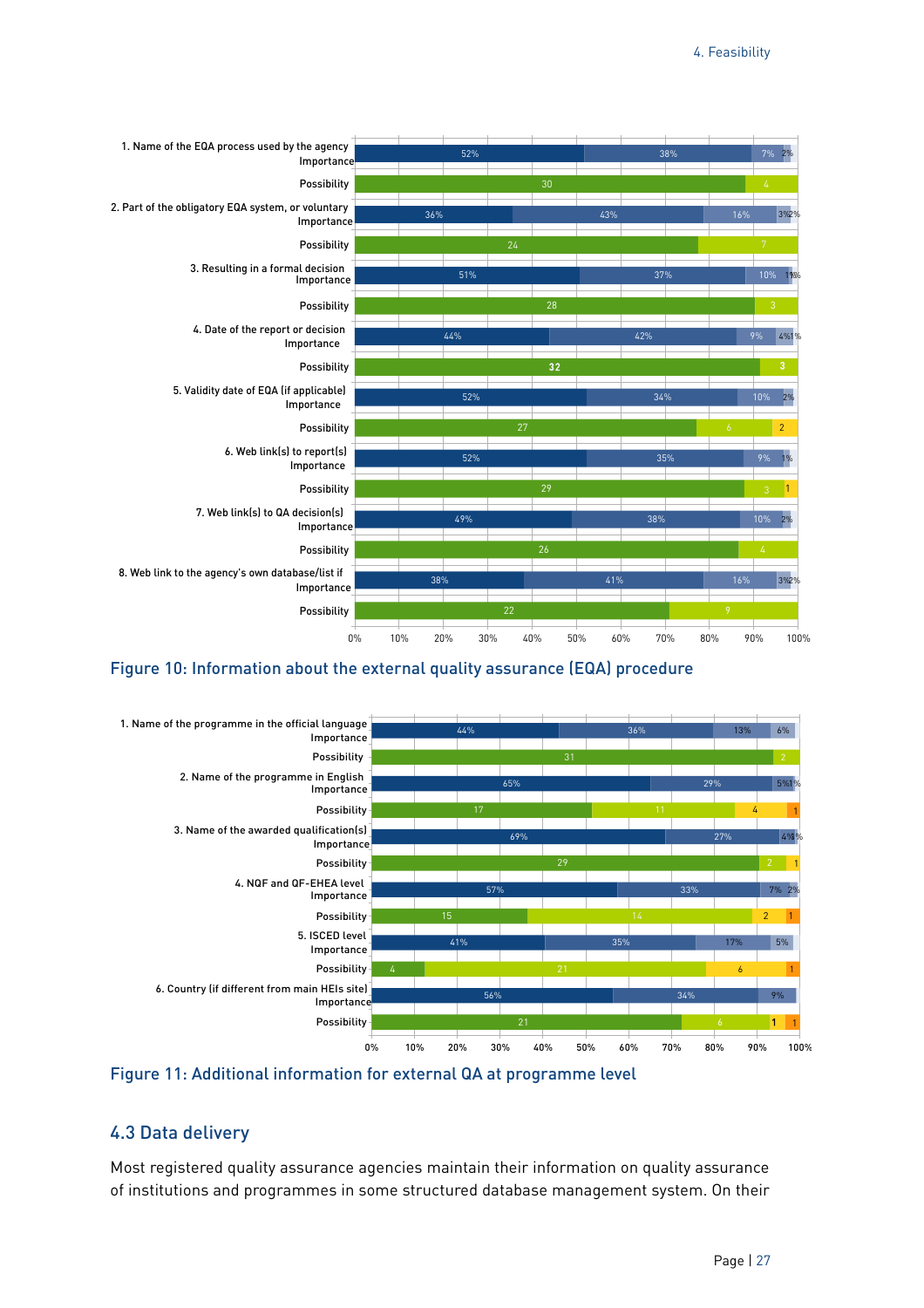

#### <span id="page-26-2"></span>Figure 10: Information about the external quality assurance (EQA) procedure



<span id="page-26-1"></span>

#### <span id="page-26-0"></span>4.3 Data delivery

Most registered quality assurance agencies maintain their information on quality assurance of institutions and programmes in some structured database management system. On their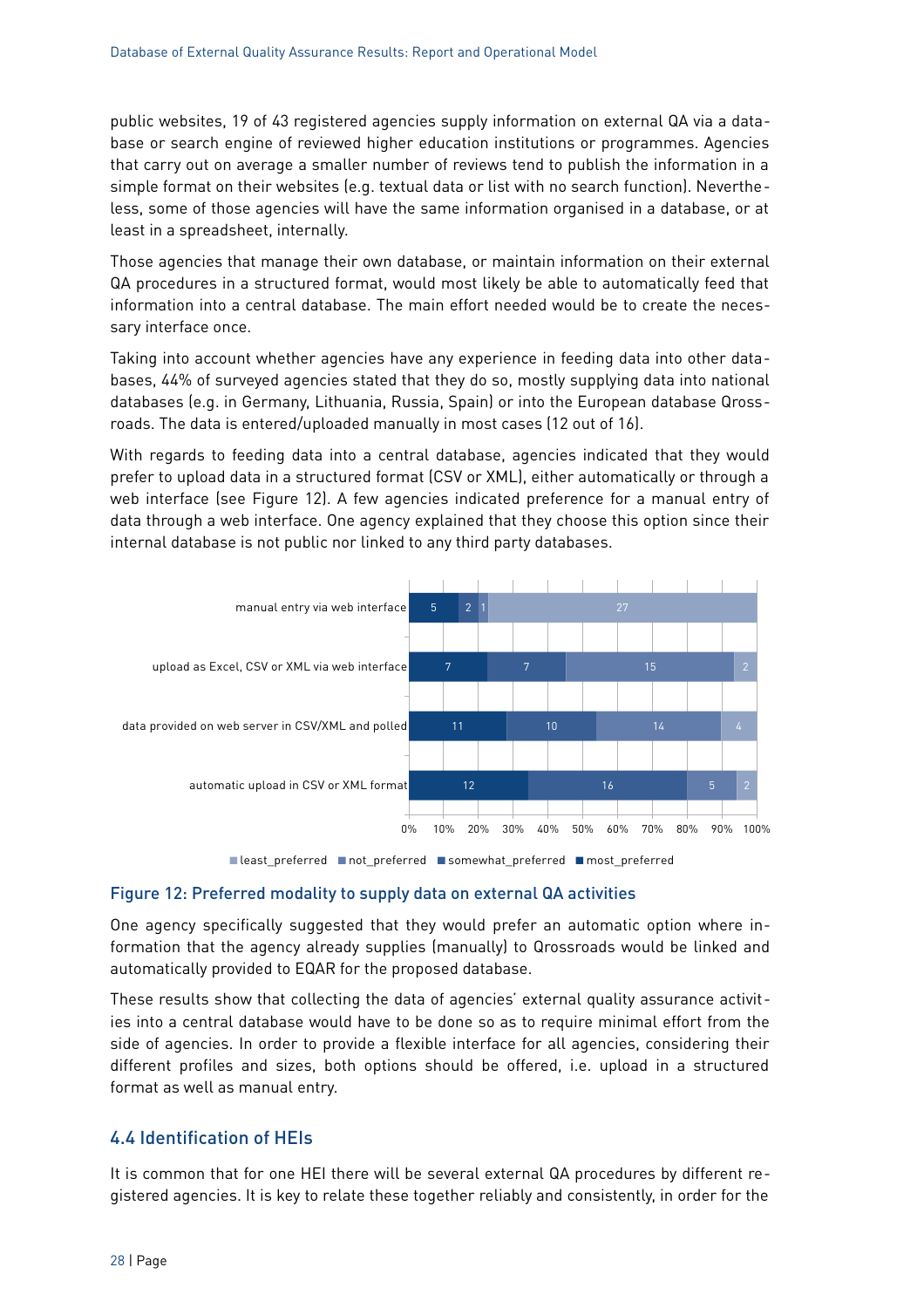public websites, 19 of 43 registered agencies supply information on external QA via a database or search engine of reviewed higher education institutions or programmes. Agencies that carry out on average a smaller number of reviews tend to publish the information in a simple format on their websites (e.g. textual data or list with no search function). Nevertheless, some of those agencies will have the same information organised in a database, or at least in a spreadsheet, internally.

Those agencies that manage their own database, or maintain information on their external QA procedures in a structured format, would most likely be able to automatically feed that information into a central database. The main effort needed would be to create the necessary interface once.

Taking into account whether agencies have any experience in feeding data into other databases, 44% of surveyed agencies stated that they do so, mostly supplying data into national databases (e.g. in Germany, Lithuania, Russia, Spain) or into the European database Qrossroads. The data is entered/uploaded manually in most cases (12 out of 16).

With regards to feeding data into a central database, agencies indicated that they would prefer to upload data in a structured format (CSV or XML), either automatically or through a web interface (see [Figure 12\)](#page-27-1). A few agencies indicated preference for a manual entry of data through a web interface. One agency explained that they choose this option since their internal database is not public nor linked to any third party databases.



#### <span id="page-27-1"></span>Figure 12: Preferred modality to supply data on external QA activities

One agency specifically suggested that they would prefer an automatic option where information that the agency already supplies (manually) to Qrossroads would be linked and automatically provided to EQAR for the proposed database.

These results show that collecting the data of agencies' external quality assurance activities into a central database would have to be done so as to require minimal effort from the side of agencies. In order to provide a flexible interface for all agencies, considering their different profiles and sizes, both options should be offered, i.e. upload in a structured format as well as manual entry.

#### <span id="page-27-0"></span>4.4 Identification of HEIs

It is common that for one HEI there will be several external QA procedures by different registered agencies. It is key to relate these together reliably and consistently, in order for the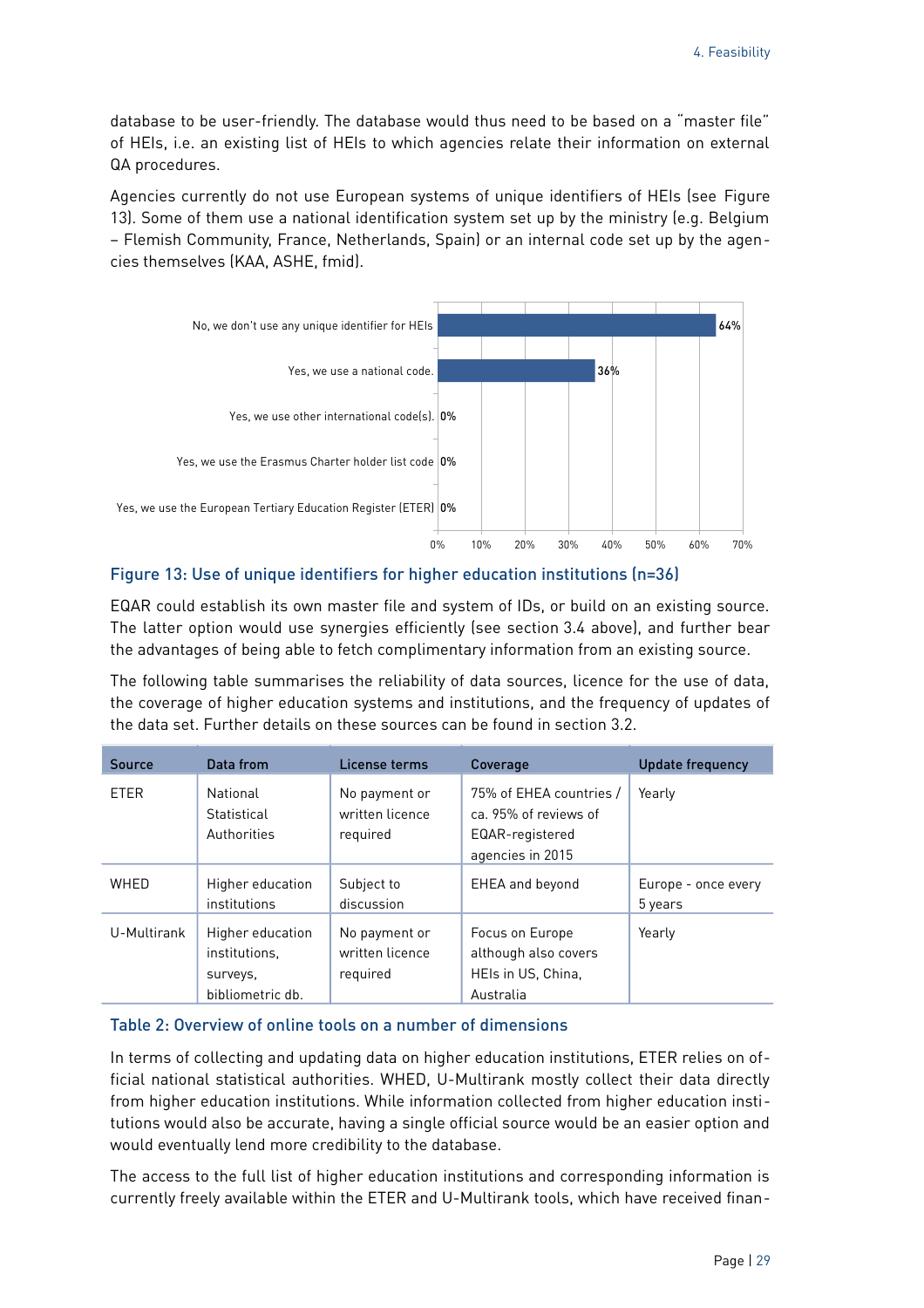database to be user-friendly. The database would thus need to be based on a "master file" of HEIs, i.e. an existing list of HEIs to which agencies relate their information on external QA procedures.

Agencies currently do not use European systems of unique identifiers of HEIs (see [Figure](#page-28-0) [13\)](#page-28-0). Some of them use a national identification system set up by the ministry (e.g. Belgium – Flemish Community, France, Netherlands, Spain) or an internal code set up by the agencies themselves (KAA, ASHE, fmid).



#### <span id="page-28-0"></span>Figure 13: Use of unique identifiers for higher education institutions (n=36)

EQAR could establish its own master file and system of IDs, or build on an existing source. The latter option would use synergies efficiently (see section [3.4](#page-22-0) above), and further bear the advantages of being able to fetch complimentary information from an existing source.

The following table summarises the reliability of data sources, licence for the use of data, the coverage of higher education systems and institutions, and the frequency of updates of the data set. Further details on these sources can be found in section [3.2.](#page-13-0)

| Source      | Data from                                                         | License terms                                | Coverage                                                                                | <b>Update frequency</b>        |
|-------------|-------------------------------------------------------------------|----------------------------------------------|-----------------------------------------------------------------------------------------|--------------------------------|
| <b>FTFR</b> | National<br>Statistical<br>Authorities                            | No payment or<br>written licence<br>required | 75% of EHEA countries /<br>ca. 95% of reviews of<br>EQAR-registered<br>agencies in 2015 | Yearly                         |
| WHED        | Higher education<br>institutions                                  | Subject to<br>discussion                     | <b>EHEA</b> and beyond                                                                  | Europe - once every<br>5 years |
| U-Multirank | Higher education<br>institutions.<br>surveys,<br>bibliometric db. | No payment or<br>written licence<br>required | Focus on Europe<br>although also covers<br>HEIs in US, China,<br>Australia              | Yearly                         |

#### Table 2: Overview of online tools on a number of dimensions

In terms of collecting and updating data on higher education institutions, ETER relies on official national statistical authorities. WHED, U-Multirank mostly collect their data directly from higher education institutions. While information collected from higher education institutions would also be accurate, having a single official source would be an easier option and would eventually lend more credibility to the database.

The access to the full list of higher education institutions and corresponding information is currently freely available within the ETER and U-Multirank tools, which have received finan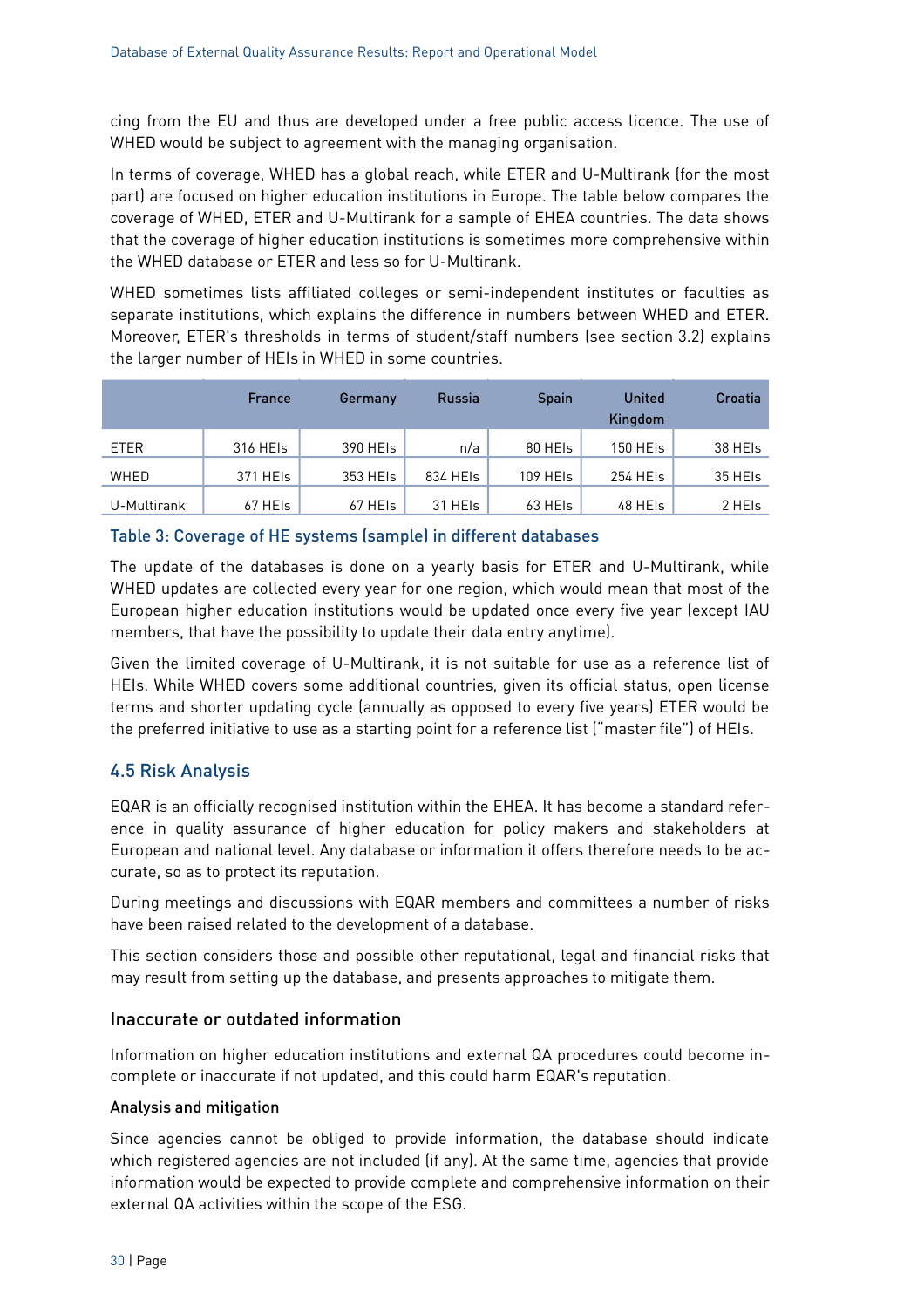cing from the EU and thus are developed under a free public access licence. The use of WHED would be subject to agreement with the managing organisation.

In terms of coverage, WHED has a global reach, while ETER and U-Multirank (for the most part) are focused on higher education institutions in Europe. The table below compares the coverage of WHED, ETER and U-Multirank for a sample of EHEA countries. The data shows that the coverage of higher education institutions is sometimes more comprehensive within the WHED database or ETER and less so for U-Multirank.

WHED sometimes lists affiliated colleges or semi-independent institutes or faculties as separate institutions, which explains the difference in numbers between WHED and ETER. Moreover, ETER's thresholds in terms of student/staff numbers (see section [3.2\)](#page-13-0) explains the larger number of HEIs in WHED in some countries.

|             | <b>France</b> | Germany  | <b>Russia</b> | <b>Spain</b> | <b>United</b><br>Kingdom | Croatia |
|-------------|---------------|----------|---------------|--------------|--------------------------|---------|
| ETER        | 316 HEIS      | 390 HEIS | n/a           | 80 HEIS      | 150 HEIs                 | 38 HEIS |
| WHED        | 371 HEIs      | 353 HEIS | 834 HEIS      | 109 HEIs     | 254 HEIs                 | 35 HEIS |
| U-Multirank | 67 HEIs       | 67 HEIs  | 31 HEIS       | 63 HEIs      | 48 HEIs                  | 2 HEIs  |

#### Table 3: Coverage of HE systems (sample) in different databases

The update of the databases is done on a yearly basis for ETER and U-Multirank, while WHED updates are collected every year for one region, which would mean that most of the European higher education institutions would be updated once every five year (except IAU members, that have the possibility to update their data entry anytime).

Given the limited coverage of U-Multirank, it is not suitable for use as a reference list of HEIs. While WHED covers some additional countries, given its official status, open license terms and shorter updating cycle (annually as opposed to every five years) ETER would be the preferred initiative to use as a starting point for a reference list ("master file") of HEIs.

#### <span id="page-29-0"></span>4.5 Risk Analysis

EQAR is an officially recognised institution within the EHEA. It has become a standard reference in quality assurance of higher education for policy makers and stakeholders at European and national level. Any database or information it offers therefore needs to be accurate, so as to protect its reputation.

During meetings and discussions with EQAR members and committees a number of risks have been raised related to the development of a database.

This section considers those and possible other reputational, legal and financial risks that may result from setting up the database, and presents approaches to mitigate them.

#### Inaccurate or outdated information

Information on higher education institutions and external QA procedures could become incomplete or inaccurate if not updated, and this could harm EQAR's reputation.

#### Analysis and mitigation

Since agencies cannot be obliged to provide information, the database should indicate which registered agencies are not included (if any). At the same time, agencies that provide information would be expected to provide complete and comprehensive information on their external QA activities within the scope of the ESG.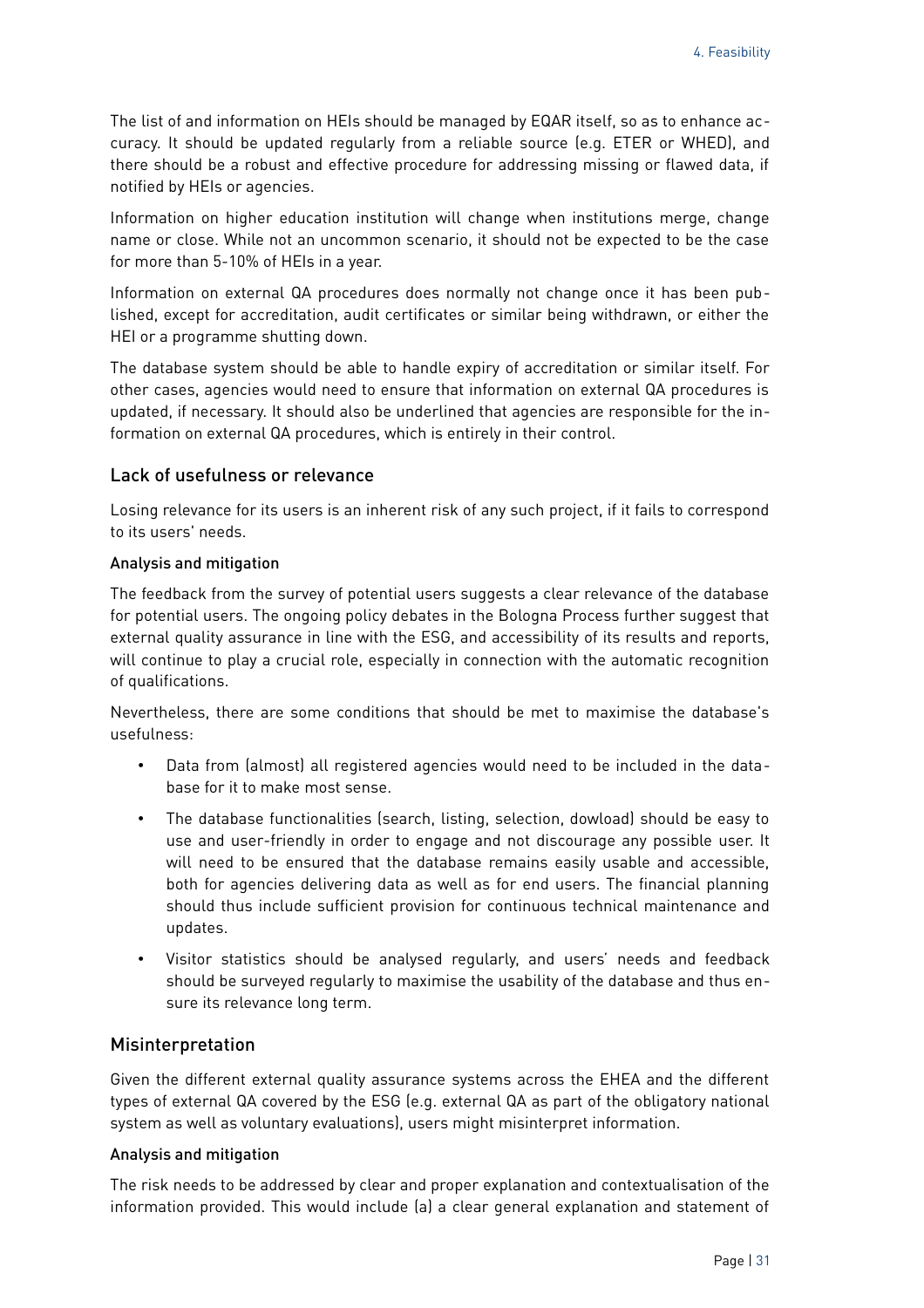The list of and information on HEIs should be managed by EQAR itself, so as to enhance accuracy. It should be updated regularly from a reliable source (e.g. ETER or WHED), and there should be a robust and effective procedure for addressing missing or flawed data, if notified by HEIs or agencies.

Information on higher education institution will change when institutions merge, change name or close. While not an uncommon scenario, it should not be expected to be the case for more than 5-10% of HEIs in a year.

Information on external QA procedures does normally not change once it has been published, except for accreditation, audit certificates or similar being withdrawn, or either the HEI or a programme shutting down.

The database system should be able to handle expiry of accreditation or similar itself. For other cases, agencies would need to ensure that information on external QA procedures is updated, if necessary. It should also be underlined that agencies are responsible for the information on external QA procedures, which is entirely in their control.

#### Lack of usefulness or relevance

Losing relevance for its users is an inherent risk of any such project, if it fails to correspond to its users' needs.

#### Analysis and mitigation

The feedback from the survey of potential users suggests a clear relevance of the database for potential users. The ongoing policy debates in the Bologna Process further suggest that external quality assurance in line with the ESG, and accessibility of its results and reports, will continue to play a crucial role, especially in connection with the automatic recognition of qualifications.

Nevertheless, there are some conditions that should be met to maximise the database's usefulness:

- Data from (almost) all registered agencies would need to be included in the database for it to make most sense.
- The database functionalities (search, listing, selection, dowload) should be easy to use and user-friendly in order to engage and not discourage any possible user. It will need to be ensured that the database remains easily usable and accessible, both for agencies delivering data as well as for end users. The financial planning should thus include sufficient provision for continuous technical maintenance and updates.
- Visitor statistics should be analysed regularly, and users' needs and feedback should be surveyed regularly to maximise the usability of the database and thus ensure its relevance long term.

#### Misinterpretation

Given the different external quality assurance systems across the EHEA and the different types of external QA covered by the ESG (e.g. external QA as part of the obligatory national system as well as voluntary evaluations), users might misinterpret information.

#### Analysis and mitigation

The risk needs to be addressed by clear and proper explanation and contextualisation of the information provided. This would include (a) a clear general explanation and statement of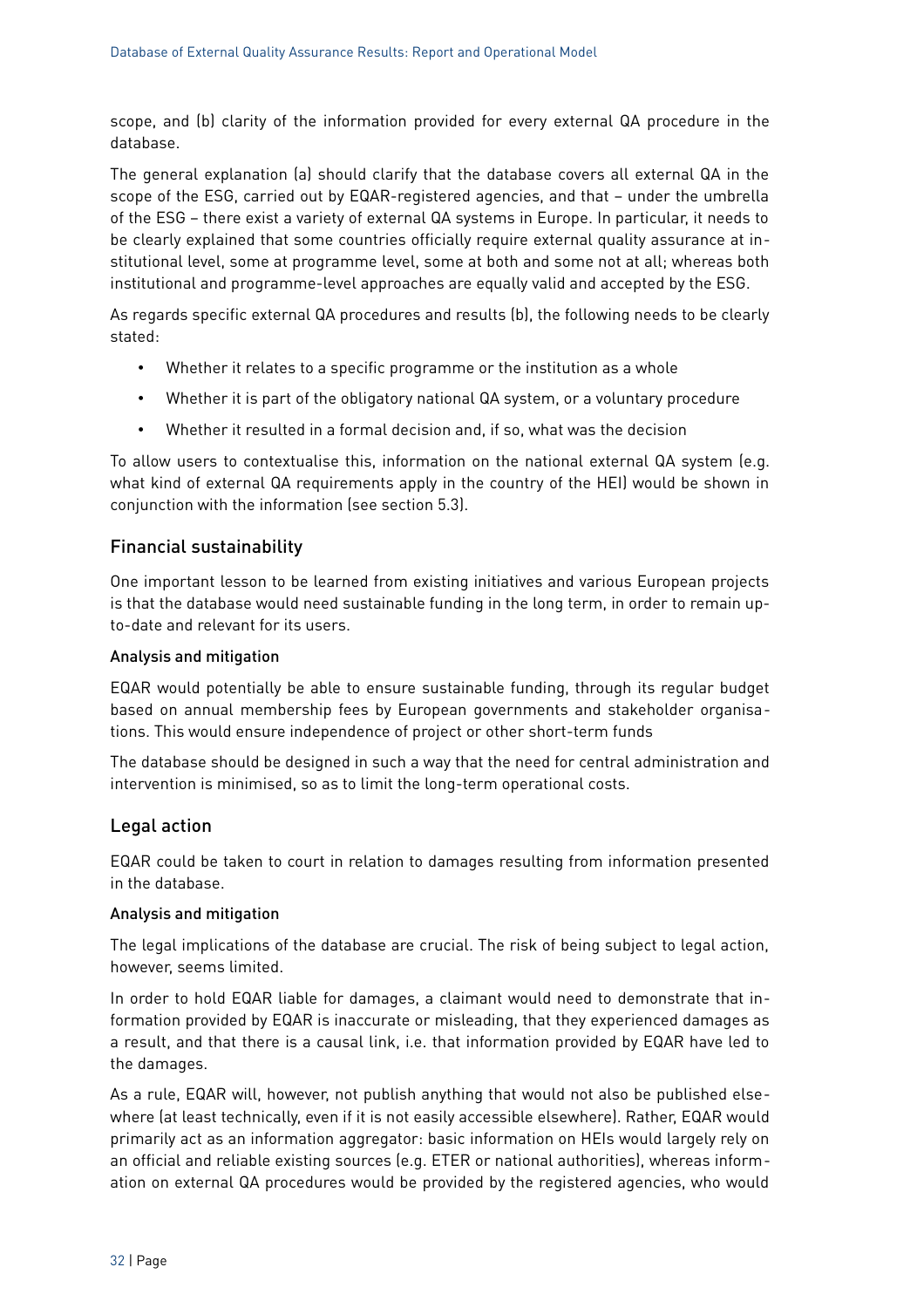scope, and (b) clarity of the information provided for every external QA procedure in the database.

The general explanation (a) should clarify that the database covers all external QA in the scope of the ESG, carried out by EQAR-registered agencies, and that – under the umbrella of the ESG – there exist a variety of external QA systems in Europe. In particular, it needs to be clearly explained that some countries officially require external quality assurance at institutional level, some at programme level, some at both and some not at all; whereas both institutional and programme-level approaches are equally valid and accepted by the ESG.

As regards specific external QA procedures and results (b), the following needs to be clearly stated:

- Whether it relates to a specific programme or the institution as a whole
- Whether it is part of the obligatory national QA system, or a voluntary procedure
- Whether it resulted in a formal decision and, if so, what was the decision

To allow users to contextualise this, information on the national external QA system (e.g. what kind of external QA requirements apply in the country of the HEI) would be shown in conjunction with the information (see section [5.3\)](#page-35-0).

#### Financial sustainability

One important lesson to be learned from existing initiatives and various European projects is that the database would need sustainable funding in the long term, in order to remain upto-date and relevant for its users.

#### Analysis and mitigation

EQAR would potentially be able to ensure sustainable funding, through its regular budget based on annual membership fees by European governments and stakeholder organisations. This would ensure independence of project or other short-term funds

The database should be designed in such a way that the need for central administration and intervention is minimised, so as to limit the long-term operational costs.

#### Legal action

EQAR could be taken to court in relation to damages resulting from information presented in the database.

#### Analysis and mitigation

The legal implications of the database are crucial. The risk of being subject to legal action, however, seems limited.

In order to hold EQAR liable for damages, a claimant would need to demonstrate that information provided by EQAR is inaccurate or misleading, that they experienced damages as a result, and that there is a causal link, i.e. that information provided by EQAR have led to the damages.

As a rule, EQAR will, however, not publish anything that would not also be published elsewhere (at least technically, even if it is not easily accessible elsewhere). Rather, EQAR would primarily act as an information aggregator: basic information on HEIs would largely rely on an official and reliable existing sources (e.g. ETER or national authorities), whereas information on external QA procedures would be provided by the registered agencies, who would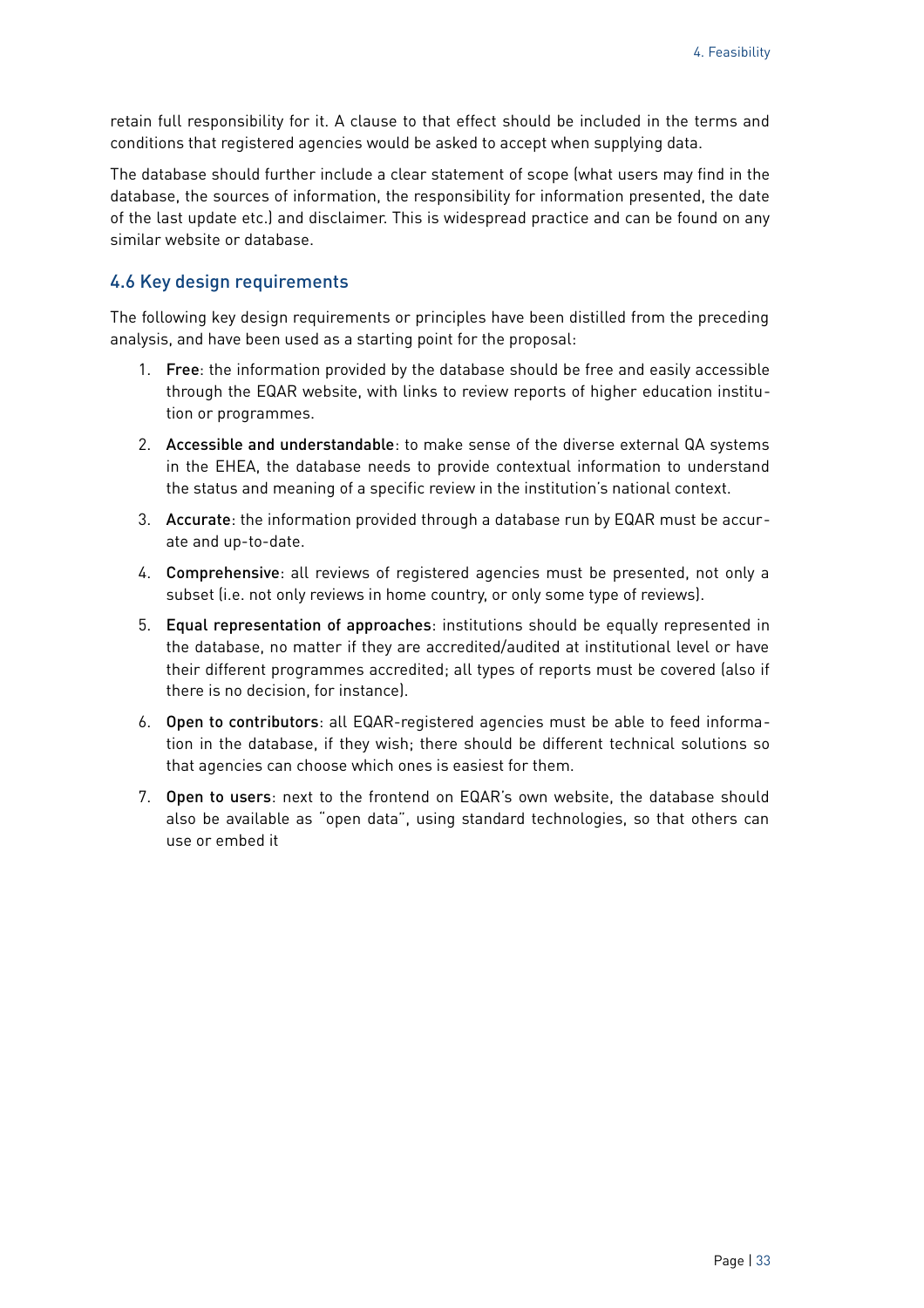retain full responsibility for it. A clause to that effect should be included in the terms and conditions that registered agencies would be asked to accept when supplying data.

The database should further include a clear statement of scope (what users may find in the database, the sources of information, the responsibility for information presented, the date of the last update etc.) and disclaimer. This is widespread practice and can be found on any similar website or database.

#### <span id="page-32-0"></span>4.6 Key design requirements

The following key design requirements or principles have been distilled from the preceding analysis, and have been used as a starting point for the proposal:

- 1. Free: the information provided by the database should be free and easily accessible through the EQAR website, with links to review reports of higher education institution or programmes.
- 2. Accessible and understandable: to make sense of the diverse external QA systems in the EHEA, the database needs to provide contextual information to understand the status and meaning of a specific review in the institution's national context.
- 3. Accurate: the information provided through a database run by EQAR must be accurate and up-to-date.
- 4. Comprehensive: all reviews of registered agencies must be presented, not only a subset (i.e. not only reviews in home country, or only some type of reviews).
- 5. Equal representation of approaches: institutions should be equally represented in the database, no matter if they are accredited/audited at institutional level or have their different programmes accredited; all types of reports must be covered (also if there is no decision, for instance).
- 6. Open to contributors: all EQAR-registered agencies must be able to feed information in the database, if they wish; there should be different technical solutions so that agencies can choose which ones is easiest for them.
- 7. Open to users: next to the frontend on EQAR's own website, the database should also be available as "open data", using standard technologies, so that others can use or embed it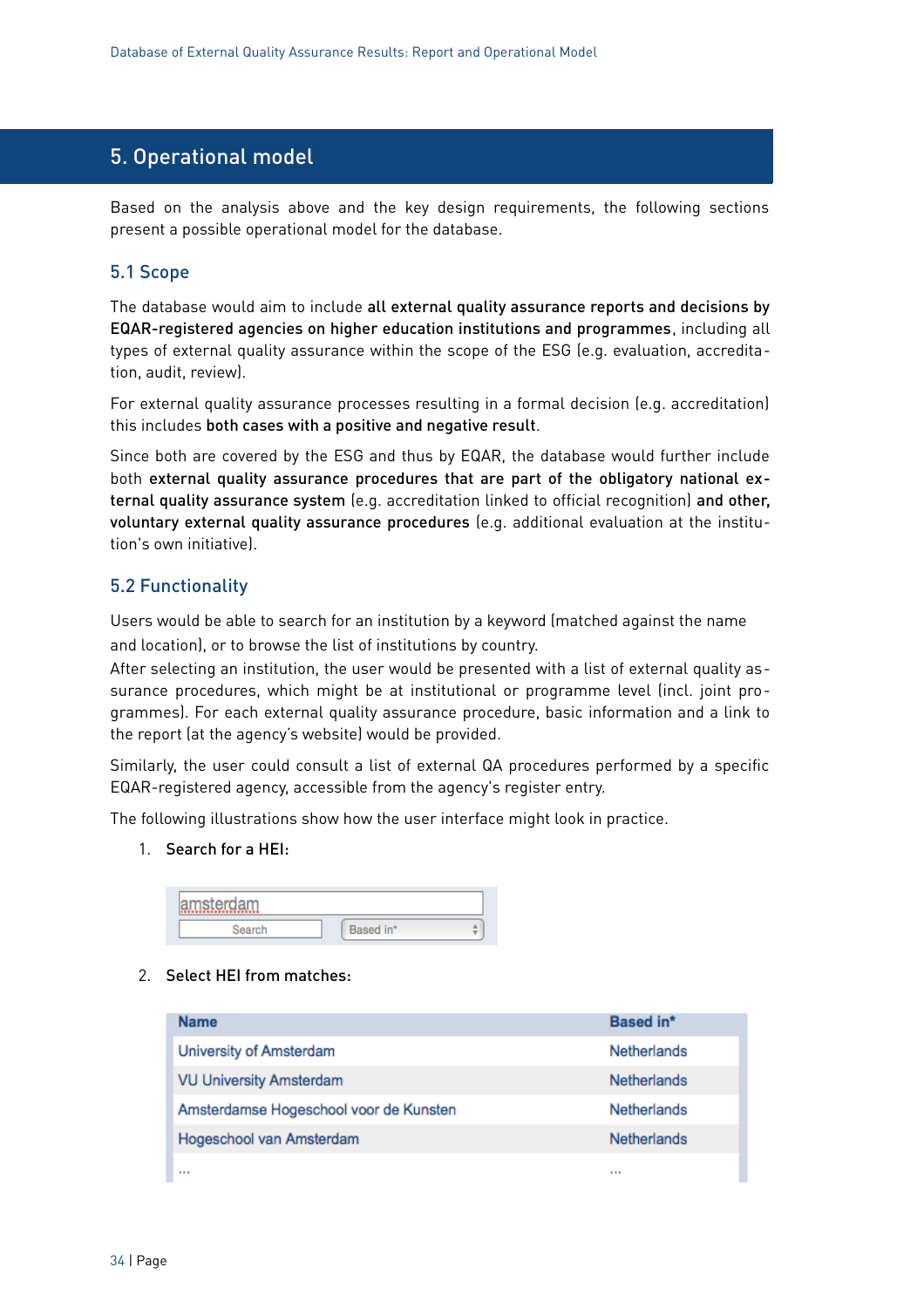## <span id="page-33-2"></span>5. Operational model

Based on the analysis above and the key design requirements, the following sections present a possible operational model for the database.

#### <span id="page-33-1"></span>5.1 Scope

The database would aim to include all external quality assurance reports and decisions by EQAR-registered agencies on higher education institutions and programmes, including all types of external quality assurance within the scope of the ESG (e.g. evaluation, accreditation, audit, review).

For external quality assurance processes resulting in a formal decision (e.g. accreditation) this includes both cases with a positive and negative result.

Since both are covered by the ESG and thus by EQAR, the database would further include both external quality assurance procedures that are part of the obligatory national external quality assurance system (e.g. accreditation linked to official recognition) and other, voluntary external quality assurance procedures (e.g. additional evaluation at the institution's own initiative).

#### <span id="page-33-0"></span>5.2 Functionality

Users would be able to search for an institution by a keyword (matched against the name and location), or to browse the list of institutions by country.

After selecting an institution, the user would be presented with a list of external quality assurance procedures, which might be at institutional or programme level (incl. joint programmes). For each external quality assurance procedure, basic information and a link to the report (at the agency's website) would be provided.

Similarly, the user could consult a list of external QA procedures performed by a specific EQAR-registered agency, accessible from the agency's register entry.

The following illustrations show how the user interface might look in practice.

1. Search for a HEI:

| <b>Mamsterdan</b><br>---- |     |   |
|---------------------------|-----|---|
|                           | in* | ٠ |

#### 2. Select HEI from matches:

| <b>Name</b>                            | <b>Based in*</b>   |
|----------------------------------------|--------------------|
| University of Amsterdam                | Netherlands        |
| <b>VU University Amsterdam</b>         | <b>Netherlands</b> |
| Amsterdamse Hogeschool voor de Kunsten | <b>Netherlands</b> |
| Hogeschool van Amsterdam               | Netherlands        |
|                                        | 1.11               |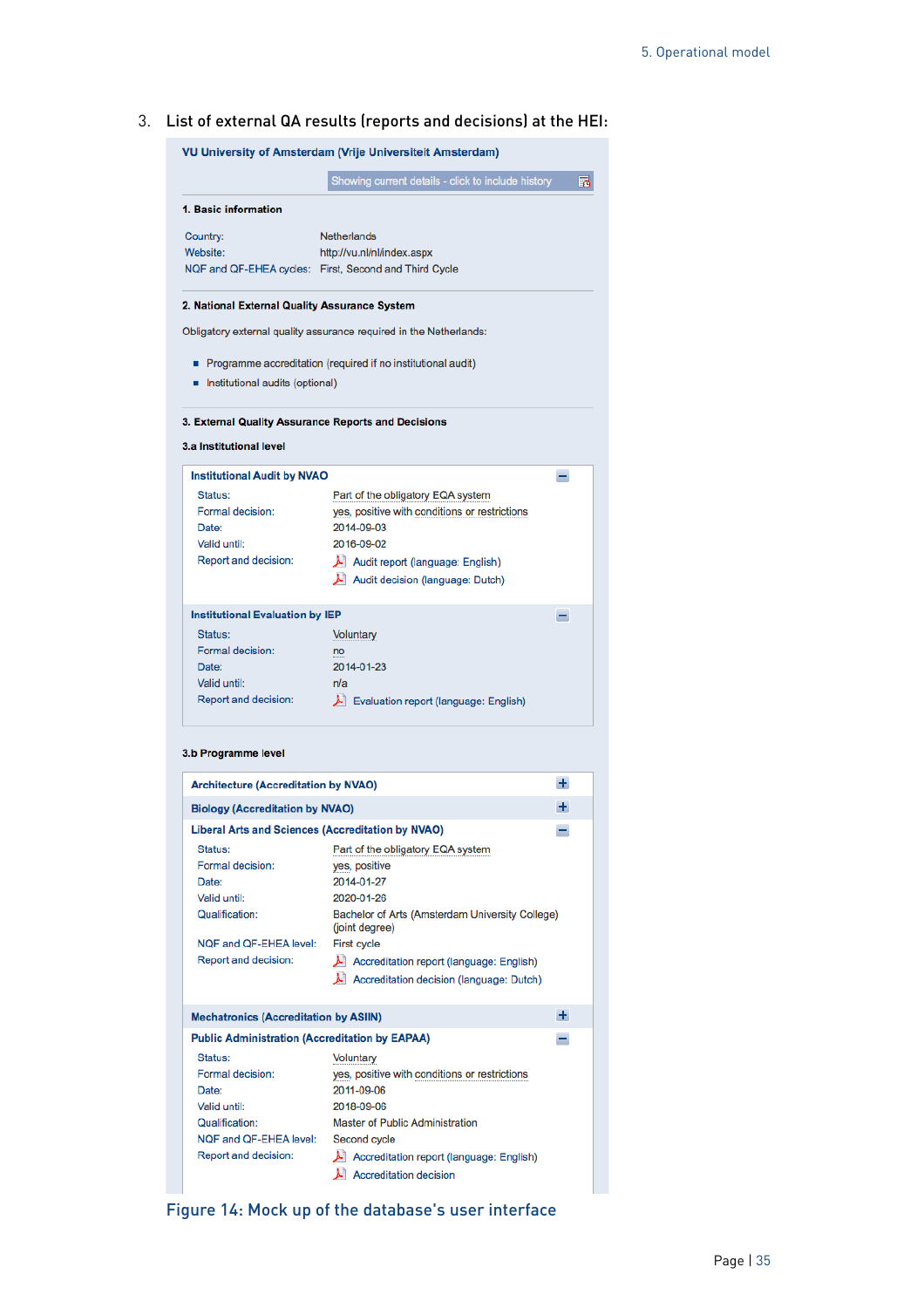3. List of external QA results (reports and decisions) at the HEI:

|                                                                              | <b>VU University of Amsterdam (Vrije Universiteit Amsterdam)</b>                                                                                                                       |       |
|------------------------------------------------------------------------------|----------------------------------------------------------------------------------------------------------------------------------------------------------------------------------------|-------|
|                                                                              | Showing current details - click to include history                                                                                                                                     | 鬲     |
| 1. Basic information                                                         |                                                                                                                                                                                        |       |
| Country:<br>Website:                                                         | <b>Netherlands</b><br>http://vu.nl/nl/index.aspx<br>NQF and QF-EHEA cycles: First, Second and Third Cycle                                                                              |       |
| 2. National External Quality Assurance System                                |                                                                                                                                                                                        |       |
|                                                                              | Obligatory external quality assurance required in the Netherlands:                                                                                                                     |       |
| Institutional audits (optional)                                              | Programme accreditation (required if no institutional audit)                                                                                                                           |       |
| 3.a Institutional level                                                      | 3. External Quality Assurance Reports and Decisions                                                                                                                                    |       |
| <b>Institutional Audit by NVAO</b>                                           |                                                                                                                                                                                        | -     |
| Status:<br>Formal decision:<br>Date:<br>Valid until:<br>Report and decision: | Part of the obligatory EQA system<br>yes, positive with conditions or restrictions<br>2014-09-03<br>2016-09-02<br>Audit report (language: English)<br>Audit decision (language: Dutch) |       |
| <b>Institutional Evaluation by IEP</b>                                       |                                                                                                                                                                                        | -     |
| Status:<br>Formal decision:<br>Date:<br>Valid until:<br>Report and decision: | Voluntary<br>no<br>2014-01-23<br>n/a<br><b>Evaluation report (language: English)</b>                                                                                                   |       |
| 3.b Programme level                                                          |                                                                                                                                                                                        |       |
| <b>Architecture (Accreditation by NVAO)</b>                                  |                                                                                                                                                                                        | $\pm$ |
| <b>Biology (Accreditation by NVAO)</b>                                       |                                                                                                                                                                                        | ÷     |
|                                                                              | <b>Liberal Arts and Sciences (Accreditation by NVAO)</b>                                                                                                                               | -     |
| Status:<br>Formal decision:<br>Date:                                         | Part of the obligatory EQA system<br>yes, positive<br>2014-01-27                                                                                                                       |       |

| <b>FUITIEI UCCISIUII.</b>                             | yes, positive                                                     |  |
|-------------------------------------------------------|-------------------------------------------------------------------|--|
| Date:                                                 | 2014-01-27                                                        |  |
| Valid until:                                          | 2020-01-26                                                        |  |
| Qualification:                                        | Bachelor of Arts (Amsterdam University College)<br>(joint degree) |  |
| NQF and QF-EHEA level:                                | First cycle                                                       |  |
| Report and decision:                                  | A Accreditation report (language: English)                        |  |
|                                                       | A Accreditation decision (language: Dutch)                        |  |
|                                                       |                                                                   |  |
| <b>Mechatronics (Accreditation by ASIIN)</b>          | $\pm$                                                             |  |
| <b>Public Administration (Accreditation by EAPAA)</b> |                                                                   |  |
| Status:                                               | Voluntary                                                         |  |
| Formal decision:                                      | yes, positive with conditions or restrictions                     |  |
| Date:                                                 | 2011-09-06                                                        |  |
| Valid until:                                          | 2018-09-06                                                        |  |
| Qualification:                                        | Master of Public Administration                                   |  |
| NQF and QF-EHEA level:                                | Second cycle                                                      |  |
| Report and decision:                                  | A Accreditation report (language: English)                        |  |

 $\overline{\mathbf{\lambda}}$  Accreditation decision

Figure 14: Mock up of the database's user interface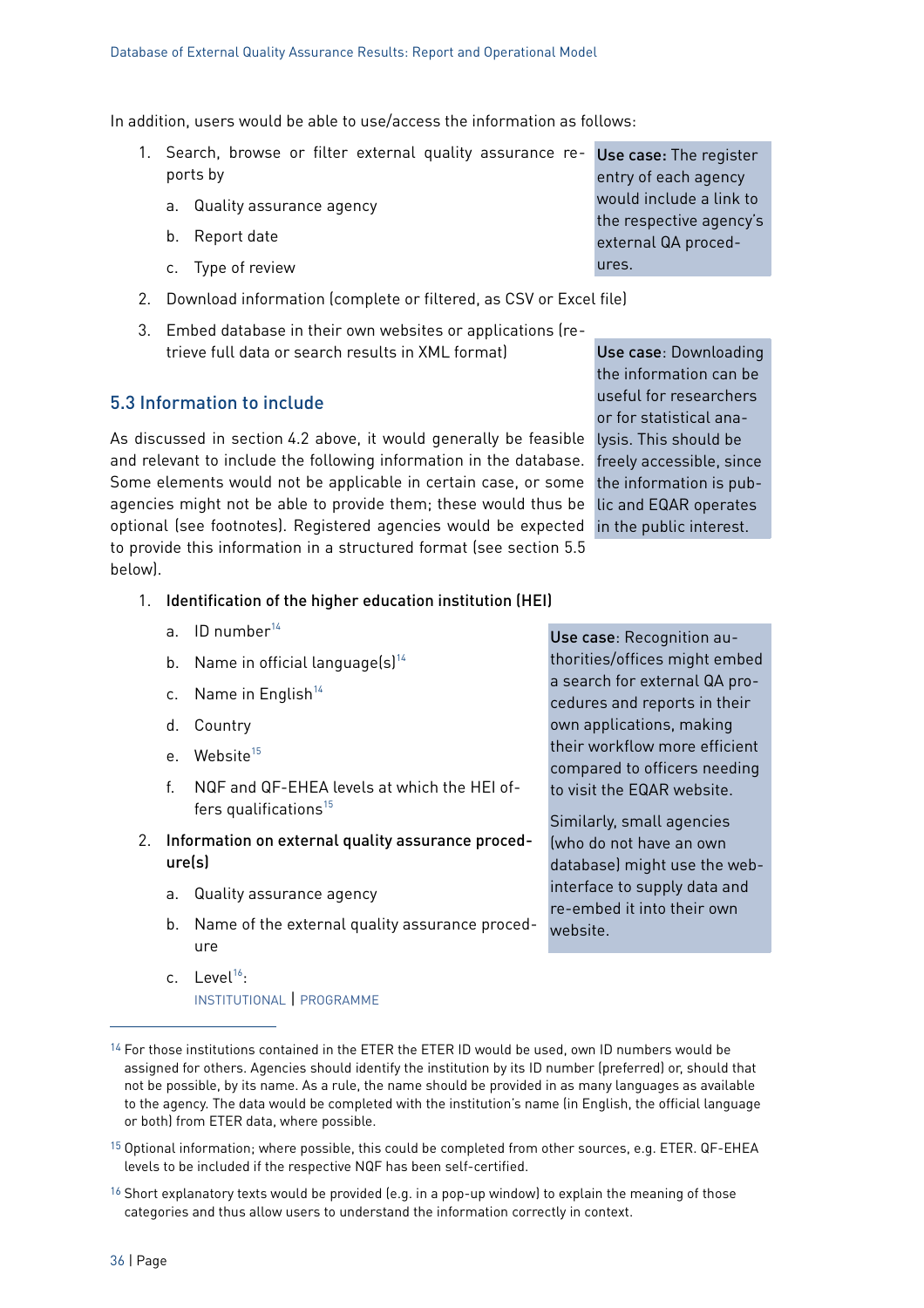In addition, users would be able to use/access the information as follows:

- 1. Search, browse or filter external quality assurance re- Use case: The register ports by
	- a. Quality assurance agency
	- b. Report date
	- c. Type of review
- 2. Download information (complete or filtered, as CSV or Excel file)
- 3. Embed database in their own websites or applications (retrieve full data or search results in XML format)

#### <span id="page-35-0"></span>5.3 Information to include

As discussed in section [4.2](#page-24-0) [above,](#page-24-0) it would generally be feasible lysis. This should be and relevant to include the following information in the database. Some elements would not be applicable in certain case, or some the information is pubagencies might not be able to provide them; these would thus be lic and EQAR operates optional (see footnotes). Registered agencies would be expected in the public interest. to provide this information in a structured format (see section [5.5](#page-37-0) [below\)](#page-37-0).

Use case: Downloading the information can be useful for researchers or for statistical anafreely accessible, since

entry of each agency would include a link to the respective agency's external QA proced-

ures.

#### 1. Identification of the higher education institution (HEI)

- a. ID number $^{14}$  $^{14}$  $^{14}$
- b. Name in official language $(s)^{14}$  $(s)^{14}$  $(s)^{14}$
- c. Name in English $14$
- d. Country
- e. Website<sup>[15](#page-35-1)</sup>
- f. NQF and QF-EHEA levels at which the HEI offers qualifications $15$
- 2. Information on external quality assurance procedure(s)
	- a. Quality assurance agency
	- b. Name of the external quality assurance procedure
	- c. Level<sup>[16](#page-35-3)</sup>: INSTITUTIONAL | PROGRAMME

Use case: Recognition authorities/offices might embed a search for external QA procedures and reports in their own applications, making their workflow more efficient compared to officers needing to visit the EQAR website.

Similarly, small agencies (who do not have an own database) might use the webinterface to supply data and re-embed it into their own website.

- <span id="page-35-1"></span>15 Optional information; where possible, this could be completed from other sources, e.g. ETER. QF-EHEA levels to be included if the respective NQF has been self-certified.
- <span id="page-35-3"></span><sup>16</sup> Short explanatory texts would be provided (e.g. in a pop-up window) to explain the meaning of those categories and thus allow users to understand the information correctly in context.

<span id="page-35-2"></span><sup>&</sup>lt;sup>14</sup> For those institutions contained in the ETER the ETER ID would be used, own ID numbers would be assigned for others. Agencies should identify the institution by its ID number (preferred) or, should that not be possible, by its name. As a rule, the name should be provided in as many languages as available to the agency. The data would be completed with the institution's name (in English, the official language or both) from ETER data, where possible.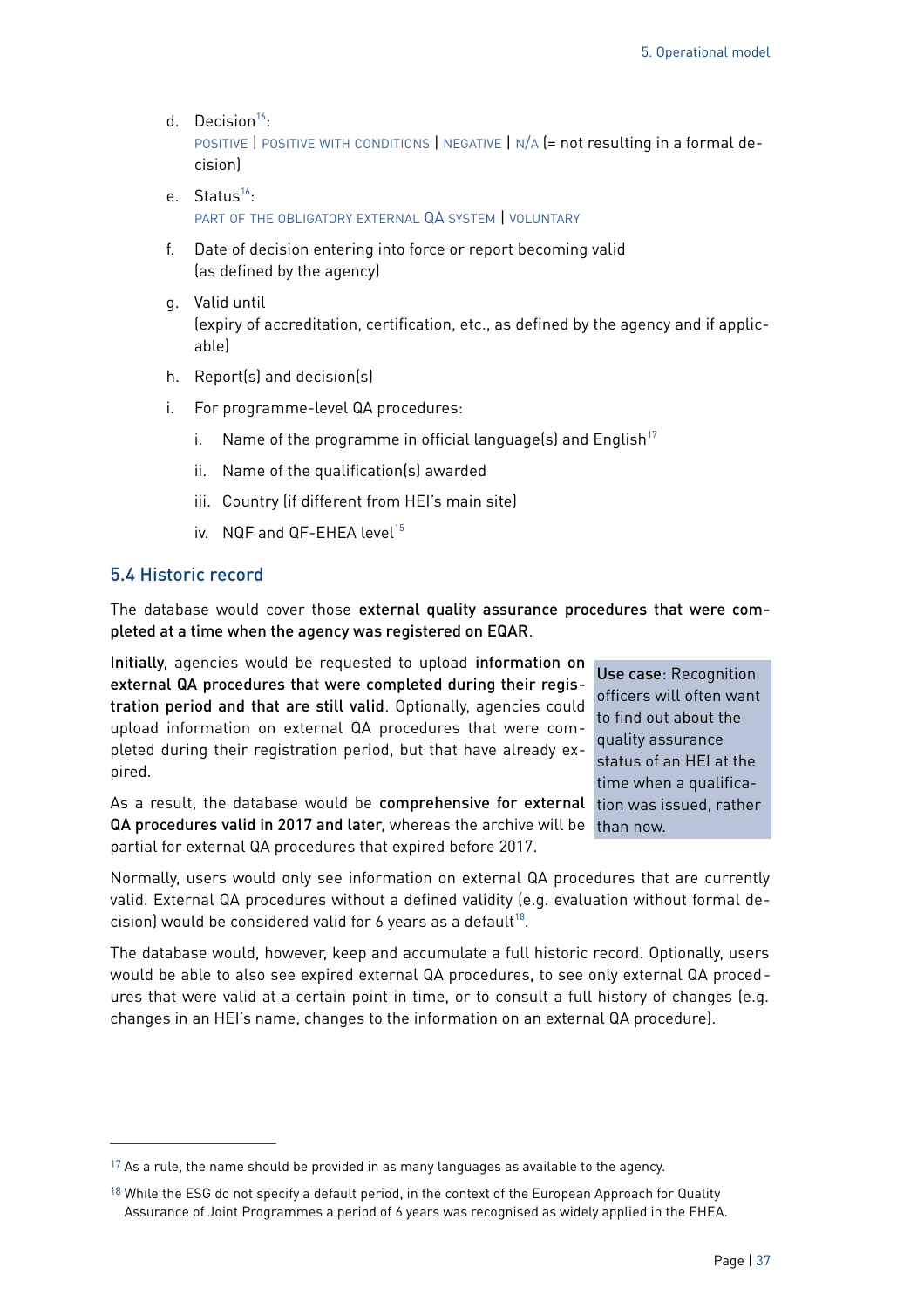d. Decision<sup>[16](#page-35-3)</sup>:

POSITIVE | POSITIVE WITH CONDITIONS | NEGATIVE | N/A (= not resulting in a formal decision)

- e. Status<sup>[16](#page-35-3)</sup>: PART OF THE OBLIGATORY EXTERNAL QA SYSTEM I VOLUNTARY
- f. Date of decision entering into force or report becoming valid (as defined by the agency)
- g. Valid until (expiry of accreditation, certification, etc., as defined by the agency and if applicable)
- h. Report(s) and decision(s)
- i. For programme-level QA procedures:
	- i. Name of the programme in official language(s) and English<sup>[17](#page-36-1)</sup>
	- ii. Name of the qualification(s) awarded
	- iii. Country (if different from HEI's main site)
	- iv.  $NQF$  and  $QF$ -FHFA level<sup>[15](#page-35-1)</sup>

#### <span id="page-36-0"></span>5.4 Historic record

The database would cover those external quality assurance procedures that were completed at a time when the agency was registered on EQAR.

Initially, agencies would be requested to upload information on external QA procedures that were completed during their registration period and that are still valid. Optionally, agencies could upload information on external QA procedures that were completed during their registration period, but that have already expired.

As a result, the database would be comprehensive for external tion was issued, rather QA procedures valid in 2017 and later, whereas the archive will be than now. partial for external QA procedures that expired before 2017.

Use case: Recognition officers will often want to find out about the quality assurance status of an HEI at the time when a qualifica-

Normally, users would only see information on external QA procedures that are currently valid. External QA procedures without a defined validity (e.g. evaluation without formal de-cision) would be considered valid for 6 years as a default<sup>[18](#page-36-2)</sup>.

The database would, however, keep and accumulate a full historic record. Optionally, users would be able to also see expired external QA procedures, to see only external QA procedures that were valid at a certain point in time, or to consult a full history of changes (e.g. changes in an HEI's name, changes to the information on an external QA procedure).

<span id="page-36-1"></span> $17$  As a rule, the name should be provided in as many languages as available to the agency.

<span id="page-36-2"></span><sup>&</sup>lt;sup>18</sup> While the ESG do not specify a default period, in the context of the European Approach for Quality Assurance of Joint Programmes a period of 6 years was recognised as widely applied in the EHEA.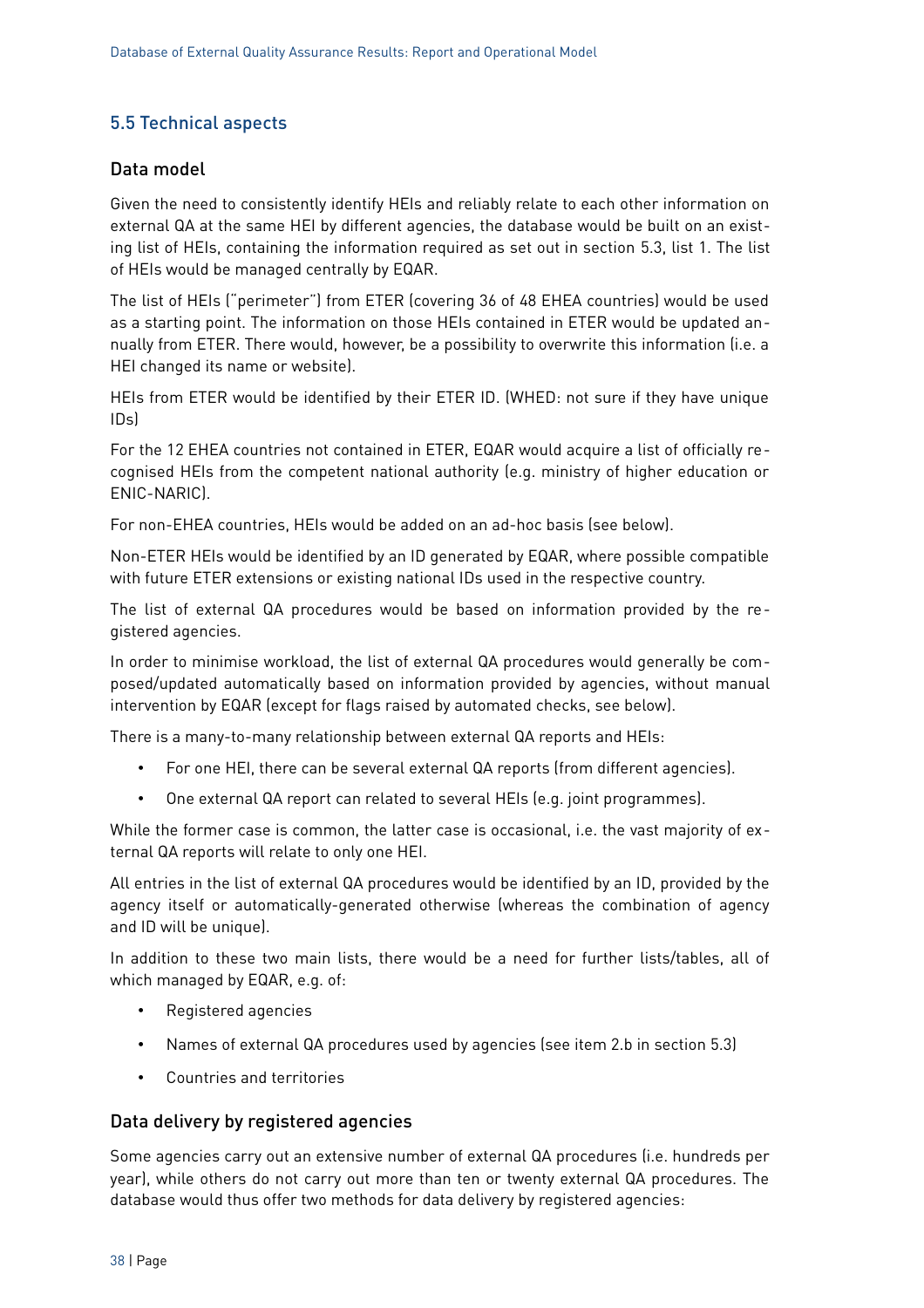### <span id="page-37-0"></span>5.5 Technical aspects

#### Data model

Given the need to consistently identify HEIs and reliably relate to each other information on external QA at the same HEI by different agencies, the database would be built on an existing list of HEIs, containing the information required as set out in section [5.3,](#page-35-0) list 1. The list of HEIs would be managed centrally by EQAR.

The list of HEIs ("perimeter") from ETER (covering 36 of 48 EHEA countries) would be used as a starting point. The information on those HEIs contained in ETER would be updated annually from ETER. There would, however, be a possibility to overwrite this information (i.e. a HEI changed its name or website).

HEIs from ETER would be identified by their ETER ID. (WHED: not sure if they have unique IDs)

For the 12 EHEA countries not contained in ETER, EQAR would acquire a list of officially recognised HEIs from the competent national authority (e.g. ministry of higher education or ENIC-NARIC).

For non-EHEA countries, HEIs would be added on an ad-hoc basis (see below).

Non-ETER HEIs would be identified by an ID generated by EQAR, where possible compatible with future ETER extensions or existing national IDs used in the respective country.

The list of external QA procedures would be based on information provided by the registered agencies.

In order to minimise workload, the list of external QA procedures would generally be composed/updated automatically based on information provided by agencies, without manual intervention by EQAR (except for flags raised by automated checks, see below).

There is a many-to-many relationship between external QA reports and HEIs:

- For one HEI, there can be several external QA reports (from different agencies).
- One external QA report can related to several HEIs (e.g. joint programmes).

While the former case is common, the latter case is occasional, i.e. the vast majority of external QA reports will relate to only one HEI.

All entries in the list of external QA procedures would be identified by an ID, provided by the agency itself or automatically-generated otherwise (whereas the combination of agency and ID will be unique).

In addition to these two main lists, there would be a need for further lists/tables, all of which managed by EQAR, e.g. of:

- Registered agencies
- Names of external QA procedures used by agencies (see item 2.b in section [5.3\)](#page-35-0)
- Countries and territories

#### Data delivery by registered agencies

Some agencies carry out an extensive number of external QA procedures (i.e. hundreds per year), while others do not carry out more than ten or twenty external QA procedures. The database would thus offer two methods for data delivery by registered agencies: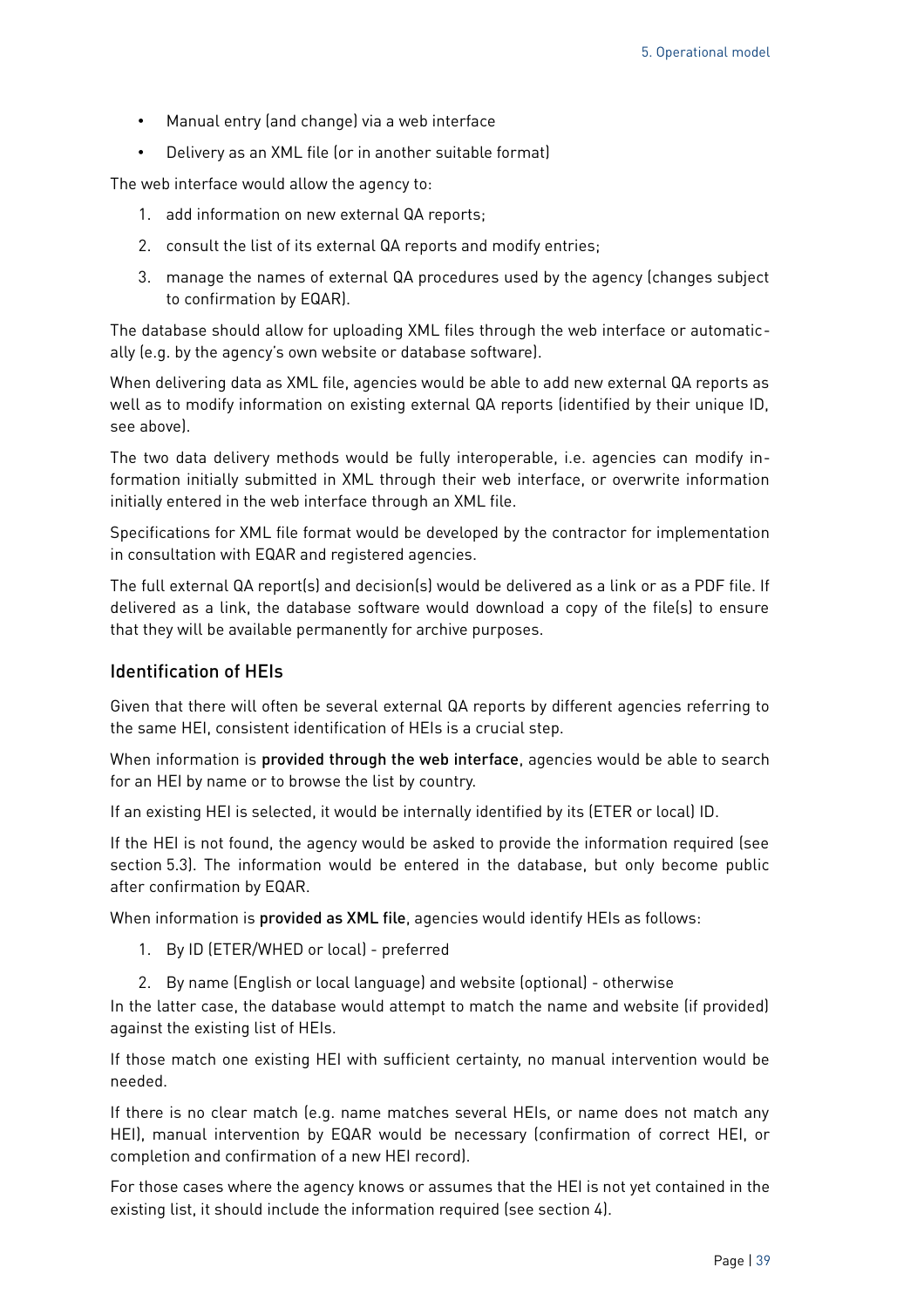- Manual entry (and change) via a web interface
- Delivery as an XML file (or in another suitable format)

The web interface would allow the agency to:

- 1. add information on new external QA reports;
- 2. consult the list of its external QA reports and modify entries;
- 3. manage the names of external QA procedures used by the agency (changes subject to confirmation by EQAR).

The database should allow for uploading XML files through the web interface or automatically (e.g. by the agency's own website or database software).

When delivering data as XML file, agencies would be able to add new external QA reports as well as to modify information on existing external QA reports (identified by their unique ID, see above).

The two data delivery methods would be fully interoperable, i.e. agencies can modify information initially submitted in XML through their web interface, or overwrite information initially entered in the web interface through an XML file.

Specifications for XML file format would be developed by the contractor for implementation in consultation with EQAR and registered agencies.

The full external QA report(s) and decision(s) would be delivered as a link or as a PDF file. If delivered as a link, the database software would download a copy of the file(s) to ensure that they will be available permanently for archive purposes.

#### Identification of HEIs

Given that there will often be several external QA reports by different agencies referring to the same HEI, consistent identification of HEIs is a crucial step.

When information is provided through the web interface, agencies would be able to search for an HEI by name or to browse the list by country.

If an existing HEI is selected, it would be internally identified by its (ETER or local) ID.

If the HEI is not found, the agency would be asked to provide the information required (see section [5.3\)](#page-35-0). The information would be entered in the database, but only become public after confirmation by EQAR.

When information is provided as XML file, agencies would identify HEIs as follows:

- 1. By ID (ETER/WHED or local) preferred
- 2. By name (English or local language) and website (optional) otherwise

In the latter case, the database would attempt to match the name and website (if provided) against the existing list of HEIs.

If those match one existing HEI with sufficient certainty, no manual intervention would be needed.

If there is no clear match (e.g. name matches several HEIs, or name does not match any HEI), manual intervention by EQAR would be necessary (confirmation of correct HEI, or completion and confirmation of a new HEI record).

For those cases where the agency knows or assumes that the HEI is not yet contained in the existing list, it should include the information required (see section 4).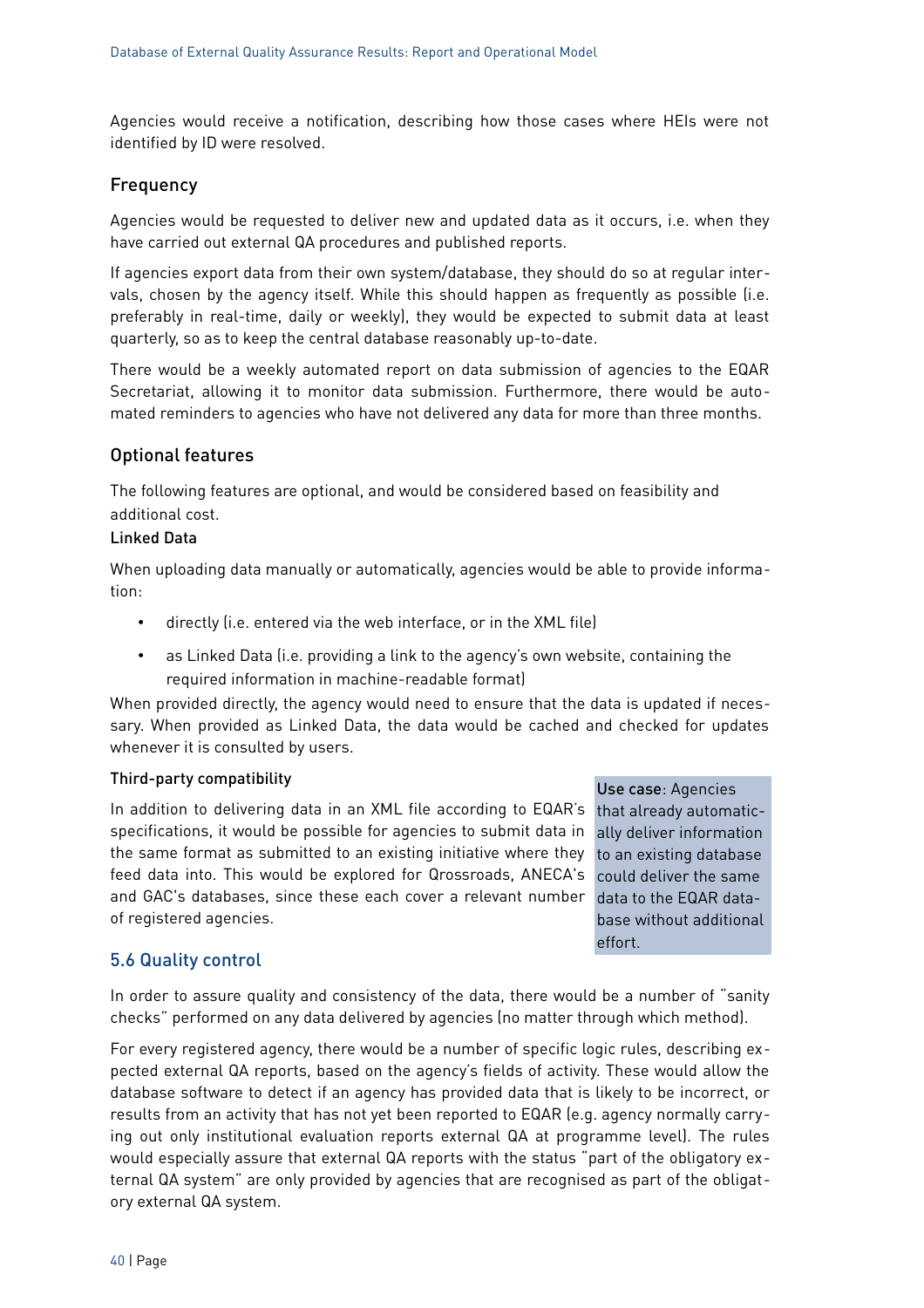Agencies would receive a notification, describing how those cases where HEIs were not identified by ID were resolved.

#### Frequency

Agencies would be requested to deliver new and updated data as it occurs, i.e. when they have carried out external QA procedures and published reports.

If agencies export data from their own system/database, they should do so at regular intervals, chosen by the agency itself. While this should happen as frequently as possible (i.e. preferably in real-time, daily or weekly), they would be expected to submit data at least quarterly, so as to keep the central database reasonably up-to-date.

There would be a weekly automated report on data submission of agencies to the EQAR Secretariat, allowing it to monitor data submission. Furthermore, there would be automated reminders to agencies who have not delivered any data for more than three months.

#### Optional features

The following features are optional, and would be considered based on feasibility and additional cost.

#### Linked Data

When uploading data manually or automatically, agencies would be able to provide information:

- directly (i.e. entered via the web interface, or in the XML file)
- as Linked Data (i.e. providing a link to the agency's own website, containing the required information in machine-readable format)

When provided directly, the agency would need to ensure that the data is updated if necessary. When provided as Linked Data, the data would be cached and checked for updates whenever it is consulted by users.

#### Third-party compatibility

In addition to delivering data in an XML file according to EQAR's that already automaticspecifications, it would be possible for agencies to submit data in ally deliver information the same format as submitted to an existing initiative where they to an existing database feed data into. This would be explored for Qrossroads, ANECA's could deliver the same and GAC's databases, since these each cover a relevant number data to the EQAR dataof registered agencies.

#### Use case: Agencies

base without additional effort.

#### <span id="page-39-0"></span>5.6 Quality control

In order to assure quality and consistency of the data, there would be a number of "sanity checks" performed on any data delivered by agencies (no matter through which method).

For every registered agency, there would be a number of specific logic rules, describing expected external QA reports, based on the agency's fields of activity. These would allow the database software to detect if an agency has provided data that is likely to be incorrect, or results from an activity that has not yet been reported to EQAR (e.g. agency normally carrying out only institutional evaluation reports external QA at programme level). The rules would especially assure that external QA reports with the status "part of the obligatory external QA system" are only provided by agencies that are recognised as part of the obligatory external QA system.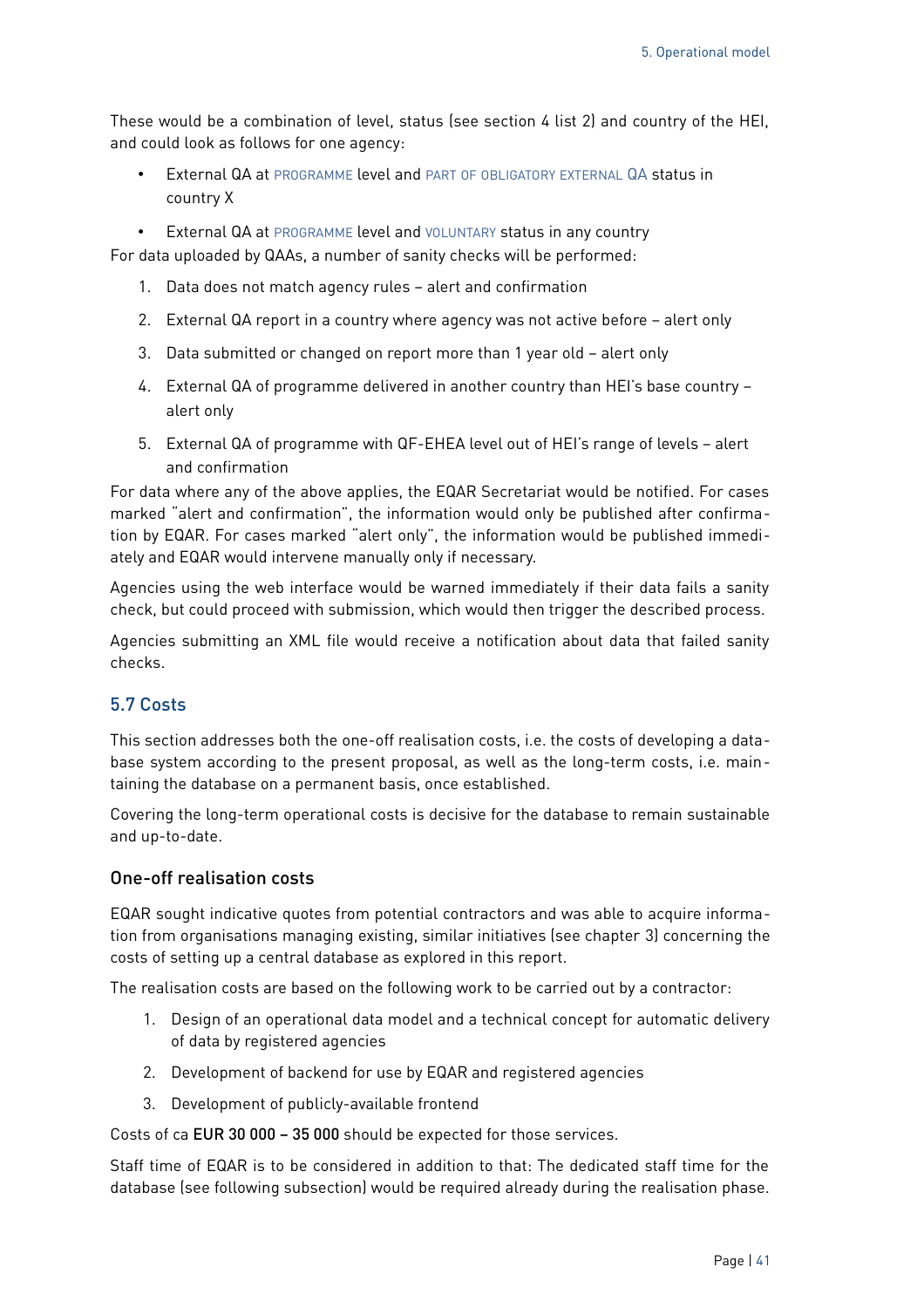These would be a combination of level, status (see section 4 list 2) and country of the HEI, and could look as follows for one agency:

- External QA at PROGRAMME level and PART OF OBLIGATORY EXTERNAL QA status in country X
- External QA at PROGRAMME level and VOLUNTARY status in any country

For data uploaded by QAAs, a number of sanity checks will be performed:

- 1. Data does not match agency rules alert and confirmation
- 2. External QA report in a country where agency was not active before alert only
- 3. Data submitted or changed on report more than 1 year old alert only
- 4. External QA of programme delivered in another country than HEI's base country alert only
- 5. External QA of programme with QF-EHEA level out of HEI's range of levels alert and confirmation

For data where any of the above applies, the EQAR Secretariat would be notified. For cases marked "alert and confirmation", the information would only be published after confirmation by EQAR. For cases marked "alert only", the information would be published immediately and EQAR would intervene manually only if necessary.

Agencies using the web interface would be warned immediately if their data fails a sanity check, but could proceed with submission, which would then trigger the described process.

Agencies submitting an XML file would receive a notification about data that failed sanity checks.

#### <span id="page-40-0"></span>5.7 Costs

This section addresses both the one-off realisation costs, i.e. the costs of developing a database system according to the present proposal, as well as the long-term costs, i.e. maintaining the database on a permanent basis, once established.

Covering the long-term operational costs is decisive for the database to remain sustainable and up-to-date.

#### One-off realisation costs

EQAR sought indicative quotes from potential contractors and was able to acquire information from organisations managing existing, similar initiatives (see chapter [3\)](#page-12-1) concerning the costs of setting up a central database as explored in this report.

The realisation costs are based on the following work to be carried out by a contractor:

- 1. Design of an operational data model and a technical concept for automatic delivery of data by registered agencies
- 2. Development of backend for use by EQAR and registered agencies
- 3. Development of publicly-available frontend

Costs of ca EUR 30 000 – 35 000 should be expected for those services.

Staff time of EQAR is to be considered in addition to that: The dedicated staff time for the database (see following subsection) would be required already during the realisation phase.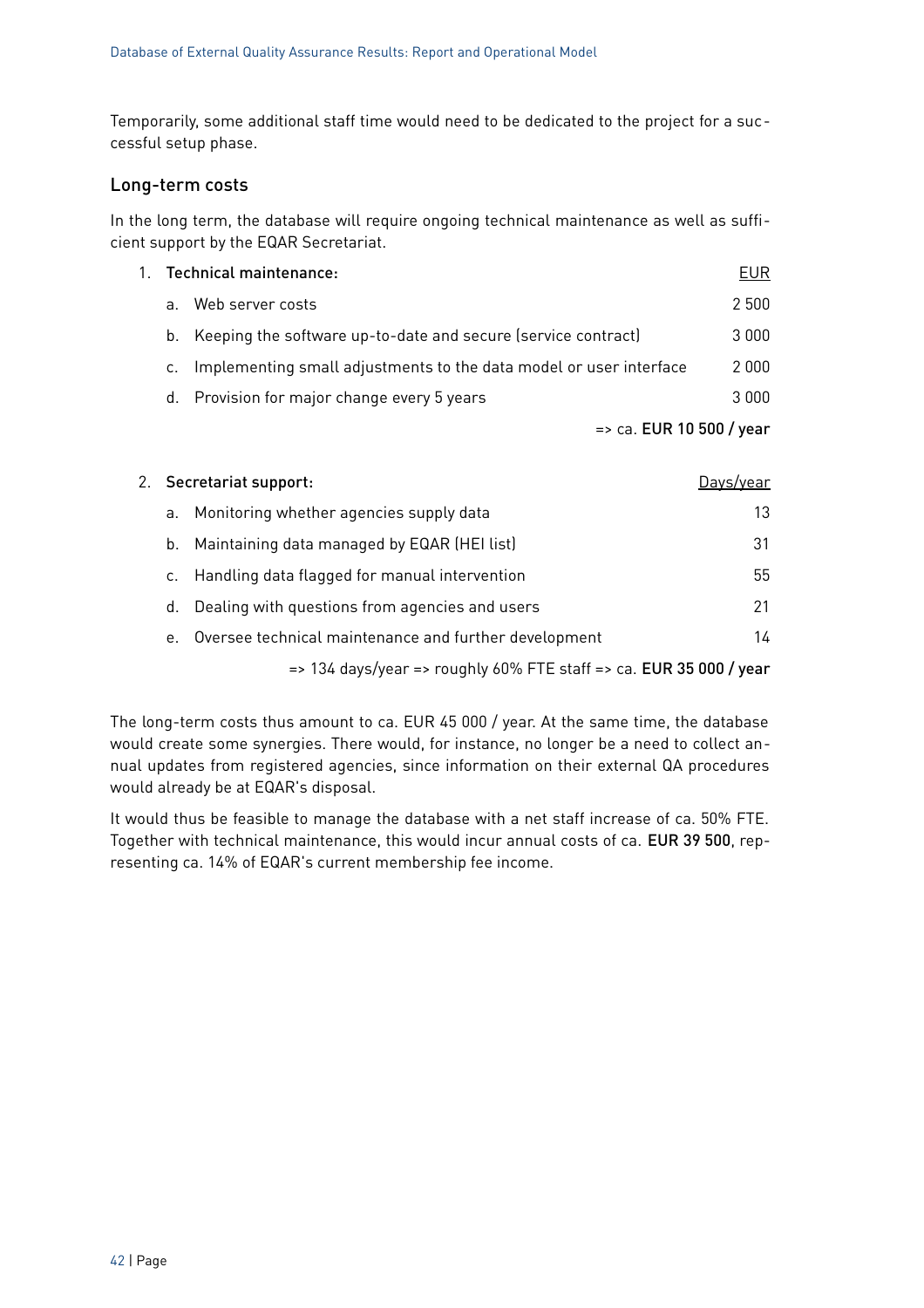Temporarily, some additional staff time would need to be dedicated to the project for a successful setup phase.

#### Long-term costs

In the long term, the database will require ongoing technical maintenance as well as sufficient support by the EQAR Secretariat.

| 1. |    | Technical maintenance:                                             | <b>EUR</b> |
|----|----|--------------------------------------------------------------------|------------|
|    | a. | Web server costs                                                   | 2 500      |
|    |    | b. Keeping the software up-to-date and secure (service contract)   | 3000       |
|    | c. | Implementing small adjustments to the data model or user interface | 2000       |
|    |    | d. Provision for major change every 5 years                        | 3000       |
|    |    | $\Rightarrow$ ca. EUR 10 500 / year                                |            |

|    | 2. Secretariat support:<br>Davs/vear                                          |    |  |
|----|-------------------------------------------------------------------------------|----|--|
| a. | Monitoring whether agencies supply data                                       | 13 |  |
| b. | Maintaining data managed by EQAR (HEI list)                                   | 31 |  |
|    | c. Handling data flagged for manual intervention                              | 55 |  |
| d. | Dealing with questions from agencies and users                                | 21 |  |
| e. | Oversee technical maintenance and further development                         | 14 |  |
|    | $\Rightarrow$ 134 days/year => roughly 60% FTE staff => ca. EUR 35 000 / year |    |  |

The long-term costs thus amount to ca. EUR 45 000 / year. At the same time, the database would create some synergies. There would, for instance, no longer be a need to collect annual updates from registered agencies, since information on their external QA procedures would already be at EQAR's disposal.

It would thus be feasible to manage the database with a net staff increase of ca. 50% FTE. Together with technical maintenance, this would incur annual costs of ca. EUR 39 500, representing ca. 14% of EQAR's current membership fee income.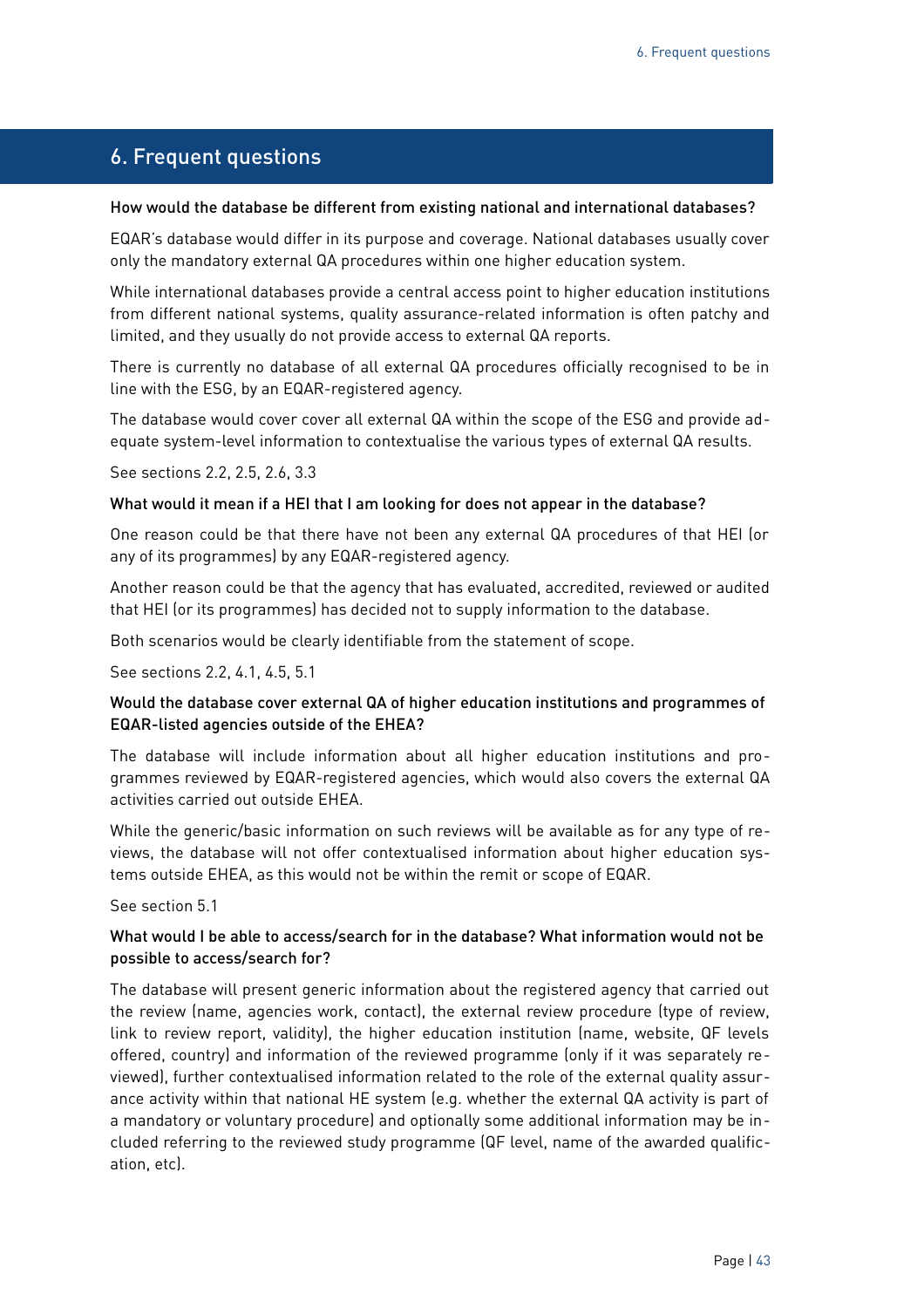### <span id="page-42-0"></span>6. Frequent questions

#### How would the database be different from existing national and international databases?

EQAR's database would differ in its purpose and coverage. National databases usually cover only the mandatory external QA procedures within one higher education system.

While international databases provide a central access point to higher education institutions from different national systems, quality assurance-related information is often patchy and limited, and they usually do not provide access to external QA reports.

There is currently no database of all external QA procedures officially recognised to be in line with the ESG, by an EQAR-registered agency.

The database would cover cover all external QA within the scope of the ESG and provide adequate system-level information to contextualise the various types of external QA results.

See sections [2.2,](#page-5-0) [2.5,](#page-7-0) [2.6,](#page-9-0) [3.3](#page-21-0)

#### What would it mean if a HEI that I am looking for does not appear in the database?

One reason could be that there have not been any external QA procedures of that HEI (or any of its programmes) by any EQAR-registered agency.

Another reason could be that the agency that has evaluated, accredited, reviewed or audited that HEI (or its programmes) has decided not to supply information to the database.

Both scenarios would be clearly identifiable from the statement of scope.

See sections [2.2,](#page-5-0) [4.1,](#page-23-0) [4.5,](#page-29-0) [5.1](#page-33-1)

#### Would the database cover external QA of higher education institutions and programmes of EQAR-listed agencies outside of the EHEA?

The database will include information about all higher education institutions and programmes reviewed by EQAR-registered agencies, which would also covers the external QA activities carried out outside EHEA.

While the generic/basic information on such reviews will be available as for any type of reviews, the database will not offer contextualised information about higher education systems outside EHEA, as this would not be within the remit or scope of EQAR.

See section [5.1](#page-33-1)

#### What would I be able to access/search for in the database? What information would not be possible to access/search for?

The database will present generic information about the registered agency that carried out the review (name, agencies work, contact), the external review procedure (type of review, link to review report, validity), the higher education institution (name, website, QF levels offered, country) and information of the reviewed programme (only if it was separately reviewed), further contextualised information related to the role of the external quality assurance activity within that national HE system (e.g. whether the external QA activity is part of a mandatory or voluntary procedure) and optionally some additional information may be included referring to the reviewed study programme (QF level, name of the awarded qualification, etc).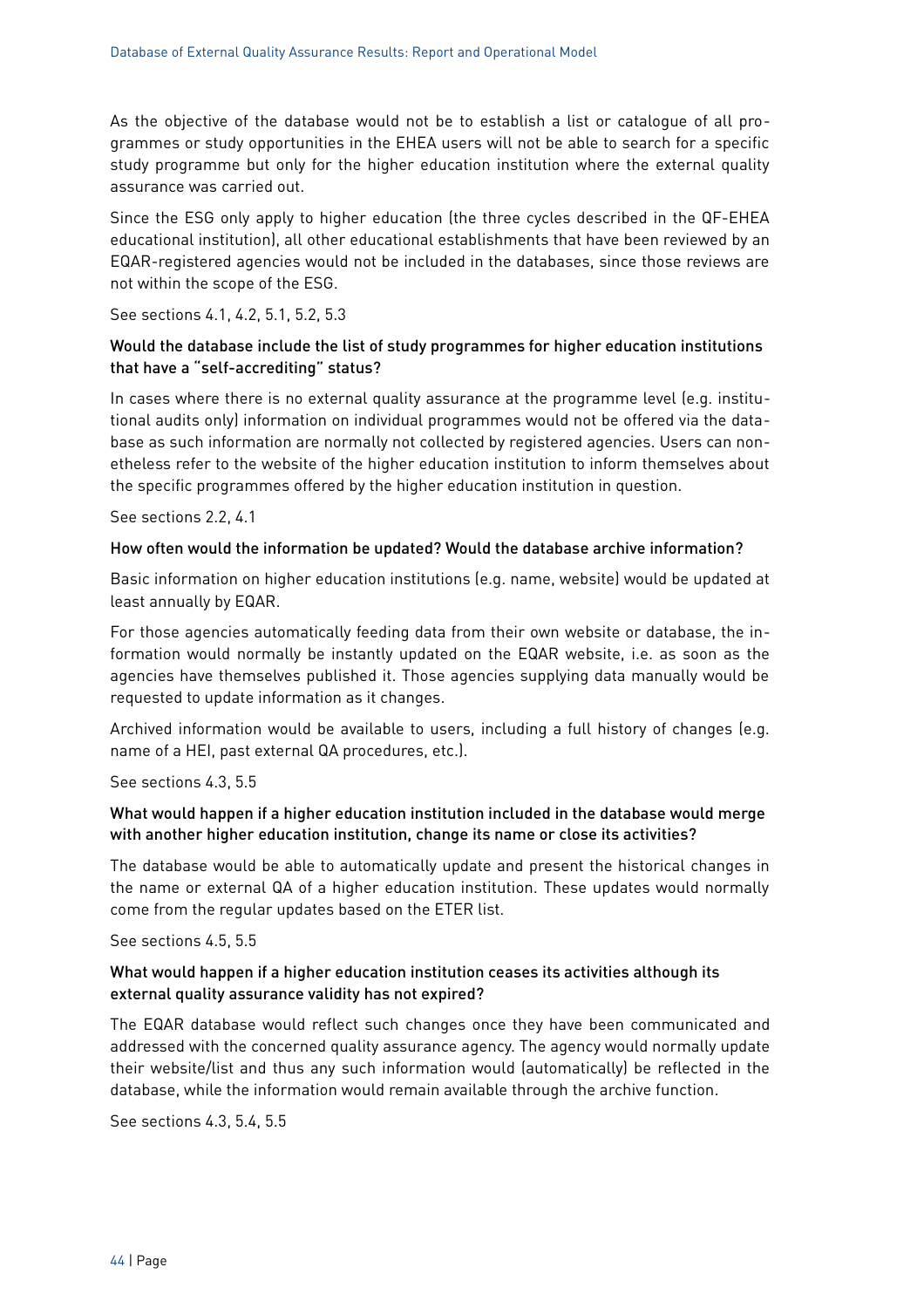As the objective of the database would not be to establish a list or catalogue of all programmes or study opportunities in the EHEA users will not be able to search for a specific study programme but only for the higher education institution where the external quality assurance was carried out.

Since the ESG only apply to higher education (the three cycles described in the QF-EHEA educational institution), all other educational establishments that have been reviewed by an EQAR-registered agencies would not be included in the databases, since those reviews are not within the scope of the ESG.

#### See sections [4.1,](#page-23-0) [4.2,](#page-24-0) [5.1,](#page-33-1) [5.2,](#page-33-0) [5.3](#page-35-0)

#### Would the database include the list of study programmes for higher education institutions that have a "self-accrediting" status?

In cases where there is no external quality assurance at the programme level (e.g. institutional audits only) information on individual programmes would not be offered via the database as such information are normally not collected by registered agencies. Users can nonetheless refer to the website of the higher education institution to inform themselves about the specific programmes offered by the higher education institution in question.

See sections [2.2,](#page-5-0) [4.1](#page-23-0)

#### How often would the information be updated? Would the database archive information?

Basic information on higher education institutions (e.g. name, website) would be updated at least annually by EQAR.

For those agencies automatically feeding data from their own website or database, the information would normally be instantly updated on the EQAR website, i.e. as soon as the agencies have themselves published it. Those agencies supplying data manually would be requested to update information as it changes.

Archived information would be available to users, including a full history of changes (e.g. name of a HEI, past external QA procedures, etc.).

See sections [4.3,](#page-26-0) [5.5](#page-37-0)

#### What would happen if a higher education institution included in the database would merge with another higher education institution, change its name or close its activities?

The database would be able to automatically update and present the historical changes in the name or external QA of a higher education institution. These updates would normally come from the regular updates based on the ETER list.

#### See sections [4.5,](#page-29-0) [5.5](#page-37-0)

#### What would happen if a higher education institution ceases its activities although its external quality assurance validity has not expired?

The EQAR database would reflect such changes once they have been communicated and addressed with the concerned quality assurance agency. The agency would normally update their website/list and thus any such information would (automatically) be reflected in the database, while the information would remain available through the archive function.

See sections [4.3,](#page-26-0) [5.4,](#page-36-0) [5.5](#page-37-0)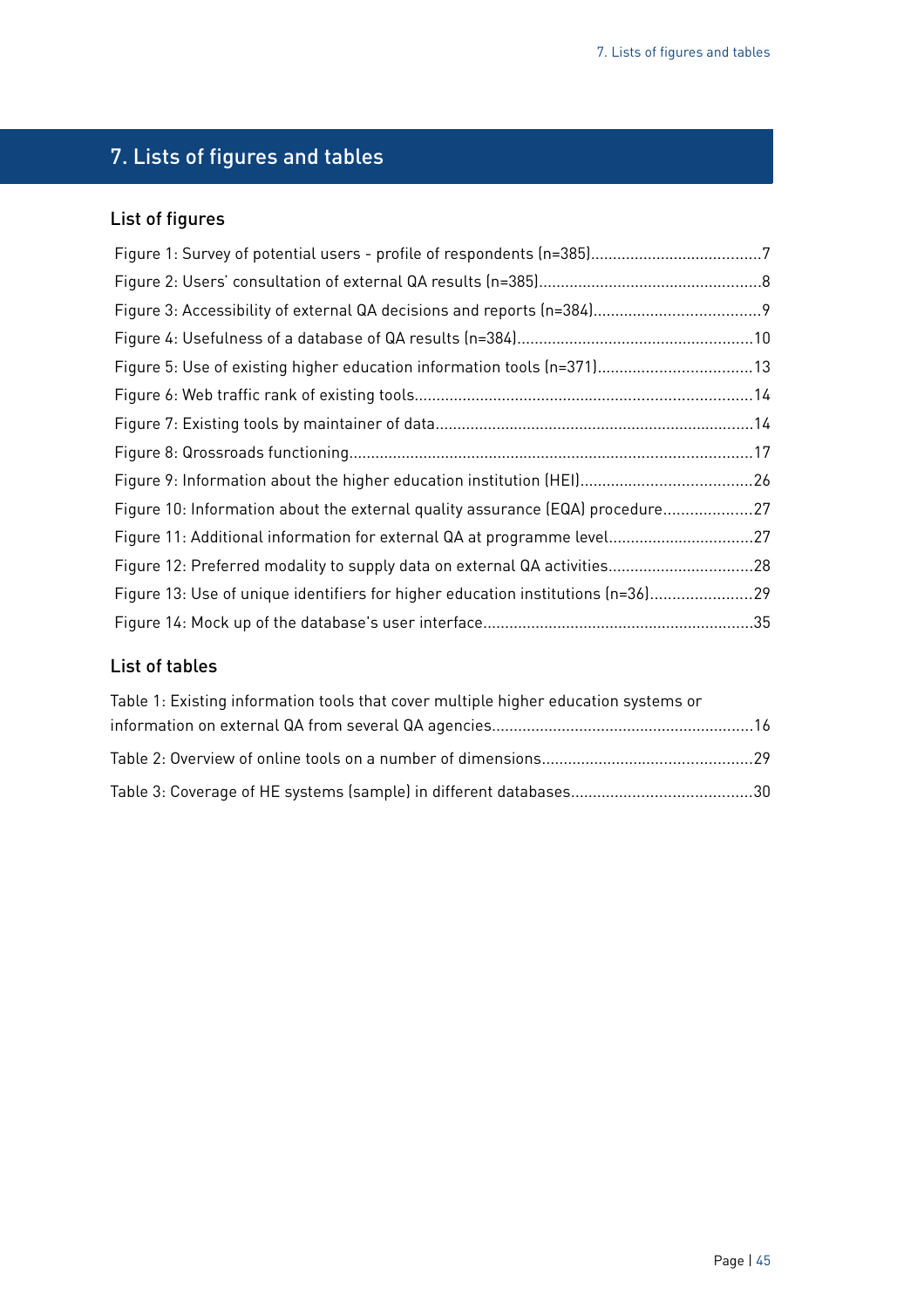## <span id="page-44-0"></span>7. Lists of figures and tables

## List of figures

| Figure 5: Use of existing higher education information tools (n=371) 13         |  |
|---------------------------------------------------------------------------------|--|
|                                                                                 |  |
|                                                                                 |  |
|                                                                                 |  |
|                                                                                 |  |
| Figure 10: Information about the external quality assurance (EQA) procedure27   |  |
| Figure 11: Additional information for external QA at programme level27          |  |
| Figure 12: Preferred modality to supply data on external QA activities28        |  |
| Figure 13: Use of unique identifiers for higher education institutions (n=36)29 |  |
|                                                                                 |  |

## List of tables

| Table 1: Existing information tools that cover multiple higher education systems or |  |
|-------------------------------------------------------------------------------------|--|
|                                                                                     |  |
|                                                                                     |  |
|                                                                                     |  |